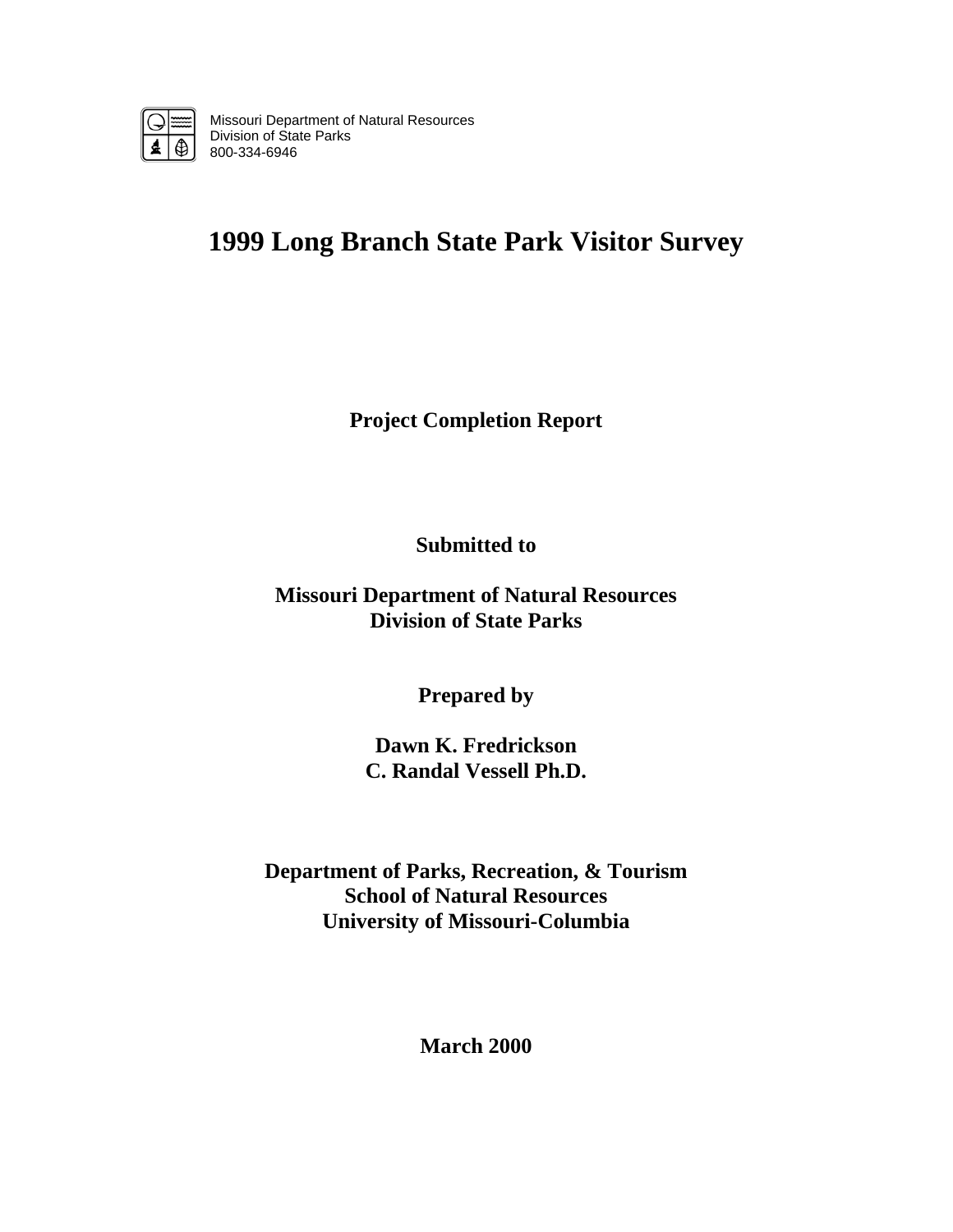

Missouri Department of Natural Resources Division of State Parks 800-334-6946

# **1999 Long Branch State Park Visitor Survey**

**Project Completion Report** 

**Submitted to** 

**Missouri Department of Natural Resources Division of State Parks** 

**Prepared by** 

**Dawn K. Fredrickson C. Randal Vessell Ph.D.** 

**Department of Parks, Recreation, & Tourism School of Natural Resources University of Missouri-Columbia** 

**March 2000**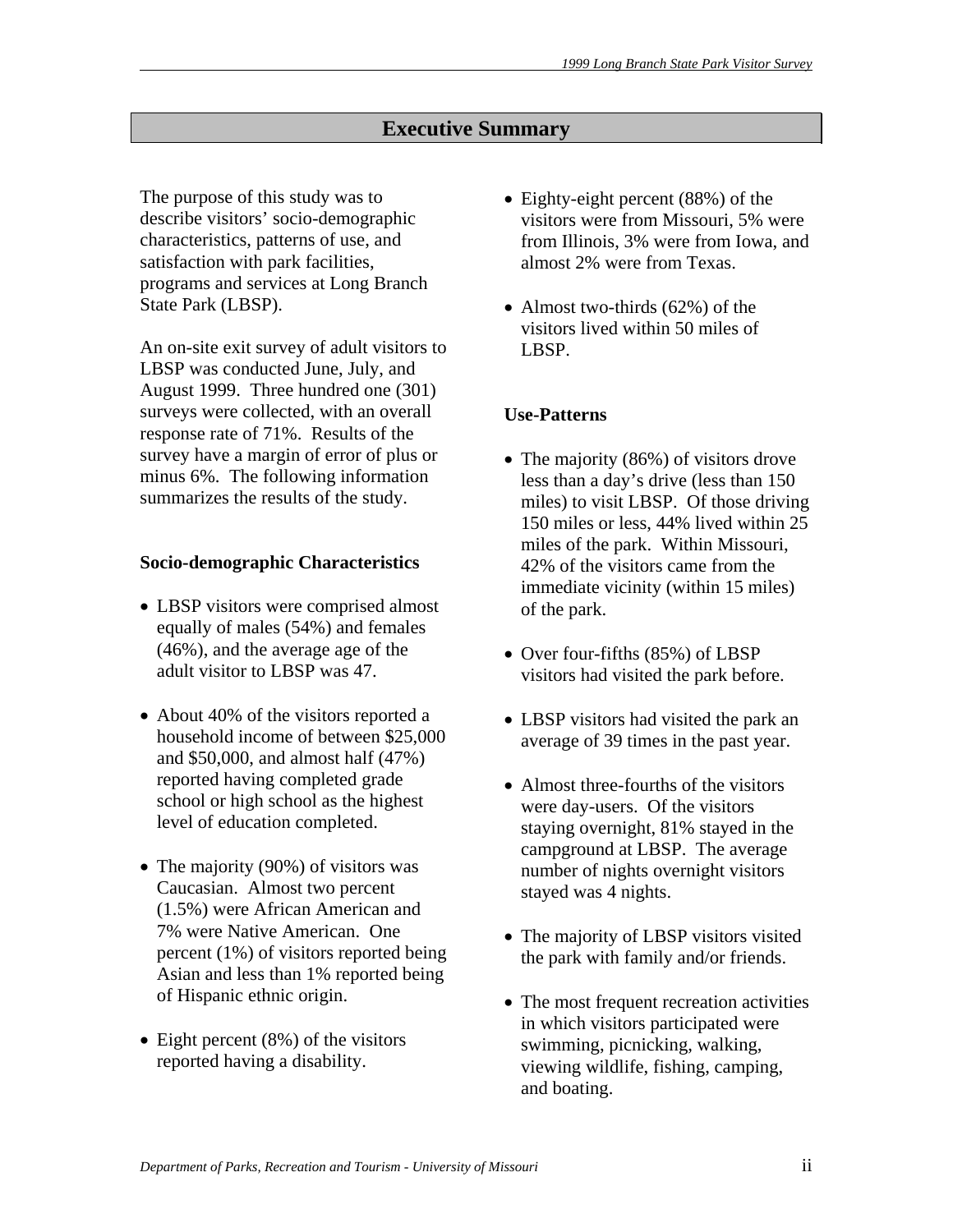# **Executive Summary**

The purpose of this study was to describe visitors' socio-demographic characteristics, patterns of use, and satisfaction with park facilities, programs and services at Long Branch State Park (LBSP).

An on-site exit survey of adult visitors to LBSP was conducted June, July, and August 1999. Three hundred one (301) surveys were collected, with an overall response rate of 71%. Results of the survey have a margin of error of plus or minus 6%. The following information summarizes the results of the study.

# **Socio-demographic Characteristics**

- LBSP visitors were comprised almost equally of males (54%) and females (46%), and the average age of the adult visitor to LBSP was 47.
- About 40% of the visitors reported a household income of between \$25,000 and \$50,000, and almost half (47%) reported having completed grade school or high school as the highest level of education completed.
- The majority (90%) of visitors was Caucasian. Almost two percent (1.5%) were African American and 7% were Native American. One percent (1%) of visitors reported being Asian and less than 1% reported being of Hispanic ethnic origin.
- Eight percent (8%) of the visitors reported having a disability.
- Eighty-eight percent (88%) of the visitors were from Missouri, 5% were from Illinois, 3% were from Iowa, and almost 2% were from Texas.
- Almost two-thirds (62%) of the visitors lived within 50 miles of LBSP.

# **Use-Patterns**

- The majority (86%) of visitors drove less than a day's drive (less than 150 miles) to visit LBSP. Of those driving 150 miles or less, 44% lived within 25 miles of the park. Within Missouri, 42% of the visitors came from the immediate vicinity (within 15 miles) of the park.
- Over four-fifths (85%) of LBSP visitors had visited the park before.
- LBSP visitors had visited the park an average of 39 times in the past year.
- Almost three-fourths of the visitors were day-users. Of the visitors staying overnight, 81% stayed in the campground at LBSP. The average number of nights overnight visitors stayed was 4 nights.
- The majority of LBSP visitors visited the park with family and/or friends.
- The most frequent recreation activities in which visitors participated were swimming, picnicking, walking, viewing wildlife, fishing, camping, and boating.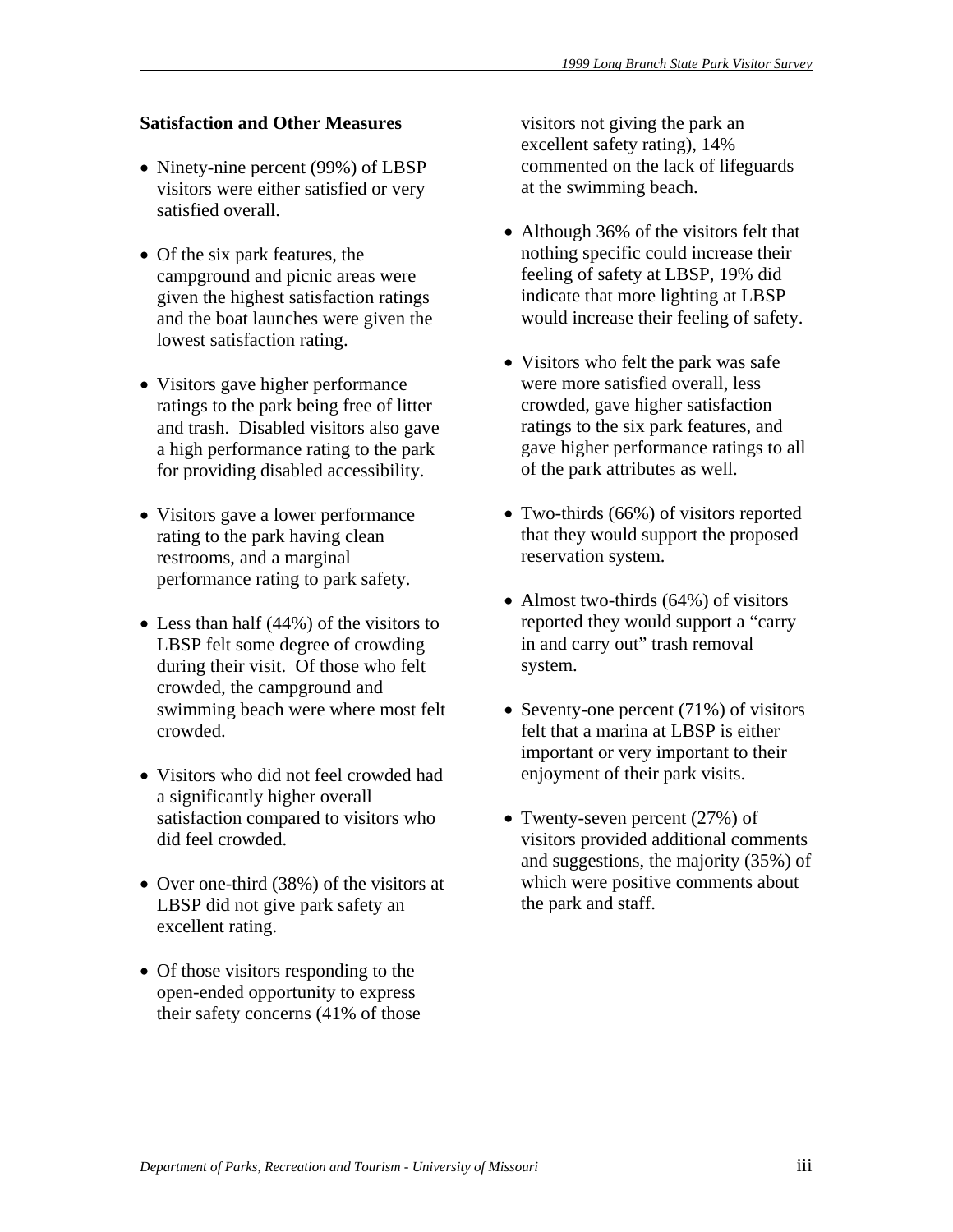# **Satisfaction and Other Measures**

- Ninety-nine percent (99%) of LBSP visitors were either satisfied or very satisfied overall.
- Of the six park features, the campground and picnic areas were given the highest satisfaction ratings and the boat launches were given the lowest satisfaction rating.
- Visitors gave higher performance ratings to the park being free of litter and trash. Disabled visitors also gave a high performance rating to the park for providing disabled accessibility.
- Visitors gave a lower performance rating to the park having clean restrooms, and a marginal performance rating to park safety.
- Less than half (44%) of the visitors to LBSP felt some degree of crowding during their visit. Of those who felt crowded, the campground and swimming beach were where most felt crowded.
- Visitors who did not feel crowded had a significantly higher overall satisfaction compared to visitors who did feel crowded.
- Over one-third (38%) of the visitors at LBSP did not give park safety an excellent rating.
- Of those visitors responding to the open-ended opportunity to express their safety concerns (41% of those

visitors not giving the park an excellent safety rating), 14% commented on the lack of lifeguards at the swimming beach.

- Although 36% of the visitors felt that nothing specific could increase their feeling of safety at LBSP, 19% did indicate that more lighting at LBSP would increase their feeling of safety.
- Visitors who felt the park was safe were more satisfied overall, less crowded, gave higher satisfaction ratings to the six park features, and gave higher performance ratings to all of the park attributes as well.
- Two-thirds (66%) of visitors reported that they would support the proposed reservation system.
- Almost two-thirds (64%) of visitors reported they would support a "carry in and carry out" trash removal system.
- Seventy-one percent (71%) of visitors felt that a marina at LBSP is either important or very important to their enjoyment of their park visits.
- Twenty-seven percent (27%) of visitors provided additional comments and suggestions, the majority (35%) of which were positive comments about the park and staff.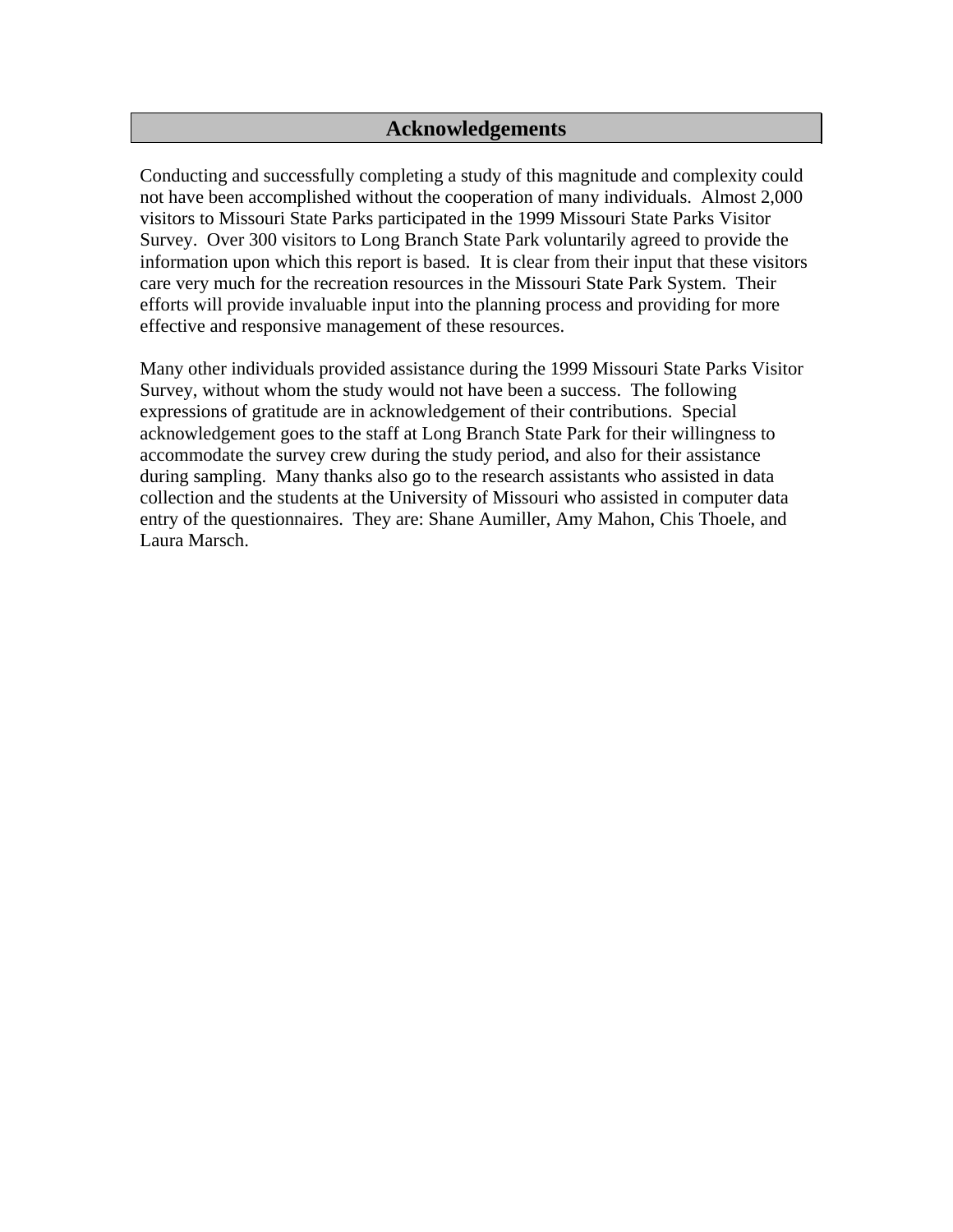# **Acknowledgements**

Conducting and successfully completing a study of this magnitude and complexity could not have been accomplished without the cooperation of many individuals. Almost 2,000 visitors to Missouri State Parks participated in the 1999 Missouri State Parks Visitor Survey. Over 300 visitors to Long Branch State Park voluntarily agreed to provide the information upon which this report is based. It is clear from their input that these visitors care very much for the recreation resources in the Missouri State Park System. Their efforts will provide invaluable input into the planning process and providing for more effective and responsive management of these resources.

Many other individuals provided assistance during the 1999 Missouri State Parks Visitor Survey, without whom the study would not have been a success. The following expressions of gratitude are in acknowledgement of their contributions. Special acknowledgement goes to the staff at Long Branch State Park for their willingness to accommodate the survey crew during the study period, and also for their assistance during sampling. Many thanks also go to the research assistants who assisted in data collection and the students at the University of Missouri who assisted in computer data entry of the questionnaires. They are: Shane Aumiller, Amy Mahon, Chis Thoele, and Laura Marsch.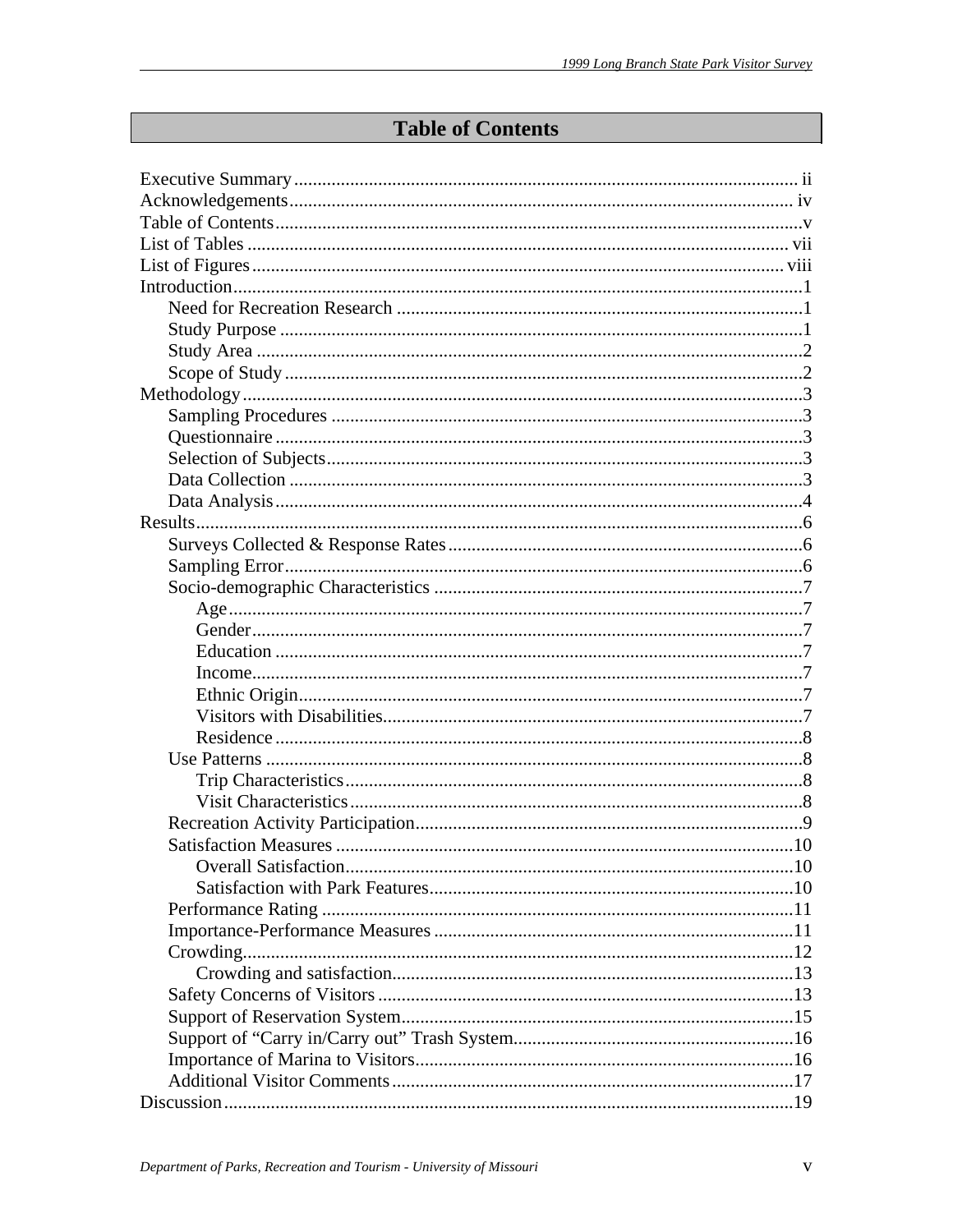# **Table of Contents**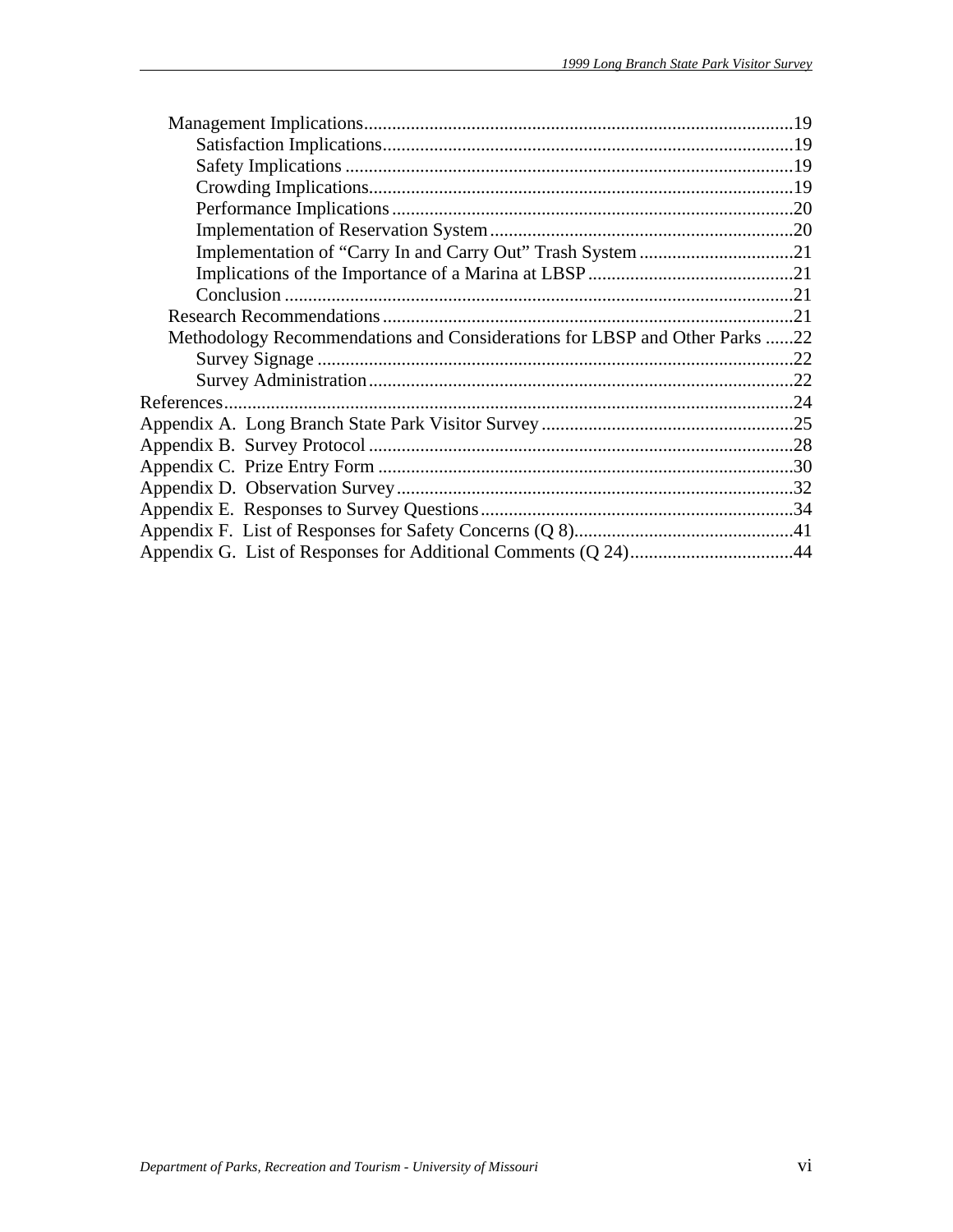| Methodology Recommendations and Considerations for LBSP and Other Parks 22 |  |
|----------------------------------------------------------------------------|--|
|                                                                            |  |
|                                                                            |  |
|                                                                            |  |
|                                                                            |  |
|                                                                            |  |
|                                                                            |  |
|                                                                            |  |
|                                                                            |  |
|                                                                            |  |
|                                                                            |  |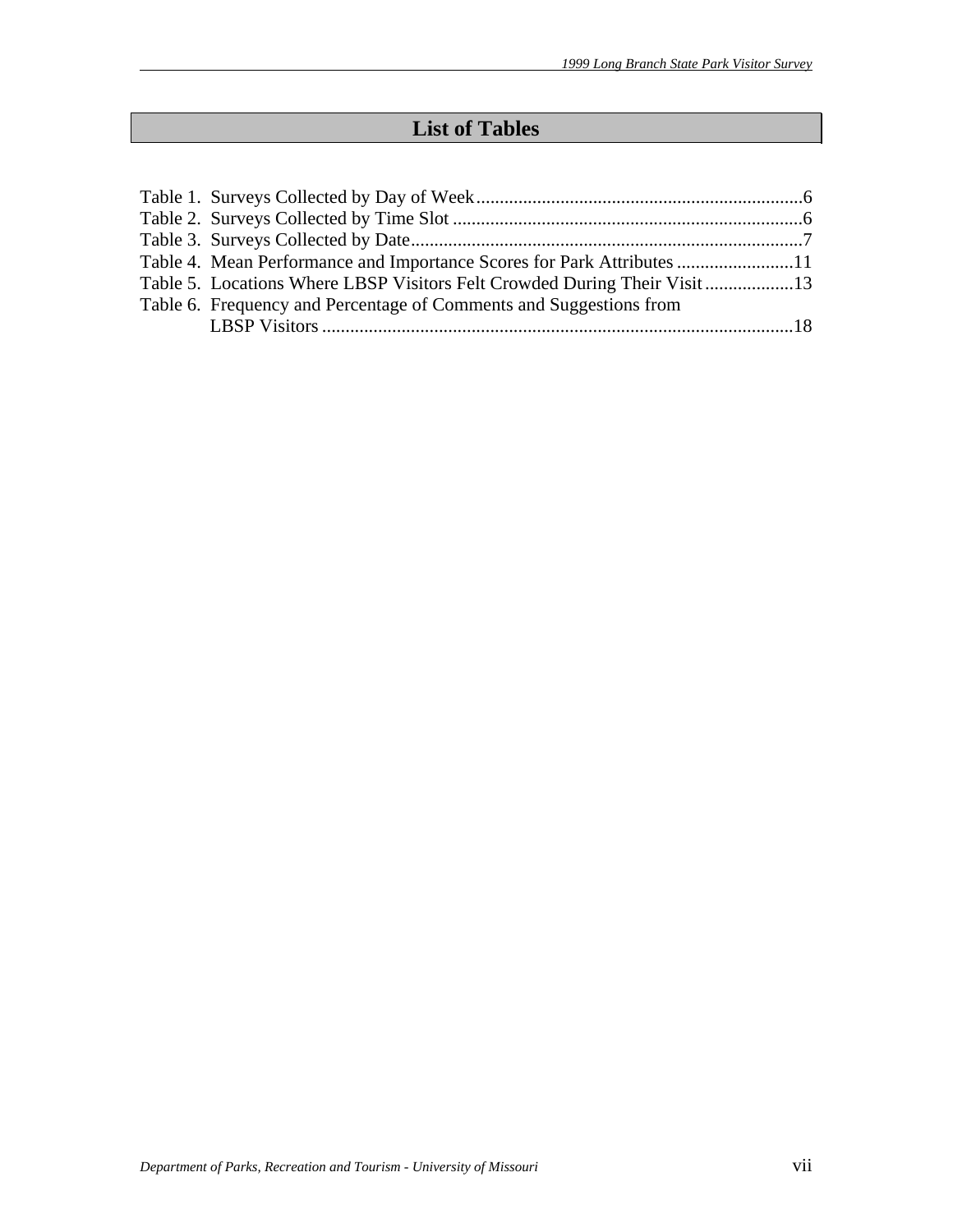# **List of Tables**

| Table 4. Mean Performance and Importance Scores for Park Attributes 11 |  |
|------------------------------------------------------------------------|--|
| Table 5. Locations Where LBSP Visitors Felt Crowded During Their Visit |  |
| Table 6. Frequency and Percentage of Comments and Suggestions from     |  |
|                                                                        |  |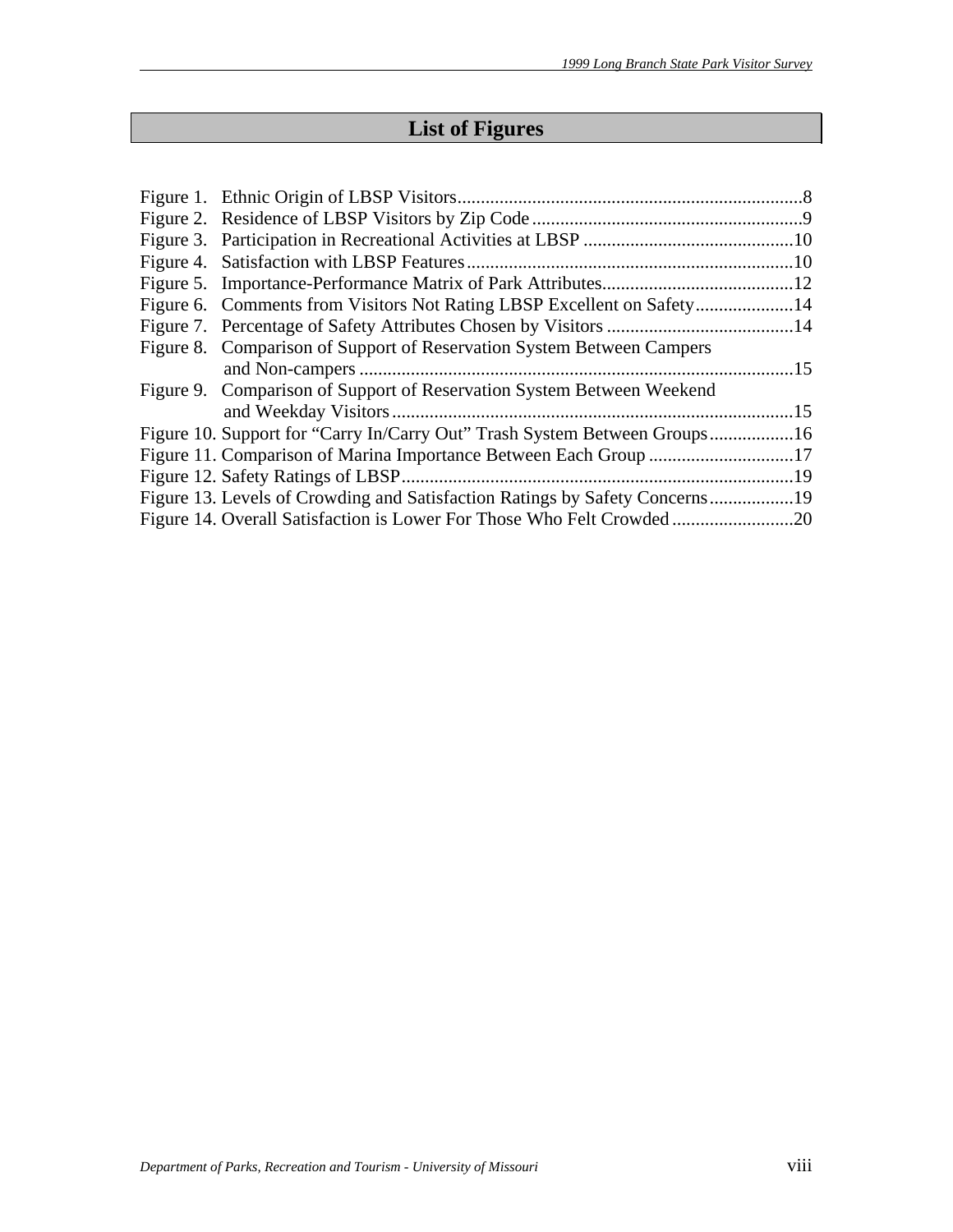# **List of Figures**

| Figure 6. Comments from Visitors Not Rating LBSP Excellent on Safety14    |  |
|---------------------------------------------------------------------------|--|
|                                                                           |  |
| Figure 8. Comparison of Support of Reservation System Between Campers     |  |
|                                                                           |  |
| Figure 9. Comparison of Support of Reservation System Between Weekend     |  |
|                                                                           |  |
| Figure 10. Support for "Carry In/Carry Out" Trash System Between Groups16 |  |
|                                                                           |  |
|                                                                           |  |
|                                                                           |  |
|                                                                           |  |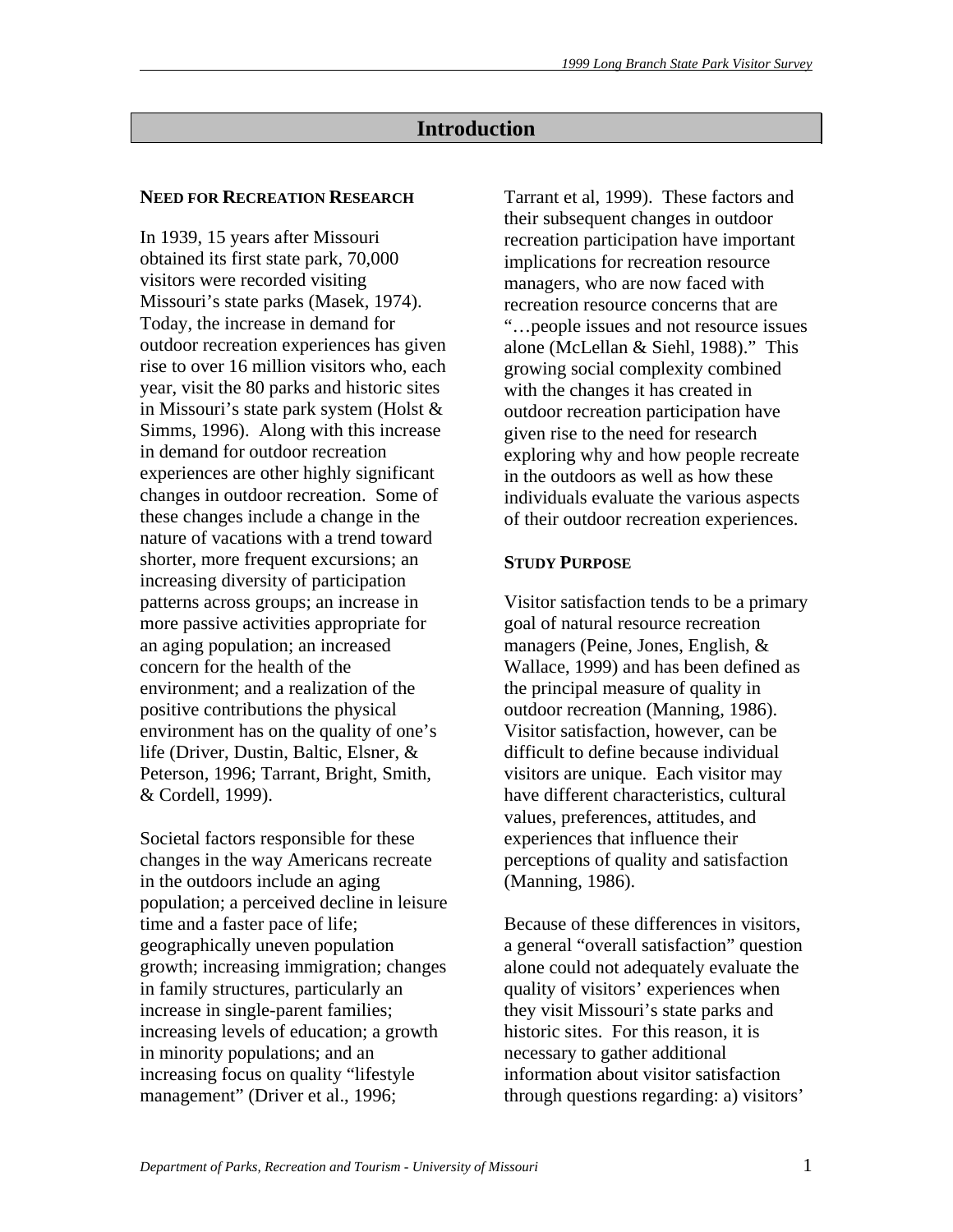# **Introduction**

#### **NEED FOR RECREATION RESEARCH**

In 1939, 15 years after Missouri obtained its first state park, 70,000 visitors were recorded visiting Missouri's state parks (Masek, 1974). Today, the increase in demand for outdoor recreation experiences has given rise to over 16 million visitors who, each year, visit the 80 parks and historic sites in Missouri's state park system (Holst & Simms, 1996). Along with this increase in demand for outdoor recreation experiences are other highly significant changes in outdoor recreation. Some of these changes include a change in the nature of vacations with a trend toward shorter, more frequent excursions; an increasing diversity of participation patterns across groups; an increase in more passive activities appropriate for an aging population; an increased concern for the health of the environment; and a realization of the positive contributions the physical environment has on the quality of one's life (Driver, Dustin, Baltic, Elsner, & Peterson, 1996; Tarrant, Bright, Smith, & Cordell, 1999).

Societal factors responsible for these changes in the way Americans recreate in the outdoors include an aging population; a perceived decline in leisure time and a faster pace of life; geographically uneven population growth; increasing immigration; changes in family structures, particularly an increase in single-parent families; increasing levels of education; a growth in minority populations; and an increasing focus on quality "lifestyle management" (Driver et al., 1996;

Tarrant et al, 1999). These factors and their subsequent changes in outdoor recreation participation have important implications for recreation resource managers, who are now faced with recreation resource concerns that are "…people issues and not resource issues alone (McLellan & Siehl, 1988)." This growing social complexity combined with the changes it has created in outdoor recreation participation have given rise to the need for research exploring why and how people recreate in the outdoors as well as how these individuals evaluate the various aspects of their outdoor recreation experiences.

#### **STUDY PURPOSE**

Visitor satisfaction tends to be a primary goal of natural resource recreation managers (Peine, Jones, English, & Wallace, 1999) and has been defined as the principal measure of quality in outdoor recreation (Manning, 1986). Visitor satisfaction, however, can be difficult to define because individual visitors are unique. Each visitor may have different characteristics, cultural values, preferences, attitudes, and experiences that influence their perceptions of quality and satisfaction (Manning, 1986).

Because of these differences in visitors, a general "overall satisfaction" question alone could not adequately evaluate the quality of visitors' experiences when they visit Missouri's state parks and historic sites. For this reason, it is necessary to gather additional information about visitor satisfaction through questions regarding: a) visitors'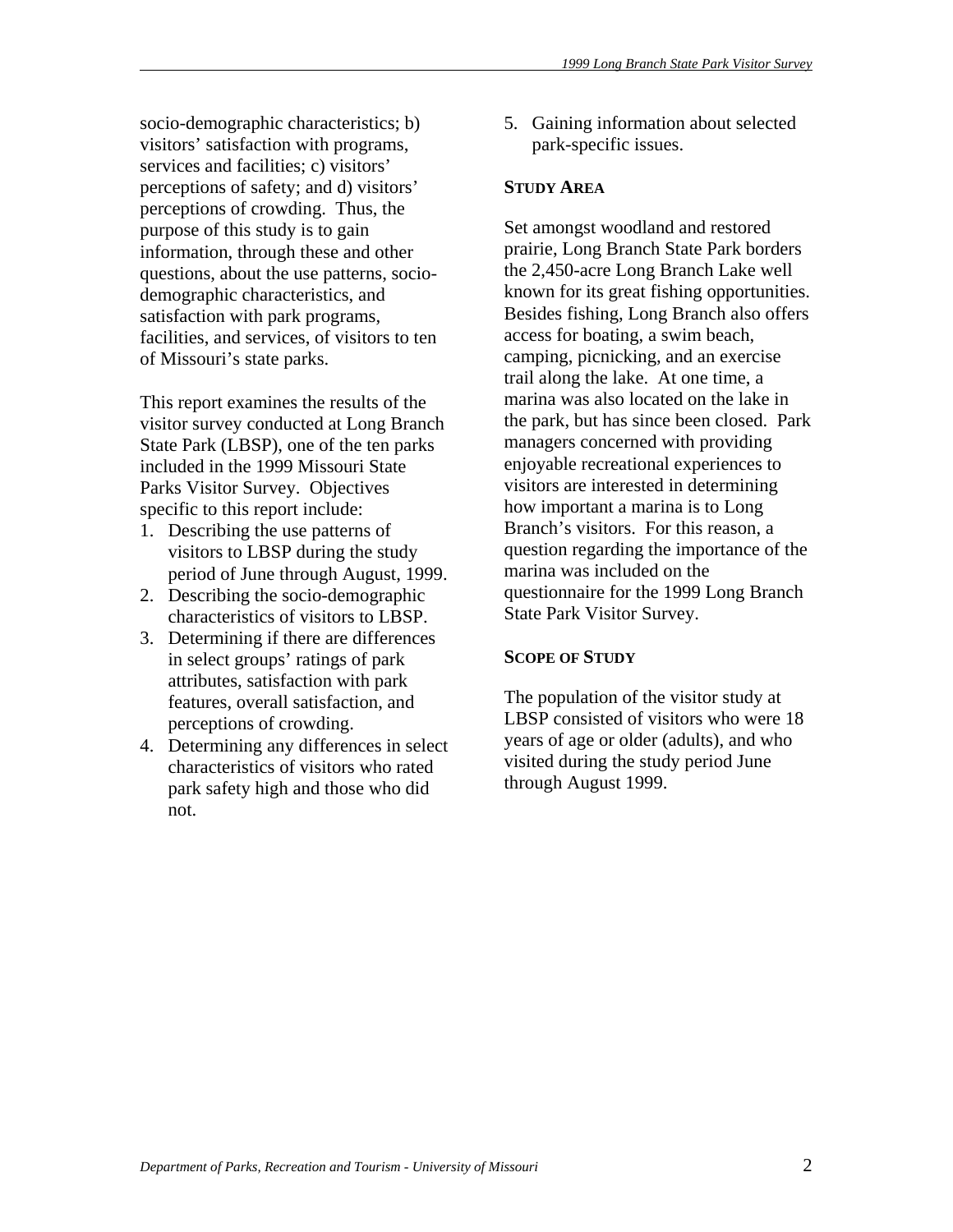socio-demographic characteristics; b) visitors' satisfaction with programs, services and facilities; c) visitors' perceptions of safety; and d) visitors' perceptions of crowding. Thus, the purpose of this study is to gain information, through these and other questions, about the use patterns, sociodemographic characteristics, and satisfaction with park programs, facilities, and services, of visitors to ten of Missouri's state parks.

This report examines the results of the visitor survey conducted at Long Branch State Park (LBSP), one of the ten parks included in the 1999 Missouri State Parks Visitor Survey. Objectives specific to this report include:

- 1. Describing the use patterns of visitors to LBSP during the study period of June through August, 1999.
- 2. Describing the socio-demographic characteristics of visitors to LBSP.
- 3. Determining if there are differences in select groups' ratings of park attributes, satisfaction with park features, overall satisfaction, and perceptions of crowding.
- 4. Determining any differences in select characteristics of visitors who rated park safety high and those who did not.

5. Gaining information about selected park-specific issues.

#### **STUDY AREA**

Set amongst woodland and restored prairie, Long Branch State Park borders the 2,450-acre Long Branch Lake well known for its great fishing opportunities. Besides fishing, Long Branch also offers access for boating, a swim beach, camping, picnicking, and an exercise trail along the lake. At one time, a marina was also located on the lake in the park, but has since been closed. Park managers concerned with providing enjoyable recreational experiences to visitors are interested in determining how important a marina is to Long Branch's visitors. For this reason, a question regarding the importance of the marina was included on the questionnaire for the 1999 Long Branch State Park Visitor Survey.

#### **SCOPE OF STUDY**

The population of the visitor study at LBSP consisted of visitors who were 18 years of age or older (adults), and who visited during the study period June through August 1999.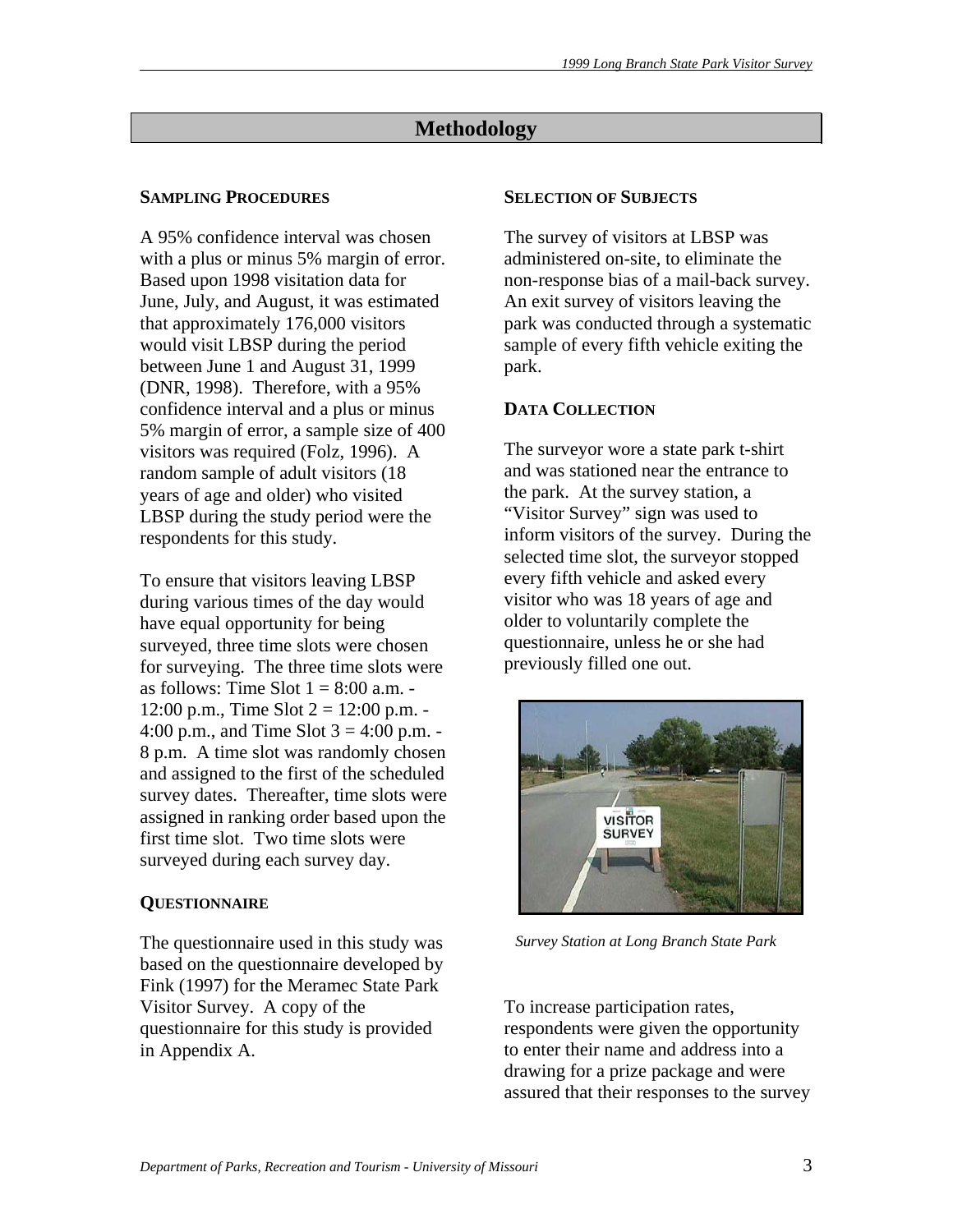# **Methodology**

# **SAMPLING PROCEDURES**

A 95% confidence interval was chosen with a plus or minus 5% margin of error. Based upon 1998 visitation data for June, July, and August, it was estimated that approximately 176,000 visitors would visit LBSP during the period between June 1 and August 31, 1999 (DNR, 1998). Therefore, with a 95% confidence interval and a plus or minus 5% margin of error, a sample size of 400 visitors was required (Folz, 1996). A random sample of adult visitors (18 years of age and older) who visited LBSP during the study period were the respondents for this study.

To ensure that visitors leaving LBSP during various times of the day would have equal opportunity for being surveyed, three time slots were chosen for surveying. The three time slots were as follows: Time Slot  $1 = 8:00$  a.m. -12:00 p.m., Time Slot  $2 = 12:00$  p.m. -4:00 p.m., and Time Slot  $3 = 4:00$  p.m. -8 p.m. A time slot was randomly chosen and assigned to the first of the scheduled survey dates. Thereafter, time slots were assigned in ranking order based upon the first time slot. Two time slots were surveyed during each survey day.

# **QUESTIONNAIRE**

The questionnaire used in this study was based on the questionnaire developed by Fink (1997) for the Meramec State Park Visitor Survey. A copy of the questionnaire for this study is provided in Appendix A.

#### **SELECTION OF SUBJECTS**

The survey of visitors at LBSP was administered on-site, to eliminate the non-response bias of a mail-back survey. An exit survey of visitors leaving the park was conducted through a systematic sample of every fifth vehicle exiting the park.

# **DATA COLLECTION**

The surveyor wore a state park t-shirt and was stationed near the entrance to the park. At the survey station, a "Visitor Survey" sign was used to inform visitors of the survey. During the selected time slot, the surveyor stopped every fifth vehicle and asked every visitor who was 18 years of age and older to voluntarily complete the questionnaire, unless he or she had previously filled one out.



*Survey Station at Long Branch State Park* 

To increase participation rates, respondents were given the opportunity to enter their name and address into a drawing for a prize package and were assured that their responses to the survey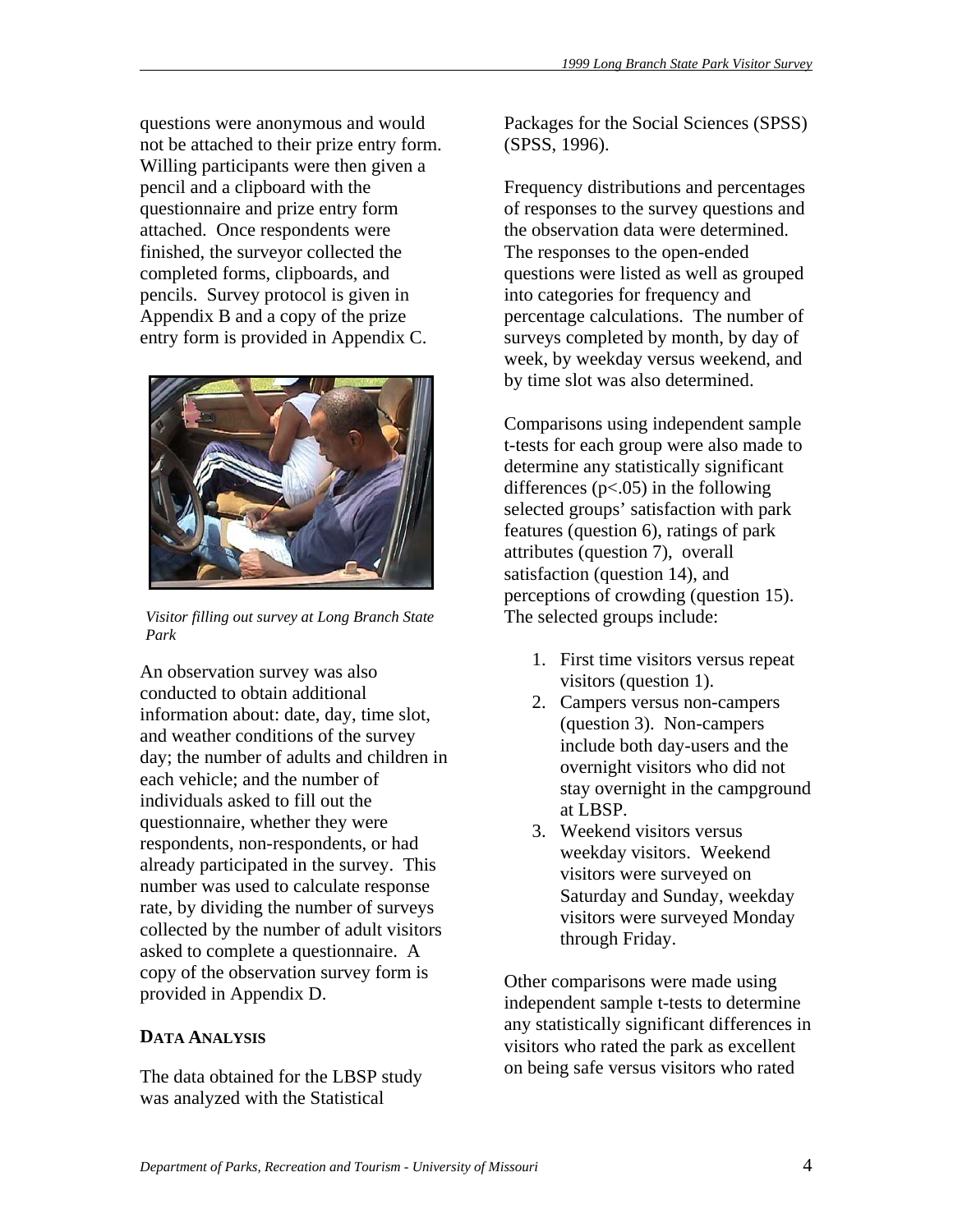questions were anonymous and would not be attached to their prize entry form. Willing participants were then given a pencil and a clipboard with the questionnaire and prize entry form attached. Once respondents were finished, the surveyor collected the completed forms, clipboards, and pencils. Survey protocol is given in Appendix B and a copy of the prize entry form is provided in Appendix C.



*Visitor filling out survey at Long Branch State Park* 

An observation survey was also conducted to obtain additional information about: date, day, time slot, and weather conditions of the survey day; the number of adults and children in each vehicle; and the number of individuals asked to fill out the questionnaire, whether they were respondents, non-respondents, or had already participated in the survey. This number was used to calculate response rate, by dividing the number of surveys collected by the number of adult visitors asked to complete a questionnaire. A copy of the observation survey form is provided in Appendix D.

# **DATA ANALYSIS**

The data obtained for the LBSP study was analyzed with the Statistical

Packages for the Social Sciences (SPSS) (SPSS, 1996).

Frequency distributions and percentages of responses to the survey questions and the observation data were determined. The responses to the open-ended questions were listed as well as grouped into categories for frequency and percentage calculations. The number of surveys completed by month, by day of week, by weekday versus weekend, and by time slot was also determined.

Comparisons using independent sample t-tests for each group were also made to determine any statistically significant differences ( $p$ <.05) in the following selected groups' satisfaction with park features (question 6), ratings of park attributes (question 7), overall satisfaction (question 14), and perceptions of crowding (question 15). The selected groups include:

- 1. First time visitors versus repeat visitors (question 1).
- 2. Campers versus non-campers (question 3). Non-campers include both day-users and the overnight visitors who did not stay overnight in the campground at LBSP.
- 3. Weekend visitors versus weekday visitors. Weekend visitors were surveyed on Saturday and Sunday, weekday visitors were surveyed Monday through Friday.

Other comparisons were made using independent sample t-tests to determine any statistically significant differences in visitors who rated the park as excellent on being safe versus visitors who rated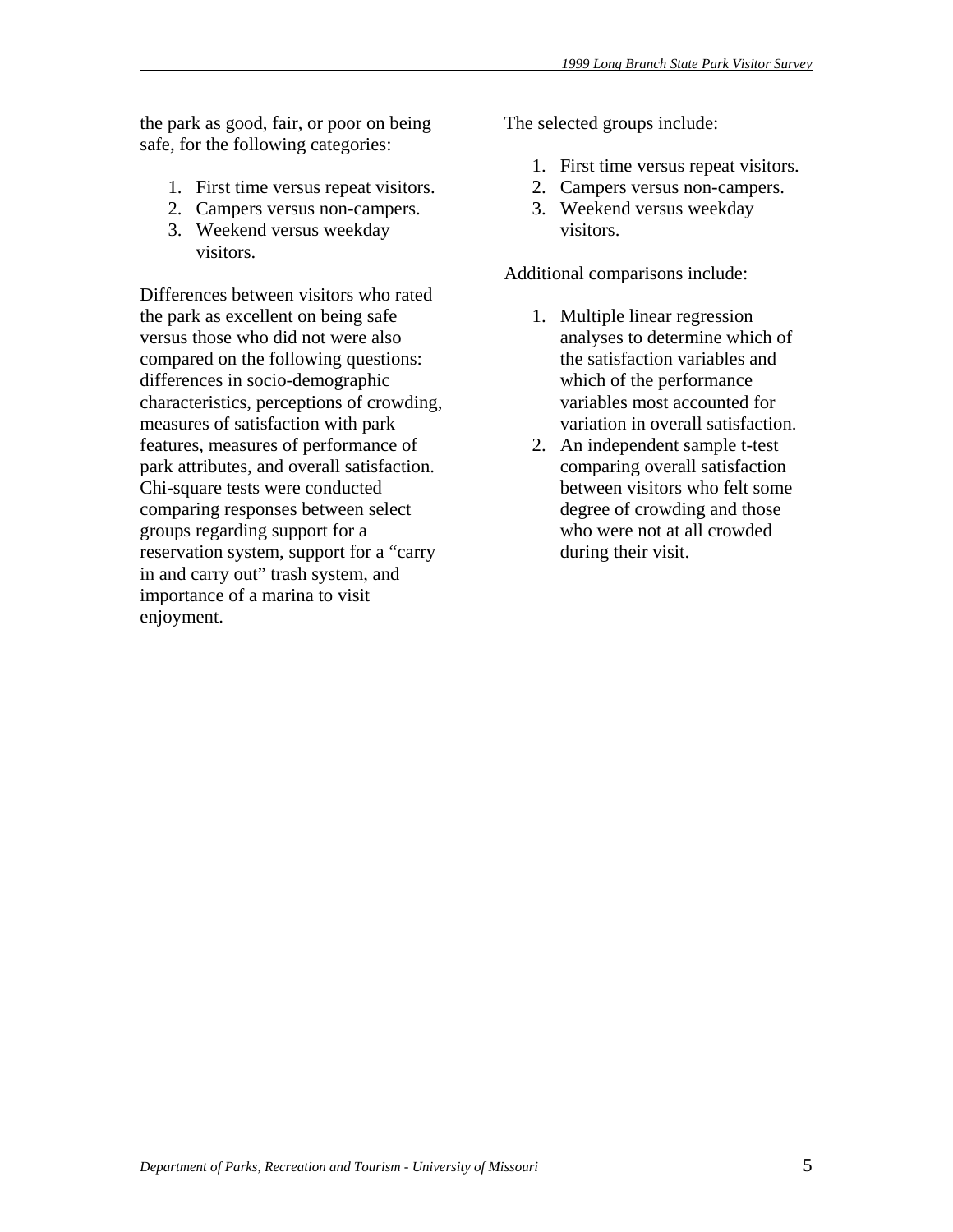the park as good, fair, or poor on being safe, for the following categories:

- 1. First time versus repeat visitors.
- 2. Campers versus non-campers.
- 3. Weekend versus weekday visitors.

Differences between visitors who rated the park as excellent on being safe versus those who did not were also compared on the following questions: differences in socio-demographic characteristics, perceptions of crowding, measures of satisfaction with park features, measures of performance of park attributes, and overall satisfaction. Chi-square tests were conducted comparing responses between select groups regarding support for a reservation system, support for a "carry in and carry out" trash system, and importance of a marina to visit enjoyment.

The selected groups include:

- 1. First time versus repeat visitors.
- 2. Campers versus non-campers.
- 3. Weekend versus weekday visitors.

Additional comparisons include:

- 1. Multiple linear regression analyses to determine which of the satisfaction variables and which of the performance variables most accounted for variation in overall satisfaction.
- 2. An independent sample t-test comparing overall satisfaction between visitors who felt some degree of crowding and those who were not at all crowded during their visit.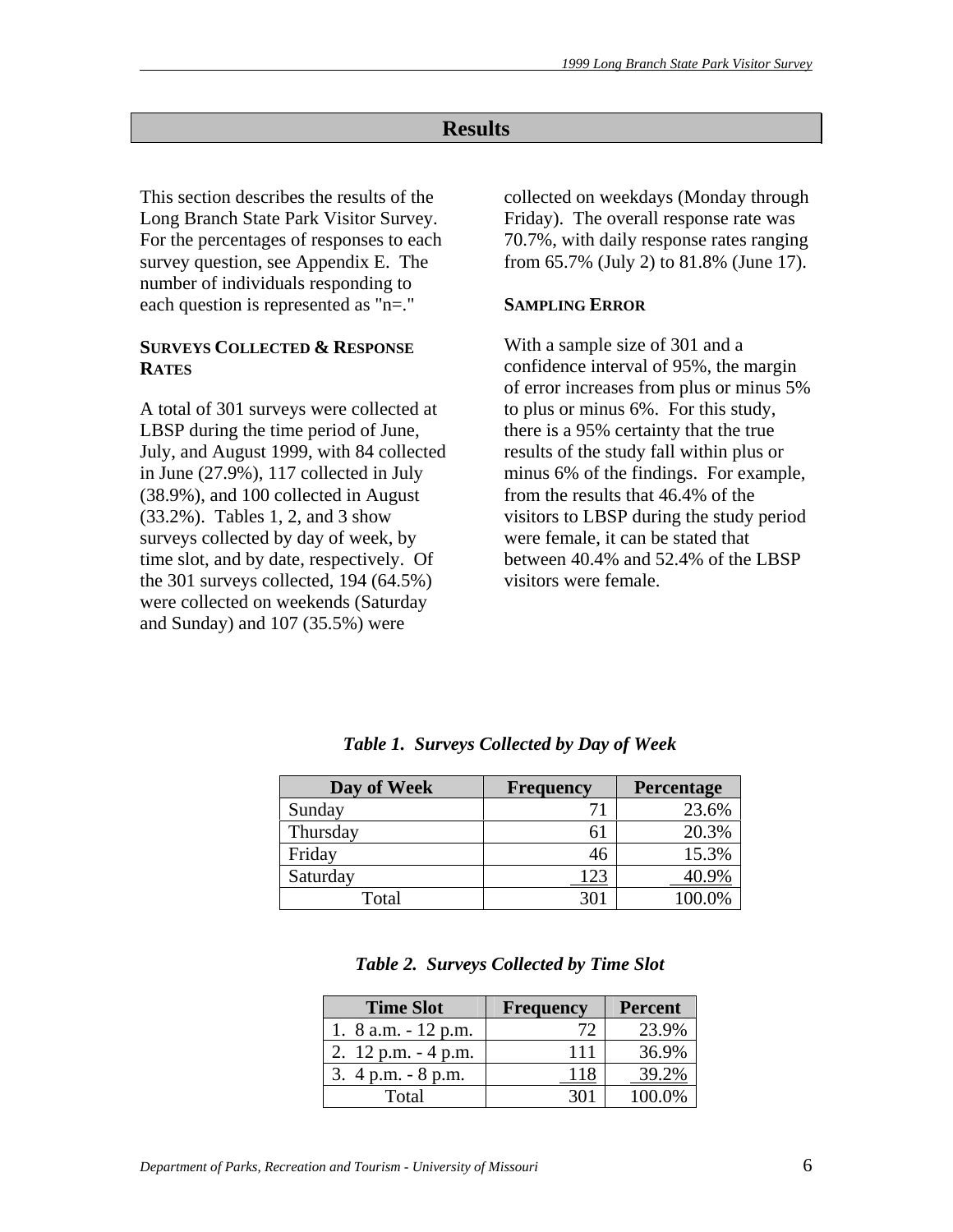# **Results**

This section describes the results of the Long Branch State Park Visitor Survey. For the percentages of responses to each survey question, see Appendix E. The number of individuals responding to each question is represented as "n=."

#### **SURVEYS COLLECTED & RESPONSE RATES**

A total of 301 surveys were collected at LBSP during the time period of June, July, and August 1999, with 84 collected in June (27.9%), 117 collected in July (38.9%), and 100 collected in August (33.2%). Tables 1, 2, and 3 show surveys collected by day of week, by time slot, and by date, respectively. Of the 301 surveys collected, 194 (64.5%) were collected on weekends (Saturday and Sunday) and 107 (35.5%) were

collected on weekdays (Monday through Friday). The overall response rate was 70.7%, with daily response rates ranging from 65.7% (July 2) to 81.8% (June 17).

#### **SAMPLING ERROR**

With a sample size of 301 and a confidence interval of 95%, the margin of error increases from plus or minus 5% to plus or minus 6%. For this study, there is a 95% certainty that the true results of the study fall within plus or minus 6% of the findings. For example, from the results that 46.4% of the visitors to LBSP during the study period were female, it can be stated that between 40.4% and 52.4% of the LBSP visitors were female.

| Day of Week | <b>Frequency</b> | Percentage |
|-------------|------------------|------------|
| Sunday      |                  | 23.6%      |
| Thursday    |                  | 20.3%      |
| Friday      | 46               | 15.3%      |
| Saturday    | -23              |            |
| Total       | 30.              | በበ በ%      |

*Table 1. Surveys Collected by Day of Week* 

|  | <b>Table 2. Surveys Collected by Time Slot</b> |  |
|--|------------------------------------------------|--|

| <b>Time Slot</b>       | Frequency | <b>Percent</b> |
|------------------------|-----------|----------------|
| 1. 8 a.m. - 12 p.m.    | 72        | 23.9%          |
| 2. $12$ p.m. $-4$ p.m. | 111       | 36.9%          |
| 3. $4$ p.m. $-8$ p.m.  | 118       | 39.2%          |
| Total                  |           | 100.0%         |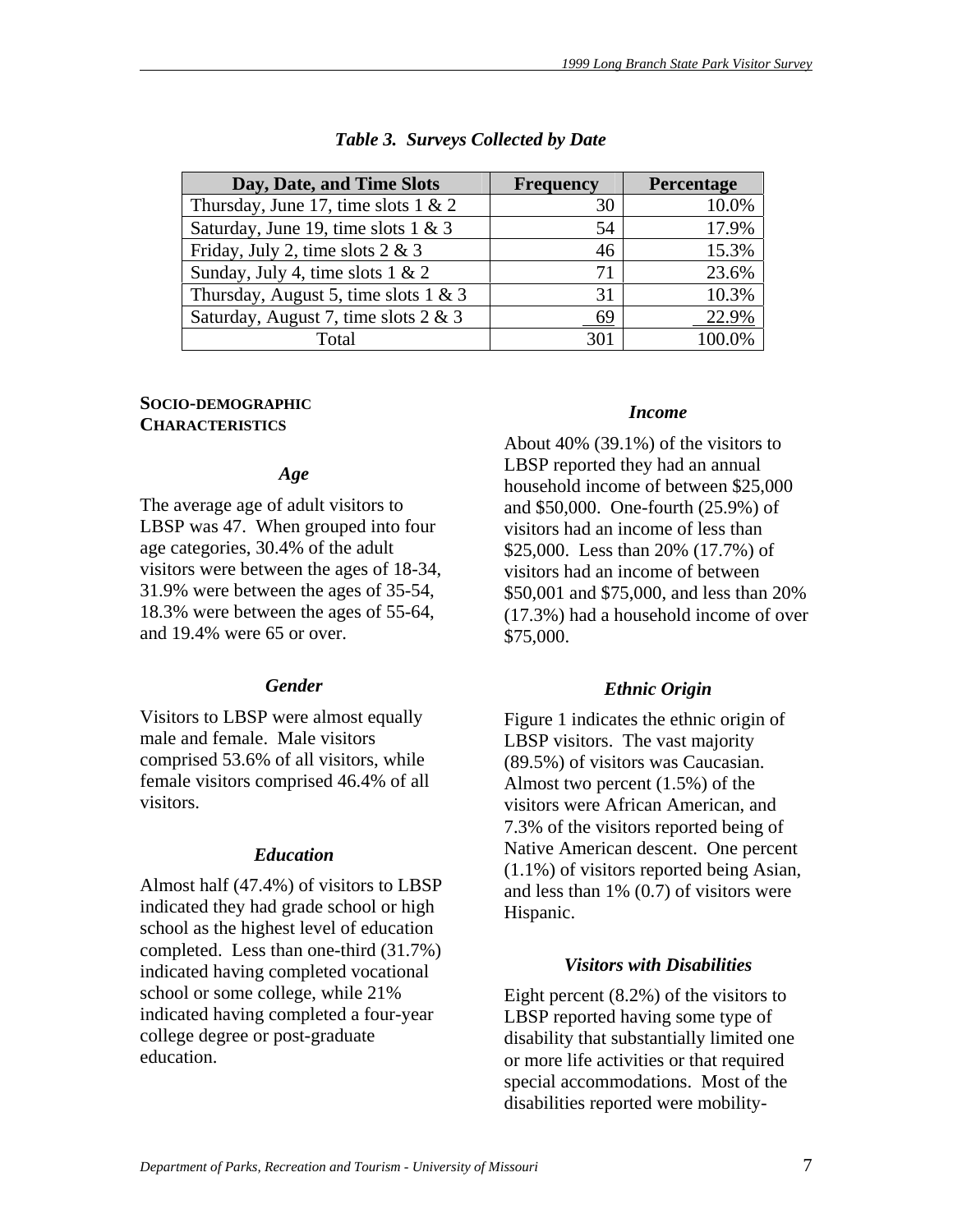| Day, Date, and Time Slots               | <b>Frequency</b> | Percentage |
|-----------------------------------------|------------------|------------|
| Thursday, June 17, time slots $1 \& 2$  | 30               | 10.0%      |
| Saturday, June 19, time slots $1 \& 3$  | 54               | 17.9%      |
| Friday, July 2, time slots $2 \& 3$     | 46               | 15.3%      |
| Sunday, July 4, time slots $1 \& 2$     | 71               | 23.6%      |
| Thursday, August 5, time slots $1 \& 3$ | 31               | 10.3%      |
| Saturday, August 7, time slots 2 & 3    | 69               | 22.9%      |
| Total                                   | 301              | 100.0%     |

# *Table 3. Surveys Collected by Date*

# **SOCIO-DEMOGRAPHIC CHARACTERISTICS**

# *Age*

The average age of adult visitors to LBSP was 47. When grouped into four age categories, 30.4% of the adult visitors were between the ages of 18-34, 31.9% were between the ages of 35-54, 18.3% were between the ages of 55-64, and 19.4% were 65 or over.

# *Gender*

Visitors to LBSP were almost equally male and female. Male visitors comprised 53.6% of all visitors, while female visitors comprised 46.4% of all visitors.

# *Education*

Almost half (47.4%) of visitors to LBSP indicated they had grade school or high school as the highest level of education completed. Less than one-third (31.7%) indicated having completed vocational school or some college, while 21% indicated having completed a four-year college degree or post-graduate education.

# *Income*

About 40% (39.1%) of the visitors to LBSP reported they had an annual household income of between \$25,000 and \$50,000. One-fourth (25.9%) of visitors had an income of less than \$25,000. Less than 20% (17.7%) of visitors had an income of between \$50,001 and \$75,000, and less than 20% (17.3%) had a household income of over \$75,000.

# *Ethnic Origin*

Figure 1 indicates the ethnic origin of LBSP visitors. The vast majority (89.5%) of visitors was Caucasian. Almost two percent (1.5%) of the visitors were African American, and 7.3% of the visitors reported being of Native American descent. One percent (1.1%) of visitors reported being Asian, and less than 1% (0.7) of visitors were Hispanic.

# *Visitors with Disabilities*

Eight percent (8.2%) of the visitors to LBSP reported having some type of disability that substantially limited one or more life activities or that required special accommodations. Most of the disabilities reported were mobility-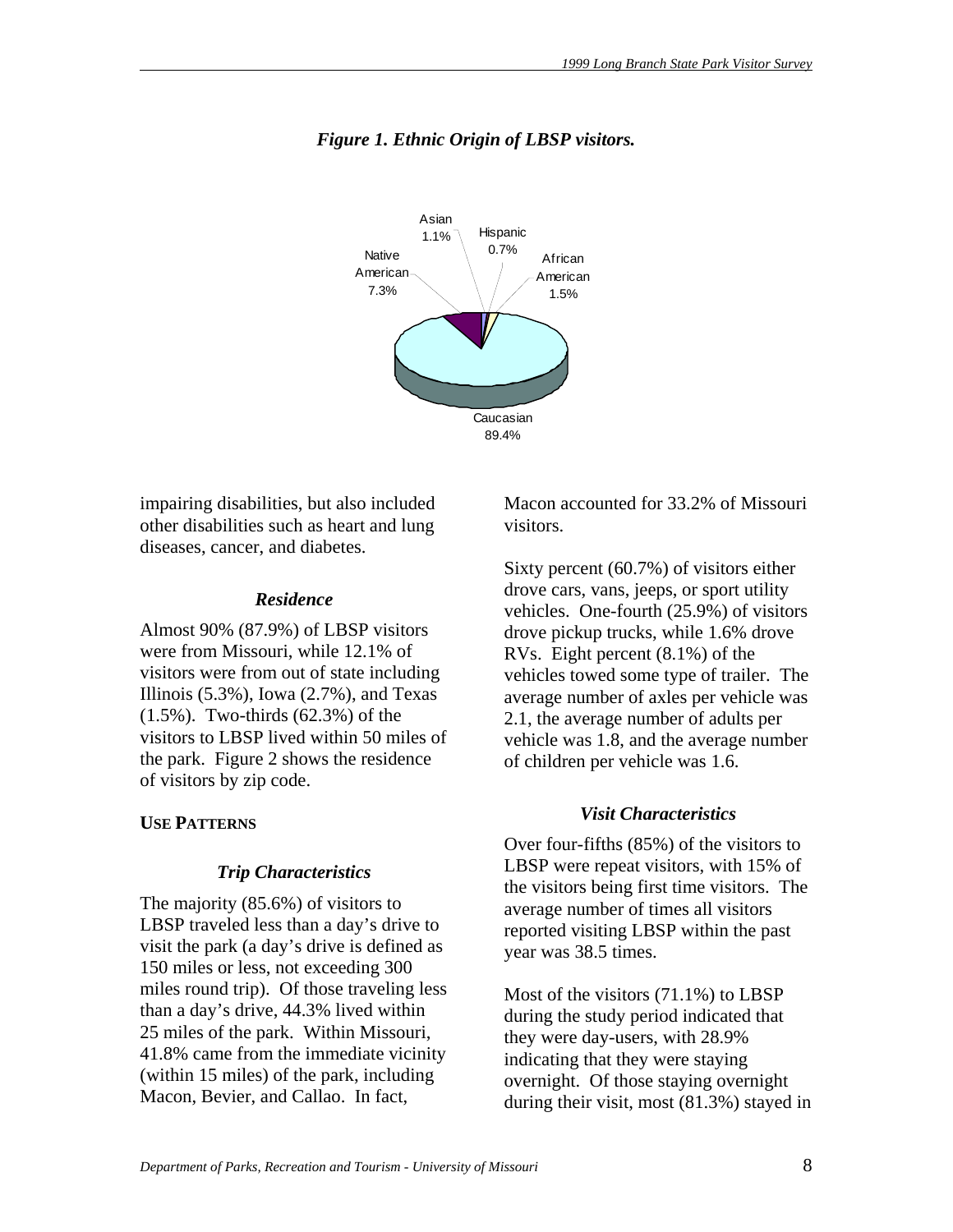

# *Figure 1. Ethnic Origin of LBSP visitors.*

impairing disabilities, but also included other disabilities such as heart and lung diseases, cancer, and diabetes.

# *Residence*

Almost 90% (87.9%) of LBSP visitors were from Missouri, while 12.1% of visitors were from out of state including Illinois  $(5.3\%)$ , Iowa  $(2.7\%)$ , and Texas (1.5%). Two-thirds (62.3%) of the visitors to LBSP lived within 50 miles of the park. Figure 2 shows the residence of visitors by zip code.

# **USE PATTERNS**

# *Trip Characteristics*

The majority (85.6%) of visitors to LBSP traveled less than a day's drive to visit the park (a day's drive is defined as 150 miles or less, not exceeding 300 miles round trip). Of those traveling less than a day's drive, 44.3% lived within 25 miles of the park. Within Missouri, 41.8% came from the immediate vicinity (within 15 miles) of the park, including Macon, Bevier, and Callao. In fact,

Macon accounted for 33.2% of Missouri visitors.

Sixty percent (60.7%) of visitors either drove cars, vans, jeeps, or sport utility vehicles. One-fourth (25.9%) of visitors drove pickup trucks, while 1.6% drove RVs. Eight percent (8.1%) of the vehicles towed some type of trailer. The average number of axles per vehicle was 2.1, the average number of adults per vehicle was 1.8, and the average number of children per vehicle was 1.6.

# *Visit Characteristics*

Over four-fifths (85%) of the visitors to LBSP were repeat visitors, with 15% of the visitors being first time visitors. The average number of times all visitors reported visiting LBSP within the past year was 38.5 times.

Most of the visitors (71.1%) to LBSP during the study period indicated that they were day-users, with 28.9% indicating that they were staying overnight. Of those staying overnight during their visit, most (81.3%) stayed in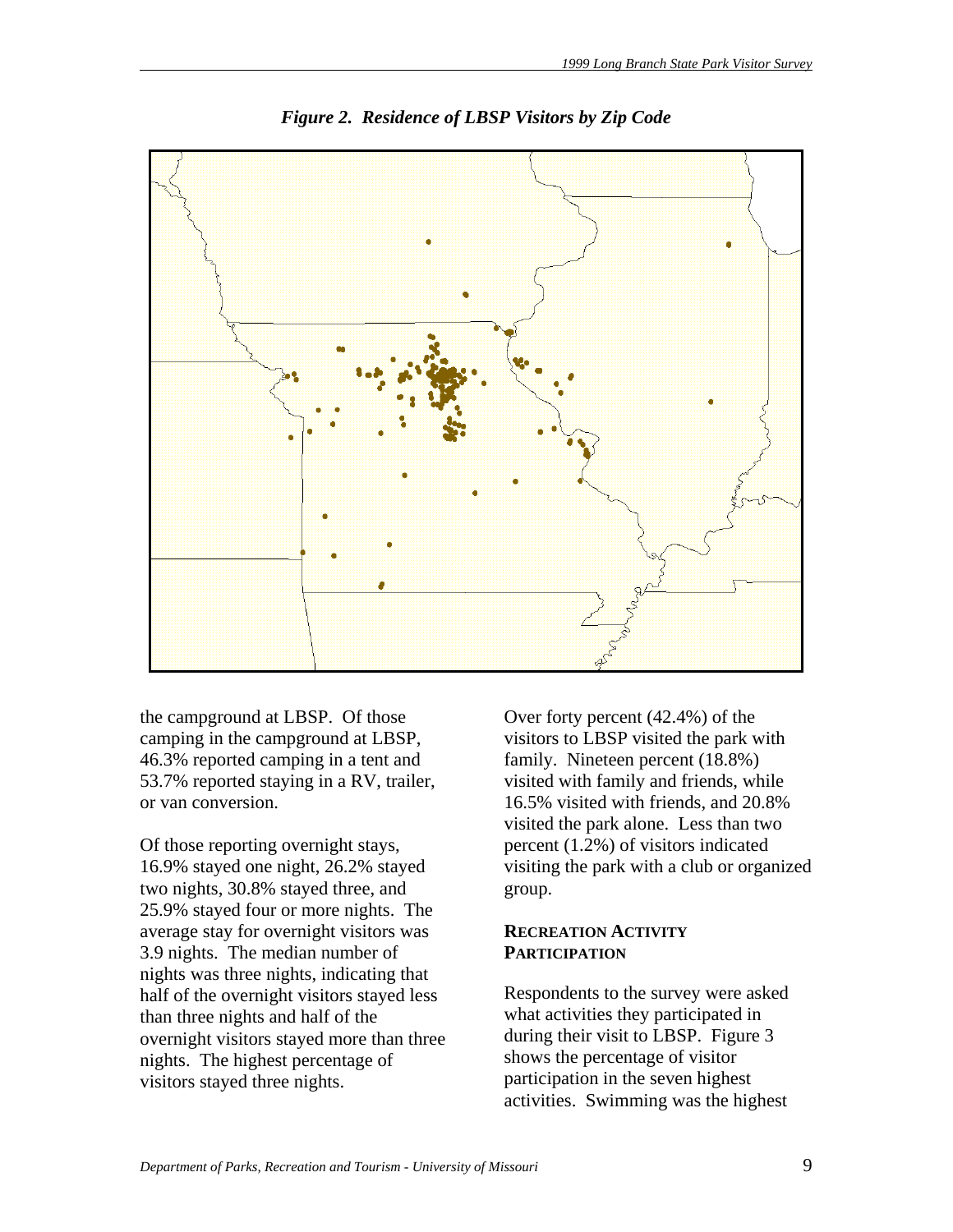

*Figure 2. Residence of LBSP Visitors by Zip Code* 

the campground at LBSP. Of those camping in the campground at LBSP, 46.3% reported camping in a tent and 53.7% reported staying in a RV, trailer, or van conversion.

Of those reporting overnight stays, 16.9% stayed one night, 26.2% stayed two nights, 30.8% stayed three, and 25.9% stayed four or more nights. The average stay for overnight visitors was 3.9 nights. The median number of nights was three nights, indicating that half of the overnight visitors stayed less than three nights and half of the overnight visitors stayed more than three nights. The highest percentage of visitors stayed three nights.

Over forty percent (42.4%) of the visitors to LBSP visited the park with family. Nineteen percent (18.8%) visited with family and friends, while 16.5% visited with friends, and 20.8% visited the park alone. Less than two percent (1.2%) of visitors indicated visiting the park with a club or organized group.

#### **RECREATION ACTIVITY PARTICIPATION**

Respondents to the survey were asked what activities they participated in during their visit to LBSP. Figure 3 shows the percentage of visitor participation in the seven highest activities. Swimming was the highest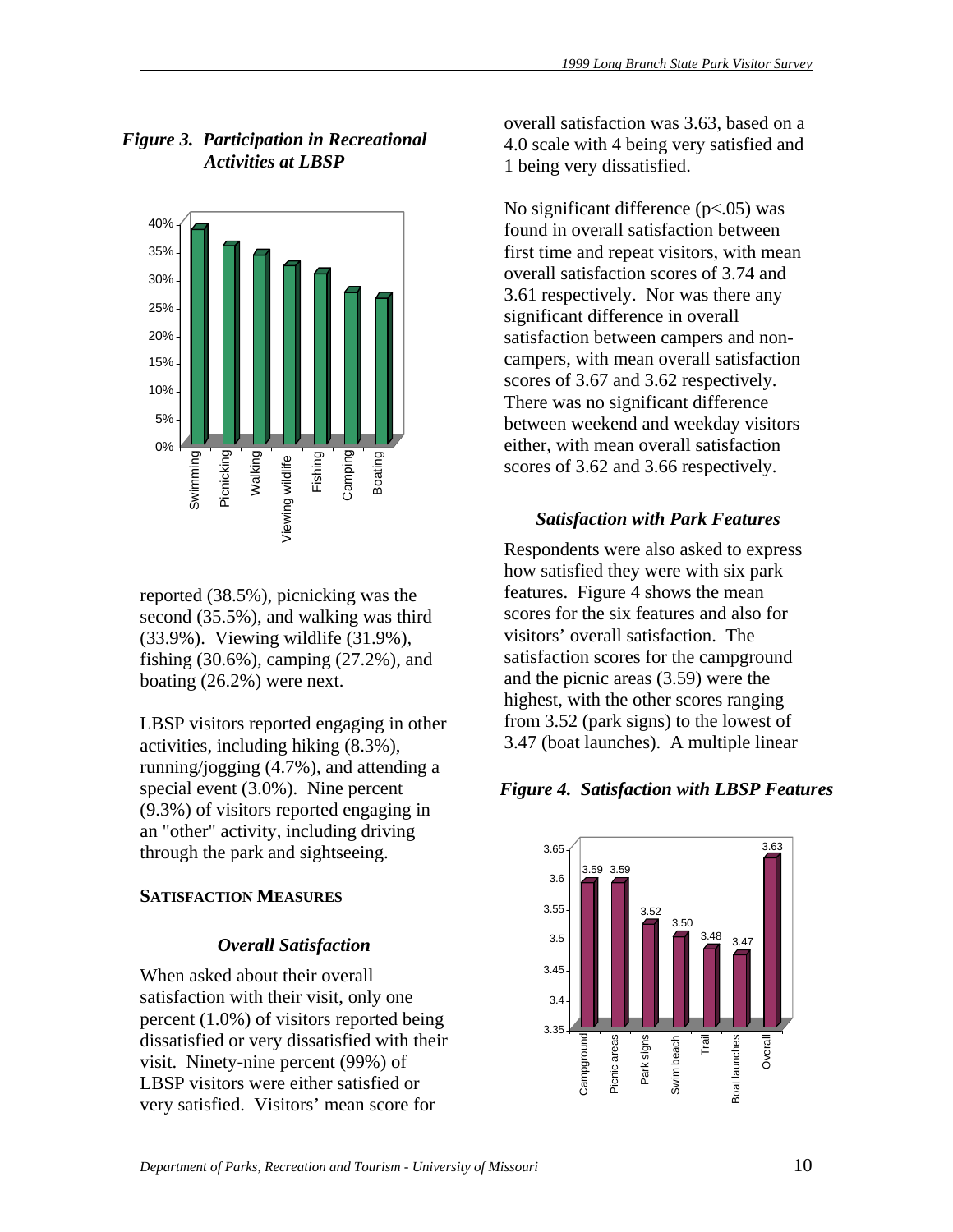# *Figure 3. Participation in Recreational Activities at LBSP*



reported (38.5%), picnicking was the second (35.5%), and walking was third (33.9%). Viewing wildlife (31.9%), fishing (30.6%), camping (27.2%), and boating (26.2%) were next.

LBSP visitors reported engaging in other activities, including hiking (8.3%), running/jogging (4.7%), and attending a special event (3.0%). Nine percent (9.3%) of visitors reported engaging in an "other" activity, including driving through the park and sightseeing.

# **SATISFACTION MEASURES**

# *Overall Satisfaction*

When asked about their overall satisfaction with their visit, only one percent (1.0%) of visitors reported being dissatisfied or very dissatisfied with their visit. Ninety-nine percent (99%) of LBSP visitors were either satisfied or very satisfied. Visitors' mean score for

overall satisfaction was 3.63, based on a 4.0 scale with 4 being very satisfied and 1 being very dissatisfied.

No significant difference  $(p<.05)$  was found in overall satisfaction between first time and repeat visitors, with mean overall satisfaction scores of 3.74 and 3.61 respectively. Nor was there any significant difference in overall satisfaction between campers and noncampers, with mean overall satisfaction scores of 3.67 and 3.62 respectively. There was no significant difference between weekend and weekday visitors either, with mean overall satisfaction scores of 3.62 and 3.66 respectively.

# *Satisfaction with Park Features*

Respondents were also asked to express how satisfied they were with six park features. Figure 4 shows the mean scores for the six features and also for visitors' overall satisfaction. The satisfaction scores for the campground and the picnic areas (3.59) were the highest, with the other scores ranging from 3.52 (park signs) to the lowest of 3.47 (boat launches). A multiple linear

# *Figure 4. Satisfaction with LBSP Features*

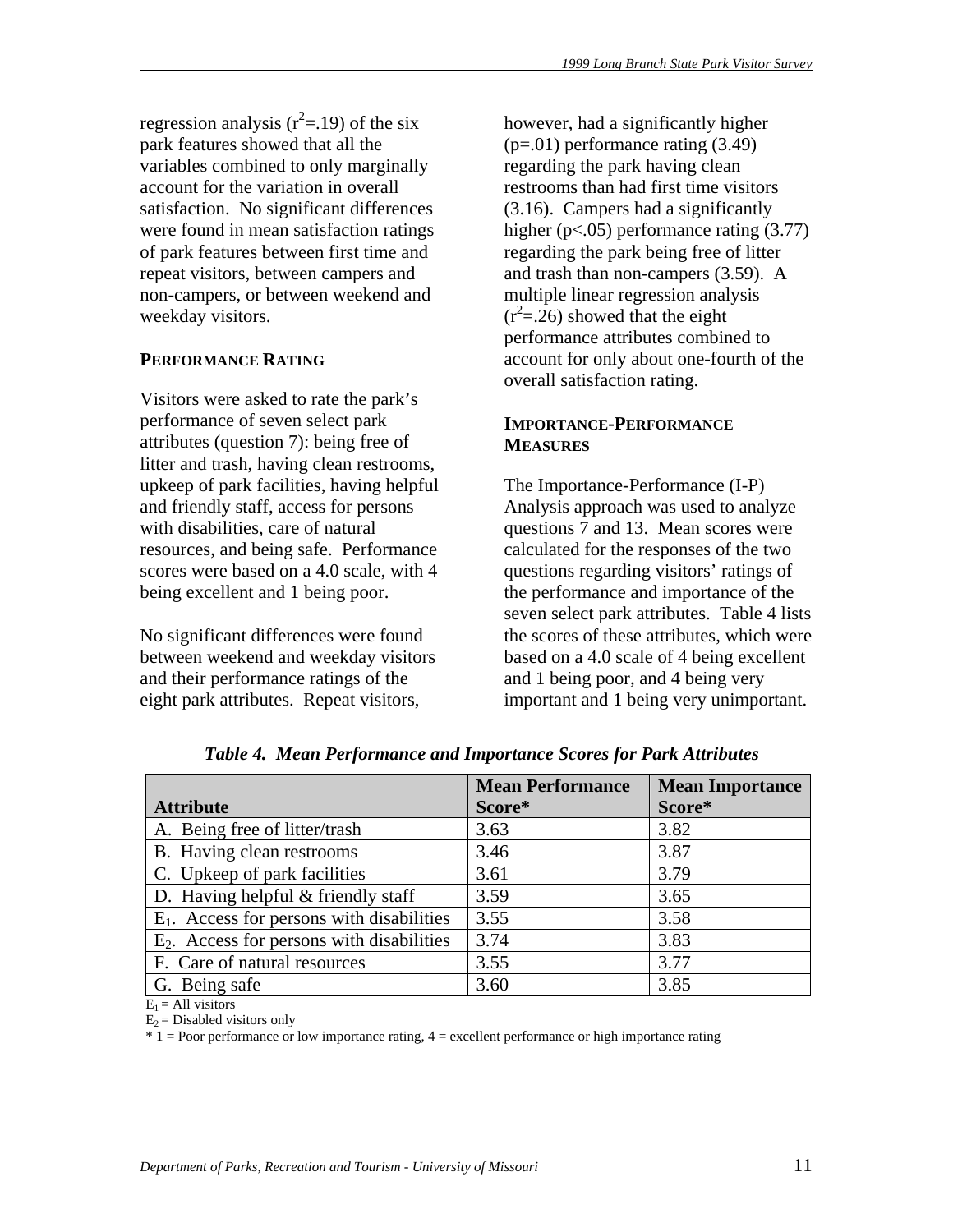regression analysis  $(r^2=19)$  of the six park features showed that all the variables combined to only marginally account for the variation in overall satisfaction. No significant differences were found in mean satisfaction ratings of park features between first time and repeat visitors, between campers and non-campers, or between weekend and weekday visitors.

# **PERFORMANCE RATING**

Visitors were asked to rate the park's performance of seven select park attributes (question 7): being free of litter and trash, having clean restrooms, upkeep of park facilities, having helpful and friendly staff, access for persons with disabilities, care of natural resources, and being safe. Performance scores were based on a 4.0 scale, with 4 being excellent and 1 being poor.

No significant differences were found between weekend and weekday visitors and their performance ratings of the eight park attributes. Repeat visitors,

however, had a significantly higher (p=.01) performance rating (3.49) regarding the park having clean restrooms than had first time visitors (3.16). Campers had a significantly higher (p<.05) performance rating (3.77) regarding the park being free of litter and trash than non-campers (3.59). A multiple linear regression analysis  $(r^2 = 26)$  showed that the eight performance attributes combined to account for only about one-fourth of the overall satisfaction rating.

#### **IMPORTANCE-PERFORMANCE MEASURES**

The Importance-Performance (I-P) Analysis approach was used to analyze questions 7 and 13. Mean scores were calculated for the responses of the two questions regarding visitors' ratings of the performance and importance of the seven select park attributes. Table 4 lists the scores of these attributes, which were based on a 4.0 scale of 4 being excellent and 1 being poor, and 4 being very important and 1 being very unimportant.

|                                              | <b>Mean Performance</b> | <b>Mean Importance</b> |
|----------------------------------------------|-------------------------|------------------------|
| <b>Attribute</b>                             | Score*                  | Score*                 |
| A. Being free of litter/trash                | 3.63                    | 3.82                   |
| B. Having clean restrooms                    | 3.46                    | 3.87                   |
| C. Upkeep of park facilities                 | 3.61                    | 3.79                   |
| D. Having helpful $&$ friendly staff         | 3.59                    | 3.65                   |
| $E_1$ . Access for persons with disabilities | 3.55                    | 3.58                   |
| $E_2$ . Access for persons with disabilities | 3.74                    | 3.83                   |
| F. Care of natural resources                 | 3.55                    | 3.77                   |
| G. Being safe                                | 3.60                    | 3.85                   |

*Table 4. Mean Performance and Importance Scores for Park Attributes* 

 $E_1$  = All visitors

 $E_2$  = Disabled visitors only

\* 1 = Poor performance or low importance rating, 4 = excellent performance or high importance rating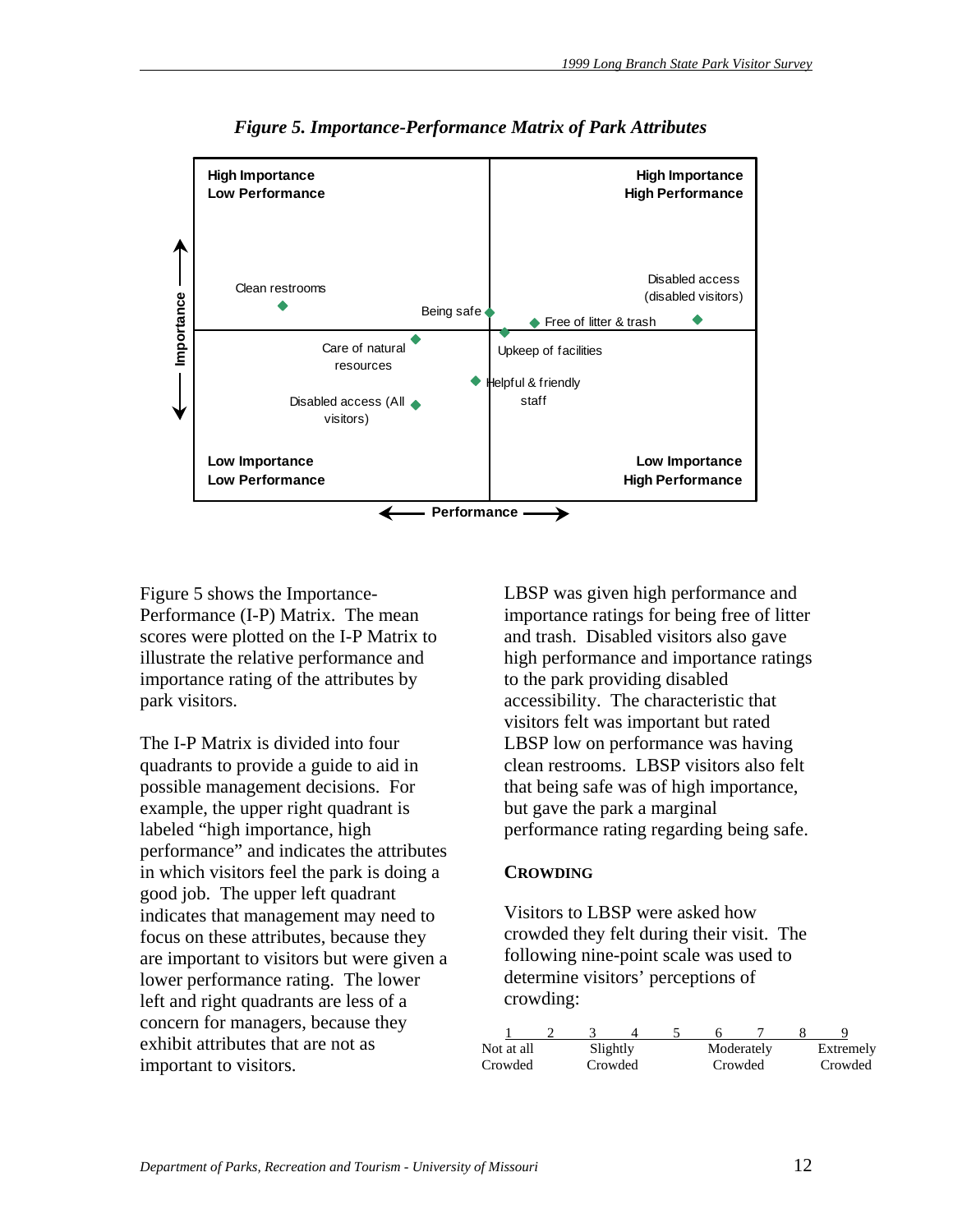

*Figure 5. Importance-Performance Matrix of Park Attributes* 

Figure 5 shows the Importance-Performance (I-P) Matrix. The mean scores were plotted on the I-P Matrix to illustrate the relative performance and importance rating of the attributes by park visitors.

The I-P Matrix is divided into four quadrants to provide a guide to aid in possible management decisions. For example, the upper right quadrant is labeled "high importance, high performance" and indicates the attributes in which visitors feel the park is doing a good job. The upper left quadrant indicates that management may need to focus on these attributes, because they are important to visitors but were given a lower performance rating. The lower left and right quadrants are less of a concern for managers, because they exhibit attributes that are not as important to visitors.

LBSP was given high performance and importance ratings for being free of litter and trash. Disabled visitors also gave high performance and importance ratings to the park providing disabled accessibility. The characteristic that visitors felt was important but rated LBSP low on performance was having clean restrooms. LBSP visitors also felt that being safe was of high importance, but gave the park a marginal performance rating regarding being safe.

#### **CROWDING**

Visitors to LBSP were asked how crowded they felt during their visit. The following nine-point scale was used to determine visitors' perceptions of crowding:

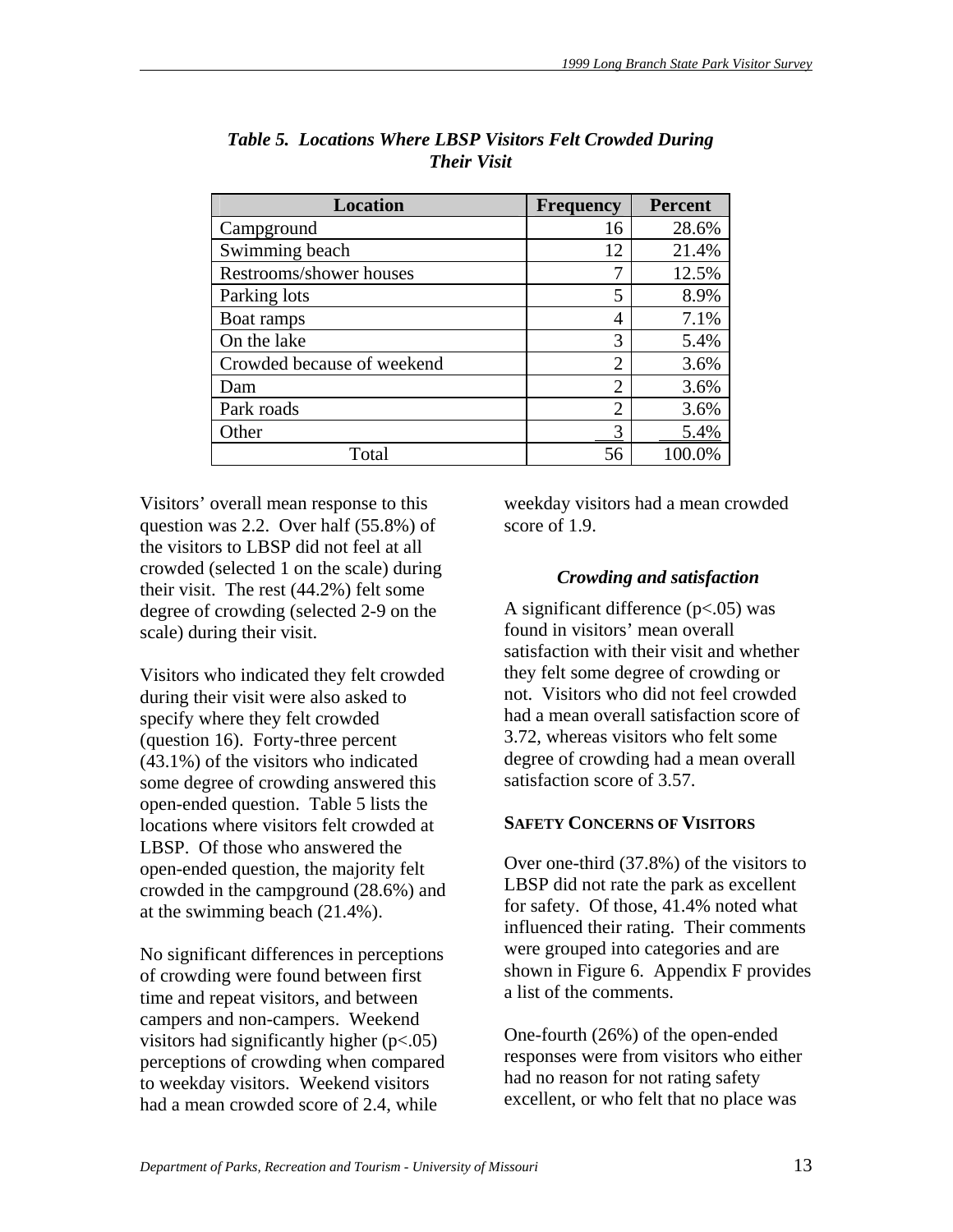| <b>Location</b>            | <b>Frequency</b> | <b>Percent</b> |
|----------------------------|------------------|----------------|
| Campground                 | 16               | 28.6%          |
| Swimming beach             | 12               | 21.4%          |
| Restrooms/shower houses    | 7                | 12.5%          |
| Parking lots               | 5                | 8.9%           |
| Boat ramps                 | 4                | 7.1%           |
| On the lake                | 3                | 5.4%           |
| Crowded because of weekend | $\overline{2}$   | 3.6%           |
| Dam                        | $\overline{2}$   | 3.6%           |
| Park roads                 | $\overline{2}$   | 3.6%           |
| Other                      | 3                | 5.4%           |
| Total                      | 56               | 100.0%         |

*Table 5. Locations Where LBSP Visitors Felt Crowded During Their Visit* 

Visitors' overall mean response to this question was 2.2. Over half (55.8%) of the visitors to LBSP did not feel at all crowded (selected 1 on the scale) during their visit. The rest (44.2%) felt some degree of crowding (selected 2-9 on the scale) during their visit.

Visitors who indicated they felt crowded during their visit were also asked to specify where they felt crowded (question 16). Forty-three percent (43.1%) of the visitors who indicated some degree of crowding answered this open-ended question. Table 5 lists the locations where visitors felt crowded at LBSP. Of those who answered the open-ended question, the majority felt crowded in the campground (28.6%) and at the swimming beach (21.4%).

No significant differences in perceptions of crowding were found between first time and repeat visitors, and between campers and non-campers. Weekend visitors had significantly higher (p<.05) perceptions of crowding when compared to weekday visitors. Weekend visitors had a mean crowded score of 2.4, while

weekday visitors had a mean crowded score of 1.9.

# *Crowding and satisfaction*

A significant difference  $(p<.05)$  was found in visitors' mean overall satisfaction with their visit and whether they felt some degree of crowding or not. Visitors who did not feel crowded had a mean overall satisfaction score of 3.72, whereas visitors who felt some degree of crowding had a mean overall satisfaction score of 3.57.

# **SAFETY CONCERNS OF VISITORS**

Over one-third (37.8%) of the visitors to LBSP did not rate the park as excellent for safety. Of those, 41.4% noted what influenced their rating. Their comments were grouped into categories and are shown in Figure 6. Appendix F provides a list of the comments.

One-fourth (26%) of the open-ended responses were from visitors who either had no reason for not rating safety excellent, or who felt that no place was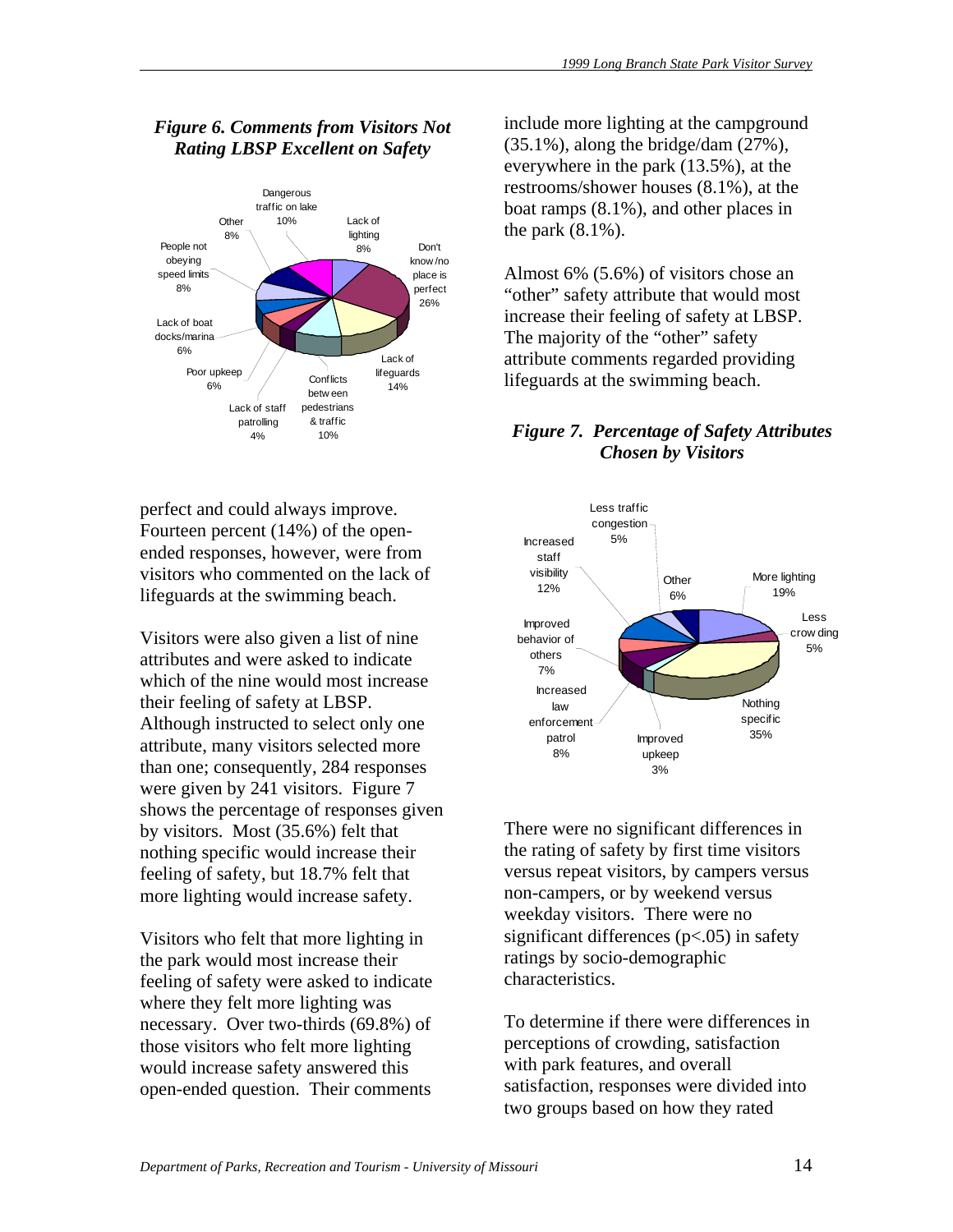# *Figure 6. Comments from Visitors Not Rating LBSP Excellent on Safety*



perfect and could always improve. Fourteen percent (14%) of the openended responses, however, were from visitors who commented on the lack of lifeguards at the swimming beach.

Visitors were also given a list of nine attributes and were asked to indicate which of the nine would most increase their feeling of safety at LBSP. Although instructed to select only one attribute, many visitors selected more than one; consequently, 284 responses were given by 241 visitors. Figure 7 shows the percentage of responses given by visitors. Most (35.6%) felt that nothing specific would increase their feeling of safety, but 18.7% felt that more lighting would increase safety.

Visitors who felt that more lighting in the park would most increase their feeling of safety were asked to indicate where they felt more lighting was necessary. Over two-thirds (69.8%) of those visitors who felt more lighting would increase safety answered this open-ended question. Their comments

include more lighting at the campground  $(35.1\%)$ , along the bridge/dam  $(27\%)$ , everywhere in the park (13.5%), at the restrooms/shower houses (8.1%), at the boat ramps (8.1%), and other places in the park (8.1%).

Almost 6% (5.6%) of visitors chose an "other" safety attribute that would most increase their feeling of safety at LBSP. The majority of the "other" safety attribute comments regarded providing lifeguards at the swimming beach.

# *Figure 7. Percentage of Safety Attributes Chosen by Visitors*



There were no significant differences in the rating of safety by first time visitors versus repeat visitors, by campers versus non-campers, or by weekend versus weekday visitors. There were no significant differences  $(p<.05)$  in safety ratings by socio-demographic characteristics.

To determine if there were differences in perceptions of crowding, satisfaction with park features, and overall satisfaction, responses were divided into two groups based on how they rated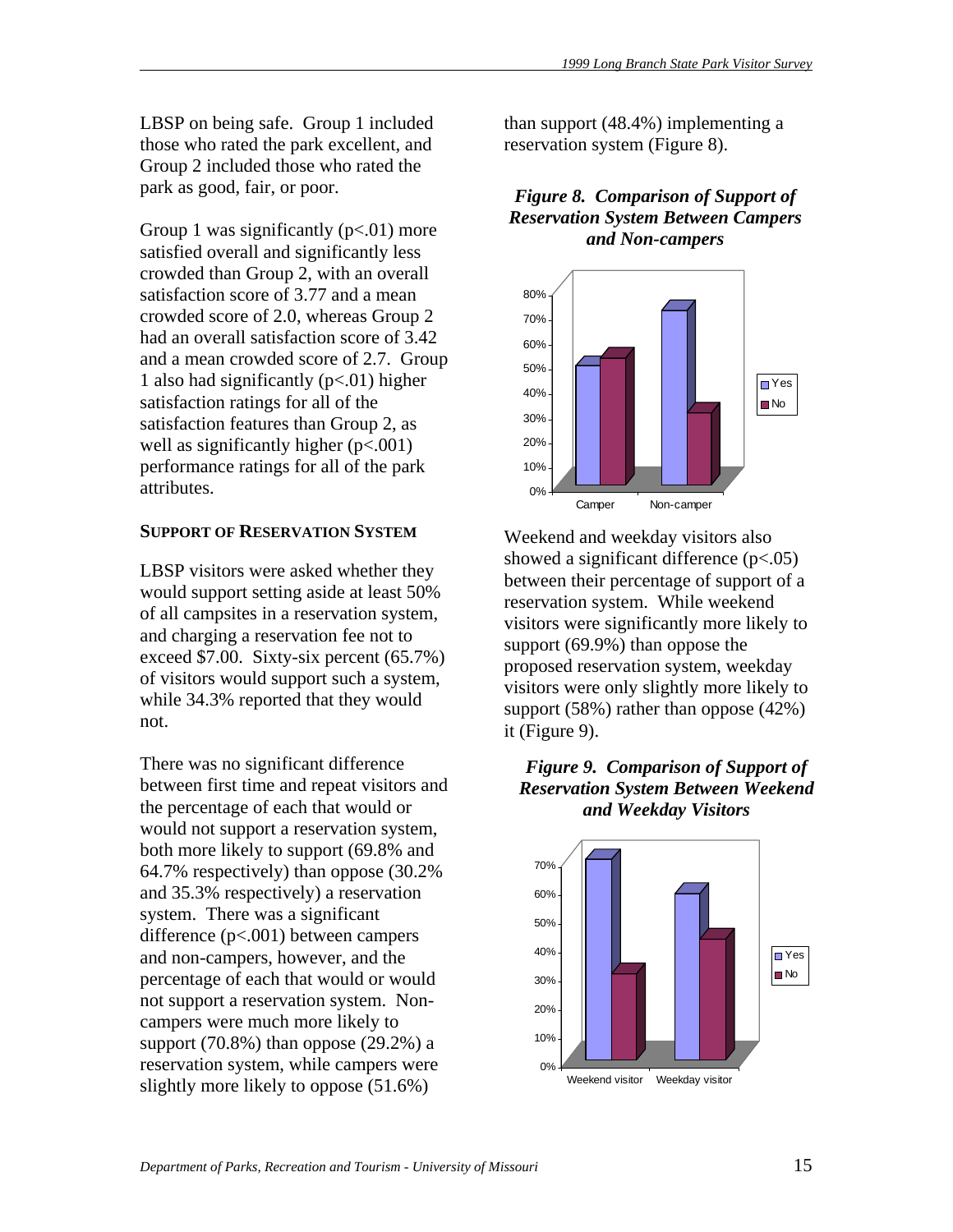LBSP on being safe. Group 1 included those who rated the park excellent, and Group 2 included those who rated the park as good, fair, or poor.

Group 1 was significantly  $(p<.01)$  more satisfied overall and significantly less crowded than Group 2, with an overall satisfaction score of 3.77 and a mean crowded score of 2.0, whereas Group 2 had an overall satisfaction score of 3.42 and a mean crowded score of 2.7. Group 1 also had significantly  $(p<.01)$  higher satisfaction ratings for all of the satisfaction features than Group 2, as well as significantly higher  $(p<.001)$ performance ratings for all of the park attributes.

# **SUPPORT OF RESERVATION SYSTEM**

LBSP visitors were asked whether they would support setting aside at least 50% of all campsites in a reservation system, and charging a reservation fee not to exceed \$7.00. Sixty-six percent (65.7%) of visitors would support such a system, while 34.3% reported that they would not.

There was no significant difference between first time and repeat visitors and the percentage of each that would or would not support a reservation system, both more likely to support (69.8% and 64.7% respectively) than oppose (30.2% and 35.3% respectively) a reservation system. There was a significant difference (p<.001) between campers and non-campers, however, and the percentage of each that would or would not support a reservation system. Noncampers were much more likely to support  $(70.8\%)$  than oppose  $(29.2\%)$  a reservation system, while campers were slightly more likely to oppose (51.6%)

than support (48.4%) implementing a reservation system (Figure 8).

# *Figure 8. Comparison of Support of Reservation System Between Campers and Non-campers*



Weekend and weekday visitors also showed a significant difference (p<.05) between their percentage of support of a reservation system. While weekend visitors were significantly more likely to support (69.9%) than oppose the proposed reservation system, weekday visitors were only slightly more likely to support (58%) rather than oppose (42%) it (Figure 9).

# *Figure 9. Comparison of Support of Reservation System Between Weekend and Weekday Visitors*

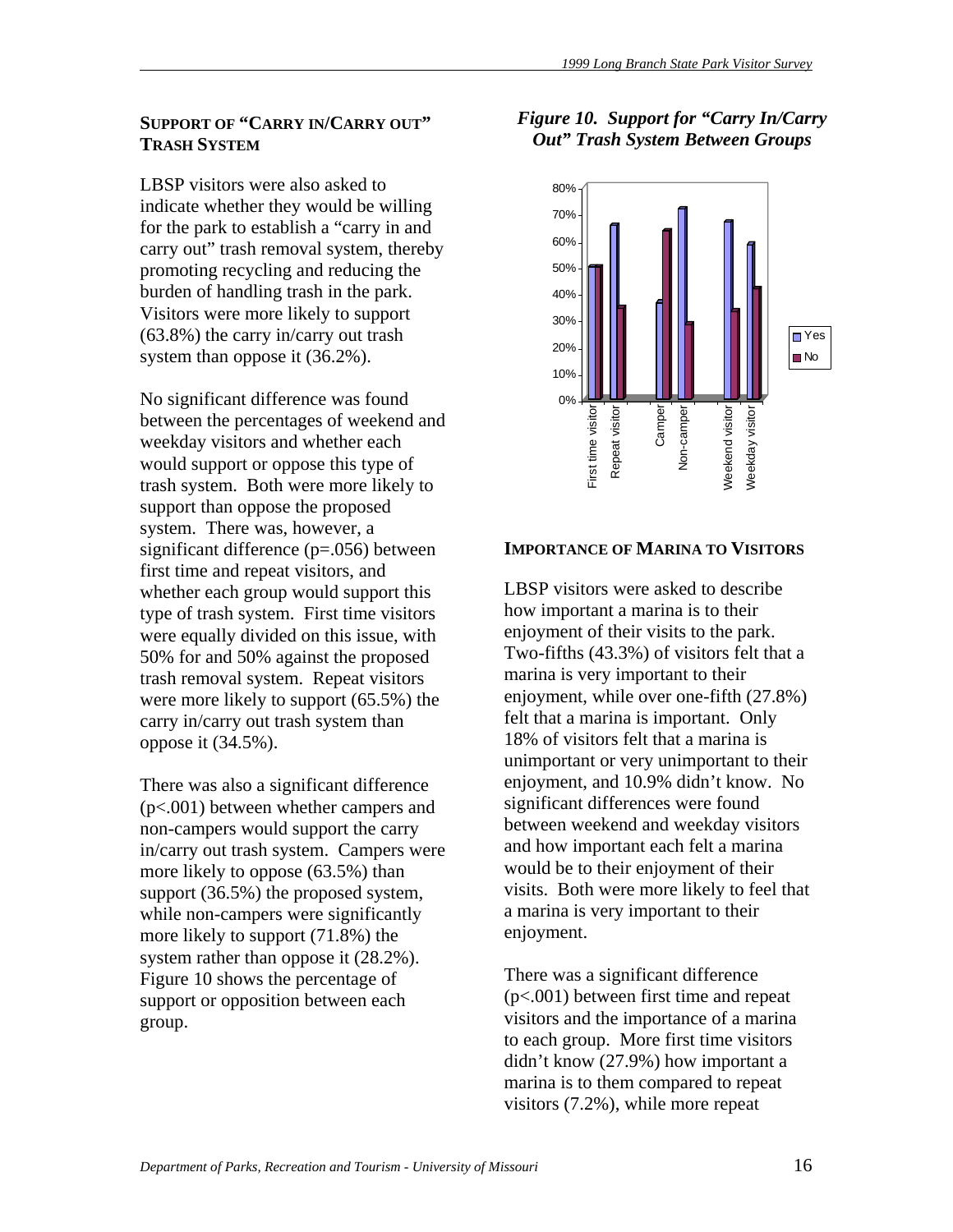# **SUPPORT OF "CARRY IN/CARRY OUT" TRASH SYSTEM**

LBSP visitors were also asked to indicate whether they would be willing for the park to establish a "carry in and carry out" trash removal system, thereby promoting recycling and reducing the burden of handling trash in the park. Visitors were more likely to support (63.8%) the carry in/carry out trash system than oppose it (36.2%).

No significant difference was found between the percentages of weekend and weekday visitors and whether each would support or oppose this type of trash system. Both were more likely to support than oppose the proposed system. There was, however, a significant difference (p=.056) between first time and repeat visitors, and whether each group would support this type of trash system. First time visitors were equally divided on this issue, with 50% for and 50% against the proposed trash removal system. Repeat visitors were more likely to support (65.5%) the carry in/carry out trash system than oppose it (34.5%).

There was also a significant difference (p<.001) between whether campers and non-campers would support the carry in/carry out trash system. Campers were more likely to oppose (63.5%) than support (36.5%) the proposed system, while non-campers were significantly more likely to support (71.8%) the system rather than oppose it (28.2%). Figure 10 shows the percentage of support or opposition between each group.

# *Figure 10. Support for "Carry In/Carry Out" Trash System Between Groups*



# **IMPORTANCE OF MARINA TO VISITORS**

LBSP visitors were asked to describe how important a marina is to their enjoyment of their visits to the park. Two-fifths (43.3%) of visitors felt that a marina is very important to their enjoyment, while over one-fifth (27.8%) felt that a marina is important. Only 18% of visitors felt that a marina is unimportant or very unimportant to their enjoyment, and 10.9% didn't know. No significant differences were found between weekend and weekday visitors and how important each felt a marina would be to their enjoyment of their visits. Both were more likely to feel that a marina is very important to their enjoyment.

There was a significant difference (p<.001) between first time and repeat visitors and the importance of a marina to each group. More first time visitors didn't know (27.9%) how important a marina is to them compared to repeat visitors (7.2%), while more repeat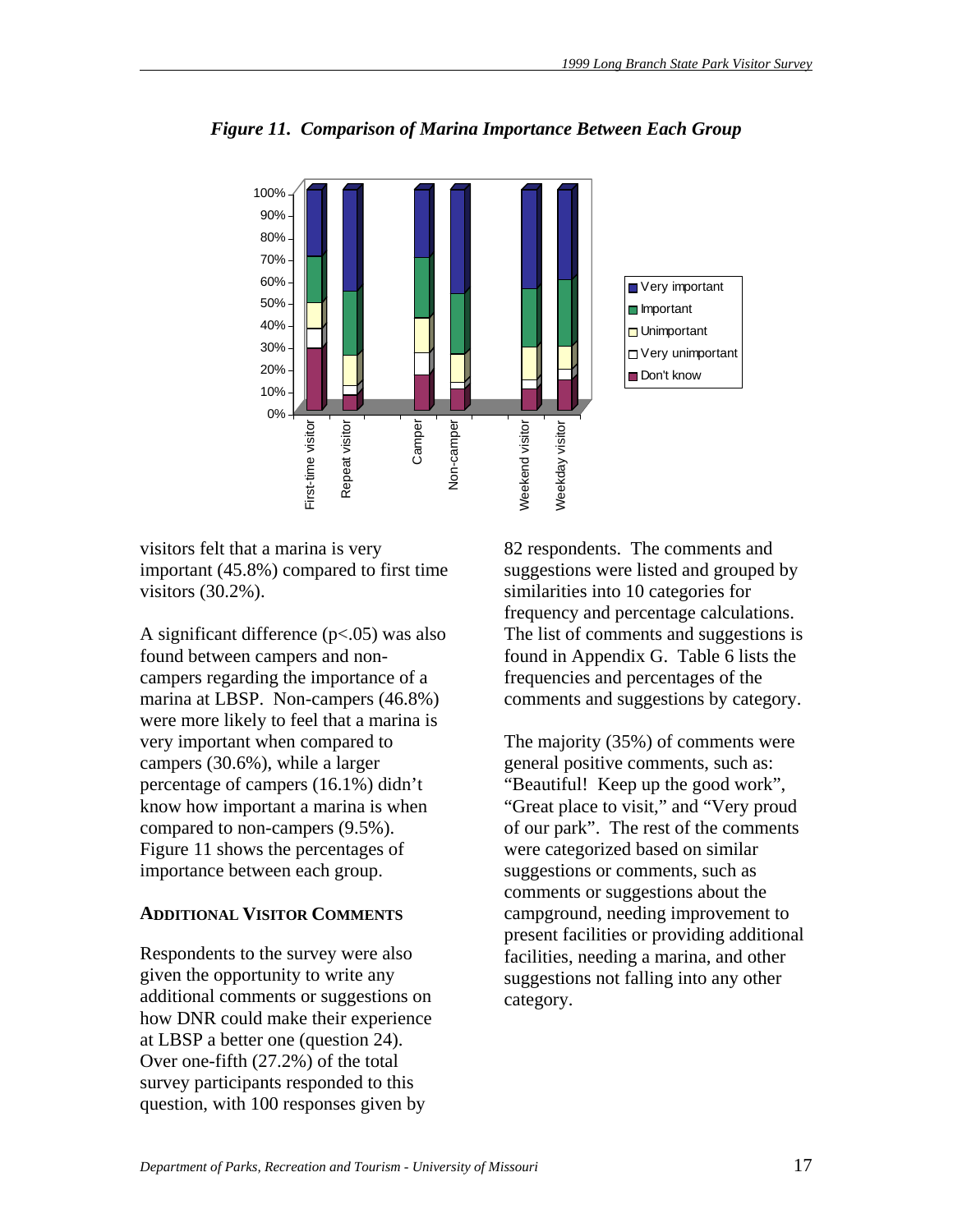

*Figure 11. Comparison of Marina Importance Between Each Group* 

visitors felt that a marina is very important (45.8%) compared to first time visitors (30.2%).

A significant difference (p<.05) was also found between campers and noncampers regarding the importance of a marina at LBSP. Non-campers (46.8%) were more likely to feel that a marina is very important when compared to campers (30.6%), while a larger percentage of campers (16.1%) didn't know how important a marina is when compared to non-campers (9.5%). Figure 11 shows the percentages of importance between each group.

# **ADDITIONAL VISITOR COMMENTS**

Respondents to the survey were also given the opportunity to write any additional comments or suggestions on how DNR could make their experience at LBSP a better one (question 24). Over one-fifth (27.2%) of the total survey participants responded to this question, with 100 responses given by

82 respondents. The comments and suggestions were listed and grouped by similarities into 10 categories for frequency and percentage calculations. The list of comments and suggestions is found in Appendix G. Table 6 lists the frequencies and percentages of the comments and suggestions by category.

The majority (35%) of comments were general positive comments, such as: "Beautiful! Keep up the good work", "Great place to visit," and "Very proud of our park". The rest of the comments were categorized based on similar suggestions or comments, such as comments or suggestions about the campground, needing improvement to present facilities or providing additional facilities, needing a marina, and other suggestions not falling into any other category.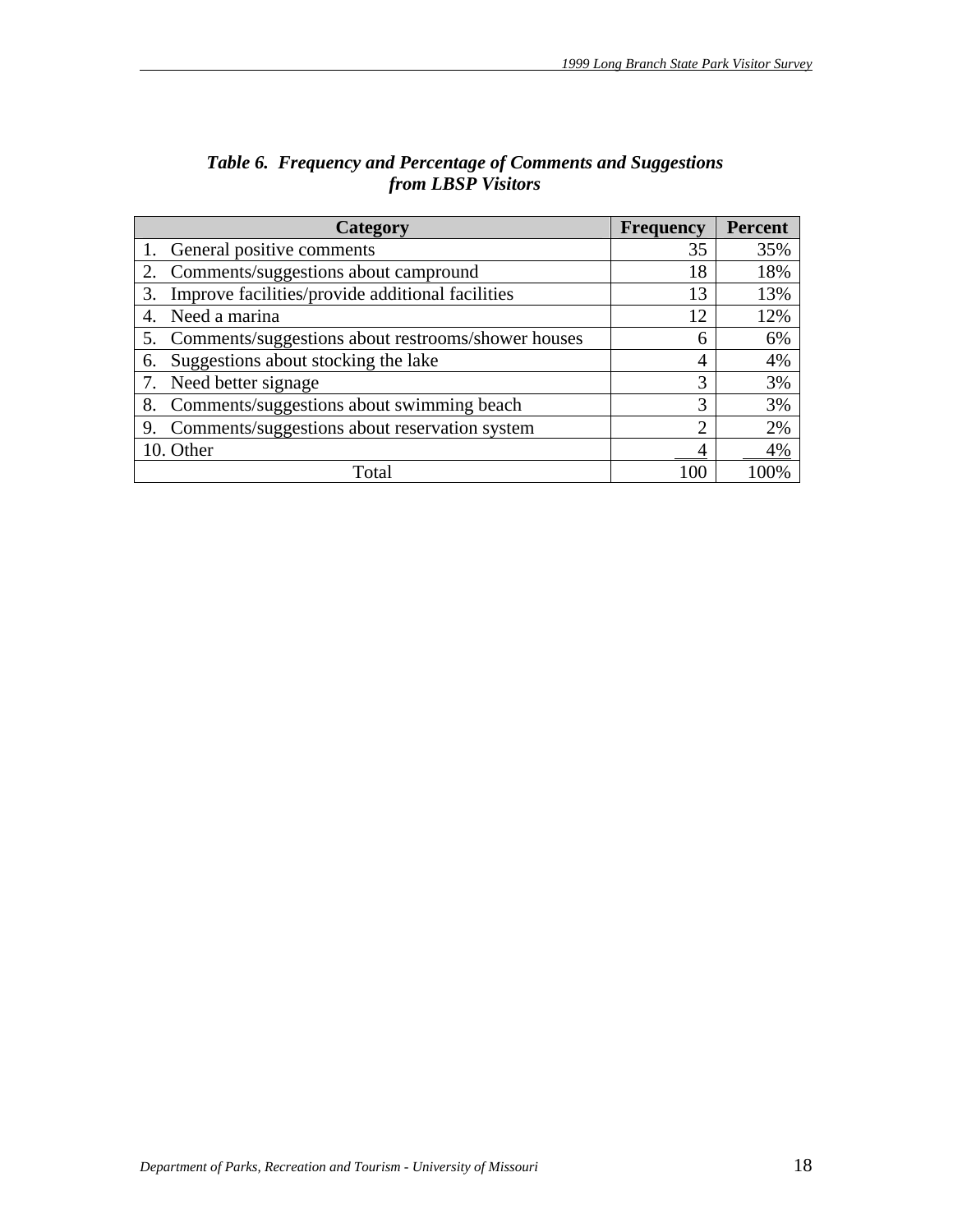| Category                                                 | <b>Frequency</b> | <b>Percent</b> |
|----------------------------------------------------------|------------------|----------------|
| 1. General positive comments                             | 35               | 35%            |
| Comments/suggestions about campround<br>2.               | 18               | 18%            |
| Improve facilities/provide additional facilities<br>3.   | 13               | 13%            |
| Need a marina<br>4.                                      | 12               | 12%            |
| 5.<br>Comments/suggestions about restrooms/shower houses | 6                | 6%             |
| Suggestions about stocking the lake<br>6.                | 4                | 4%             |
| Need better signage<br>7.                                | 3                | 3%             |
| Comments/suggestions about swimming beach<br>8.          | 3                | 3%             |
| Comments/suggestions about reservation system<br>9.      | $\overline{2}$   | 2%             |
| 10. Other                                                |                  | 4%             |
| Total                                                    | 100              |                |

# *Table 6. Frequency and Percentage of Comments and Suggestions from LBSP Visitors*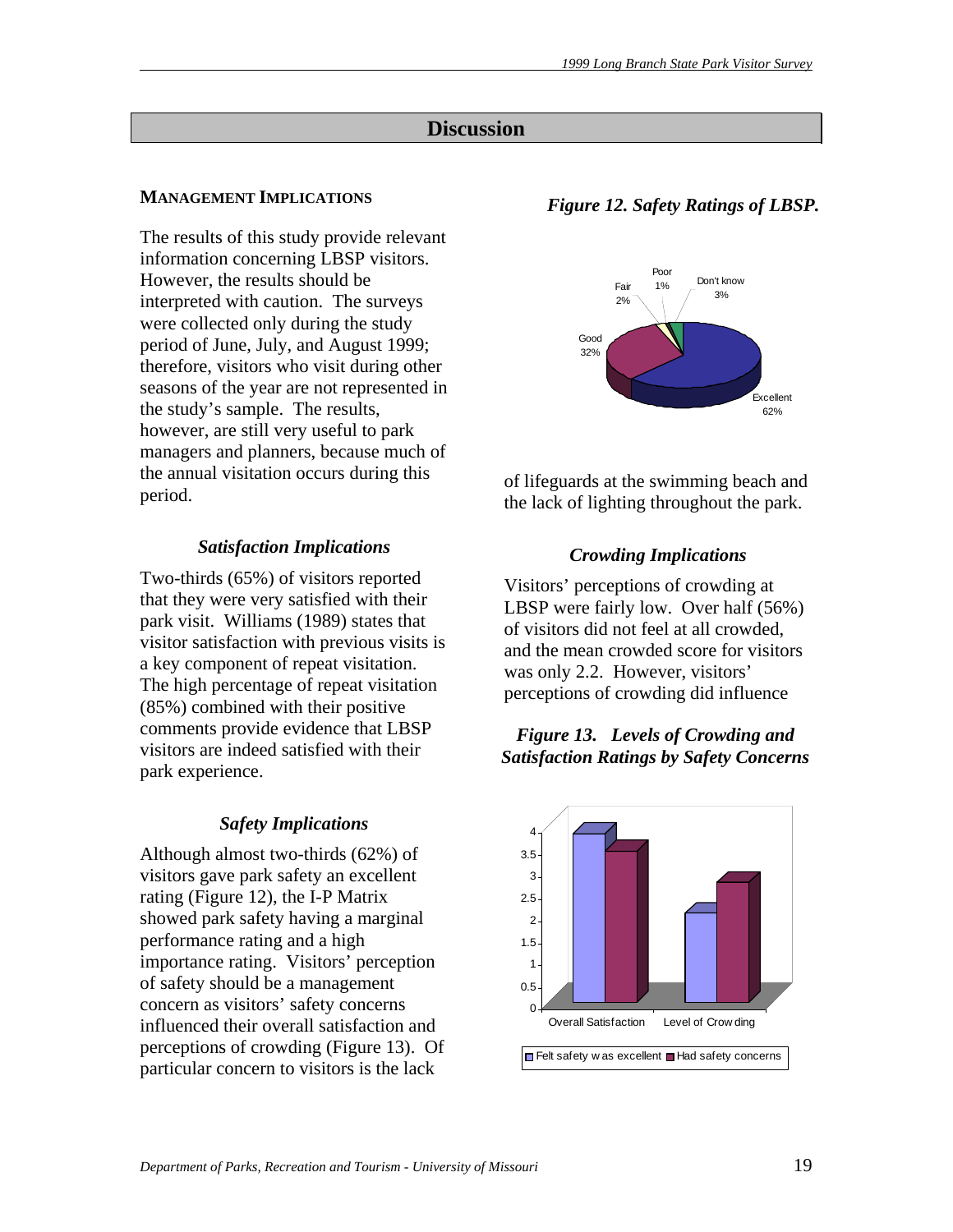# **Discussion**

#### **MANAGEMENT IMPLICATIONS**

The results of this study provide relevant information concerning LBSP visitors. However, the results should be interpreted with caution. The surveys were collected only during the study period of June, July, and August 1999; therefore, visitors who visit during other seasons of the year are not represented in the study's sample. The results, however, are still very useful to park managers and planners, because much of the annual visitation occurs during this period.

#### *Satisfaction Implications*

Two-thirds (65%) of visitors reported that they were very satisfied with their park visit. Williams (1989) states that visitor satisfaction with previous visits is a key component of repeat visitation. The high percentage of repeat visitation (85%) combined with their positive comments provide evidence that LBSP visitors are indeed satisfied with their park experience.

#### *Safety Implications*

Although almost two-thirds (62%) of visitors gave park safety an excellent rating (Figure 12), the I-P Matrix showed park safety having a marginal performance rating and a high importance rating. Visitors' perception of safety should be a management concern as visitors' safety concerns influenced their overall satisfaction and perceptions of crowding (Figure 13). Of particular concern to visitors is the lack

#### *Figure 12. Safety Ratings of LBSP.*



of lifeguards at the swimming beach and the lack of lighting throughout the park.

#### *Crowding Implications*

Visitors' perceptions of crowding at LBSP were fairly low. Over half (56%) of visitors did not feel at all crowded, and the mean crowded score for visitors was only 2.2. However, visitors' perceptions of crowding did influence

#### *Figure 13. Levels of Crowding and Satisfaction Ratings by Safety Concerns*

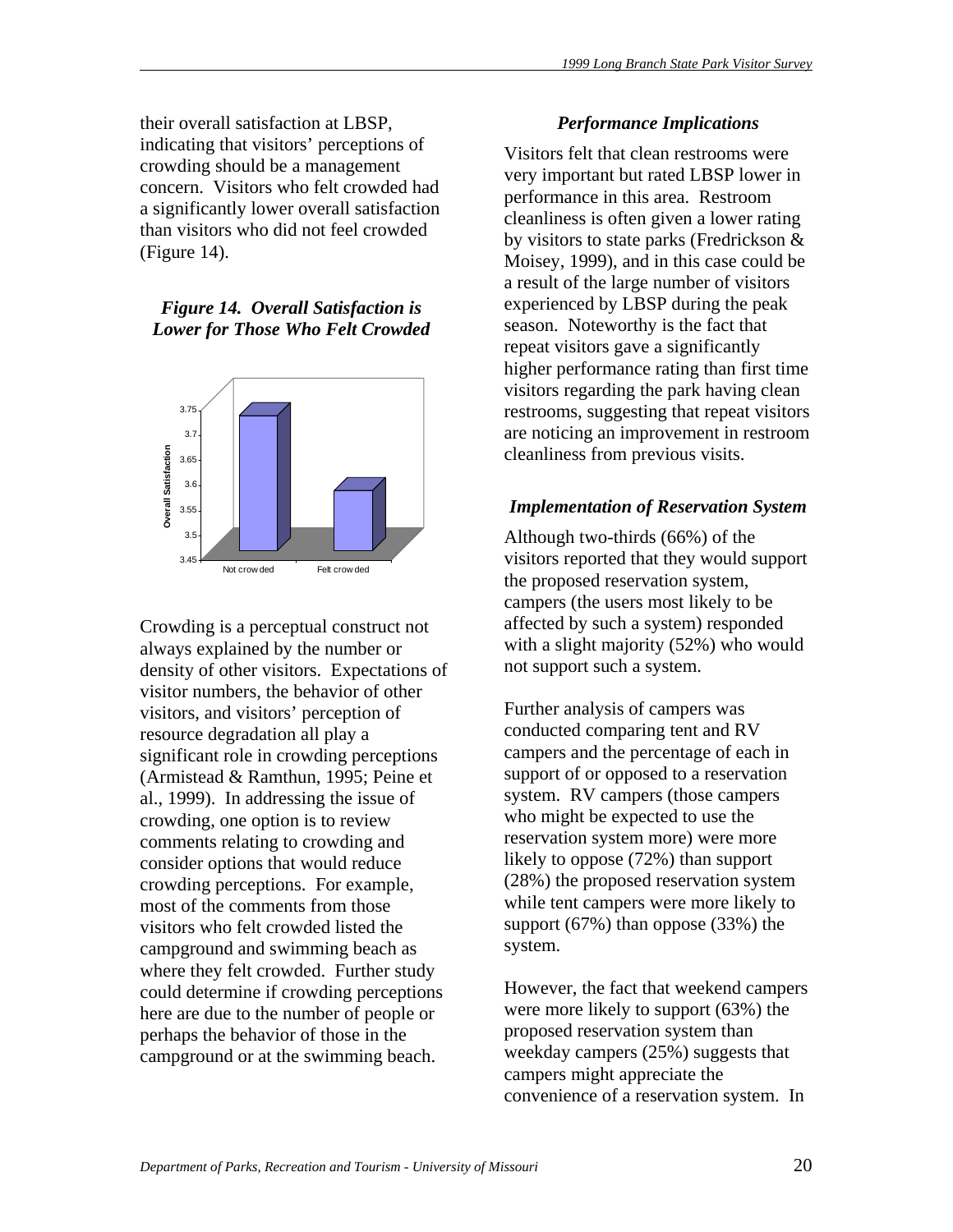their overall satisfaction at LBSP, indicating that visitors' perceptions of crowding should be a management concern. Visitors who felt crowded had a significantly lower overall satisfaction than visitors who did not feel crowded (Figure 14).

*Figure 14. Overall Satisfaction is Lower for Those Who Felt Crowded* 



Crowding is a perceptual construct not always explained by the number or density of other visitors. Expectations of visitor numbers, the behavior of other visitors, and visitors' perception of resource degradation all play a significant role in crowding perceptions (Armistead & Ramthun, 1995; Peine et al., 1999). In addressing the issue of crowding, one option is to review comments relating to crowding and consider options that would reduce crowding perceptions. For example, most of the comments from those visitors who felt crowded listed the campground and swimming beach as where they felt crowded. Further study could determine if crowding perceptions here are due to the number of people or perhaps the behavior of those in the campground or at the swimming beach.

# *Performance Implications*

Visitors felt that clean restrooms were very important but rated LBSP lower in performance in this area. Restroom cleanliness is often given a lower rating by visitors to state parks (Fredrickson & Moisey, 1999), and in this case could be a result of the large number of visitors experienced by LBSP during the peak season. Noteworthy is the fact that repeat visitors gave a significantly higher performance rating than first time visitors regarding the park having clean restrooms, suggesting that repeat visitors are noticing an improvement in restroom cleanliness from previous visits.

# *Implementation of Reservation System*

Although two-thirds (66%) of the visitors reported that they would support the proposed reservation system, campers (the users most likely to be affected by such a system) responded with a slight majority (52%) who would not support such a system.

Further analysis of campers was conducted comparing tent and RV campers and the percentage of each in support of or opposed to a reservation system. RV campers (those campers who might be expected to use the reservation system more) were more likely to oppose (72%) than support (28%) the proposed reservation system while tent campers were more likely to support (67%) than oppose (33%) the system.

However, the fact that weekend campers were more likely to support (63%) the proposed reservation system than weekday campers (25%) suggests that campers might appreciate the convenience of a reservation system. In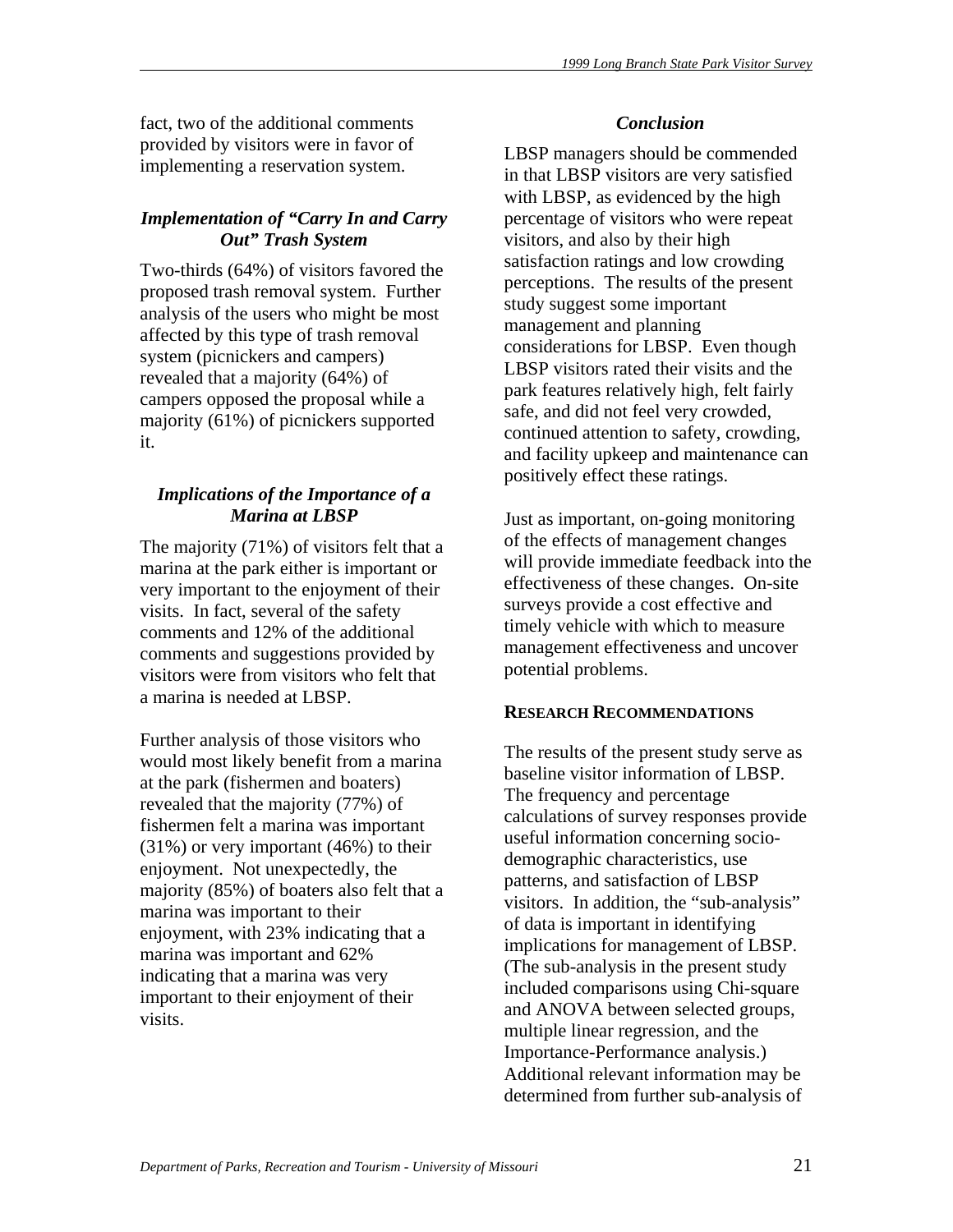fact, two of the additional comments provided by visitors were in favor of implementing a reservation system.

# *Implementation of "Carry In and Carry Out" Trash System*

Two-thirds (64%) of visitors favored the proposed trash removal system. Further analysis of the users who might be most affected by this type of trash removal system (picnickers and campers) revealed that a majority (64%) of campers opposed the proposal while a majority (61%) of picnickers supported it.

# *Implications of the Importance of a Marina at LBSP*

The majority (71%) of visitors felt that a marina at the park either is important or very important to the enjoyment of their visits. In fact, several of the safety comments and 12% of the additional comments and suggestions provided by visitors were from visitors who felt that a marina is needed at LBSP.

Further analysis of those visitors who would most likely benefit from a marina at the park (fishermen and boaters) revealed that the majority (77%) of fishermen felt a marina was important  $(31\%)$  or very important  $(46\%)$  to their enjoyment. Not unexpectedly, the majority (85%) of boaters also felt that a marina was important to their enjoyment, with 23% indicating that a marina was important and 62% indicating that a marina was very important to their enjoyment of their visits.

# *Conclusion*

LBSP managers should be commended in that LBSP visitors are very satisfied with LBSP, as evidenced by the high percentage of visitors who were repeat visitors, and also by their high satisfaction ratings and low crowding perceptions. The results of the present study suggest some important management and planning considerations for LBSP. Even though LBSP visitors rated their visits and the park features relatively high, felt fairly safe, and did not feel very crowded, continued attention to safety, crowding, and facility upkeep and maintenance can positively effect these ratings.

Just as important, on-going monitoring of the effects of management changes will provide immediate feedback into the effectiveness of these changes. On-site surveys provide a cost effective and timely vehicle with which to measure management effectiveness and uncover potential problems.

# **RESEARCH RECOMMENDATIONS**

The results of the present study serve as baseline visitor information of LBSP. The frequency and percentage calculations of survey responses provide useful information concerning sociodemographic characteristics, use patterns, and satisfaction of LBSP visitors. In addition, the "sub-analysis" of data is important in identifying implications for management of LBSP. (The sub-analysis in the present study included comparisons using Chi-square and ANOVA between selected groups, multiple linear regression, and the Importance-Performance analysis.) Additional relevant information may be determined from further sub-analysis of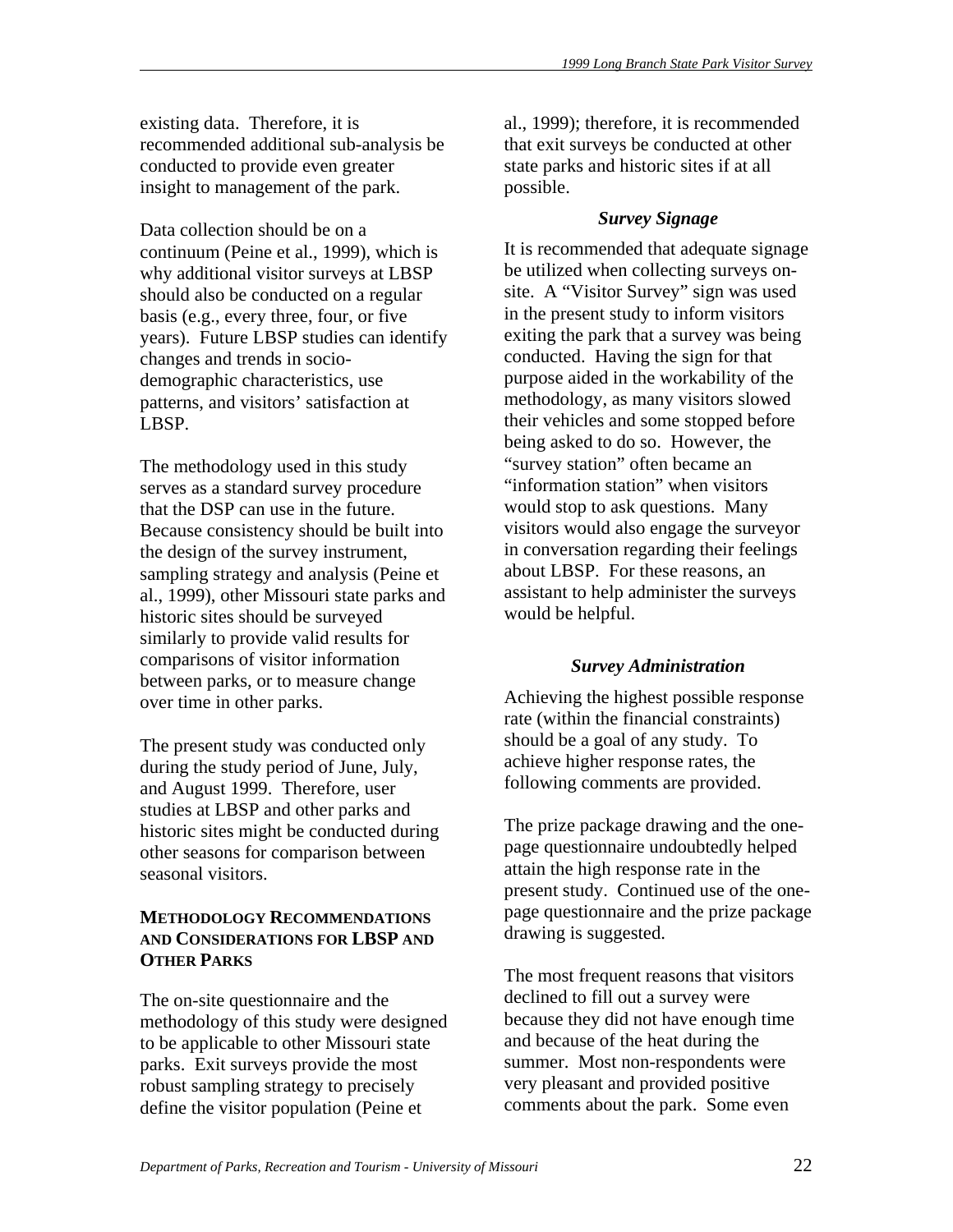existing data. Therefore, it is recommended additional sub-analysis be conducted to provide even greater insight to management of the park.

Data collection should be on a continuum (Peine et al., 1999), which is why additional visitor surveys at LBSP should also be conducted on a regular basis (e.g., every three, four, or five years). Future LBSP studies can identify changes and trends in sociodemographic characteristics, use patterns, and visitors' satisfaction at LBSP.

The methodology used in this study serves as a standard survey procedure that the DSP can use in the future. Because consistency should be built into the design of the survey instrument, sampling strategy and analysis (Peine et al., 1999), other Missouri state parks and historic sites should be surveyed similarly to provide valid results for comparisons of visitor information between parks, or to measure change over time in other parks.

The present study was conducted only during the study period of June, July, and August 1999. Therefore, user studies at LBSP and other parks and historic sites might be conducted during other seasons for comparison between seasonal visitors.

# **METHODOLOGY RECOMMENDATIONS AND CONSIDERATIONS FOR LBSP AND OTHER PARKS**

The on-site questionnaire and the methodology of this study were designed to be applicable to other Missouri state parks. Exit surveys provide the most robust sampling strategy to precisely define the visitor population (Peine et

al., 1999); therefore, it is recommended that exit surveys be conducted at other state parks and historic sites if at all possible.

# *Survey Signage*

It is recommended that adequate signage be utilized when collecting surveys onsite. A "Visitor Survey" sign was used in the present study to inform visitors exiting the park that a survey was being conducted. Having the sign for that purpose aided in the workability of the methodology, as many visitors slowed their vehicles and some stopped before being asked to do so. However, the "survey station" often became an "information station" when visitors would stop to ask questions. Many visitors would also engage the surveyor in conversation regarding their feelings about LBSP. For these reasons, an assistant to help administer the surveys would be helpful.

# *Survey Administration*

Achieving the highest possible response rate (within the financial constraints) should be a goal of any study. To achieve higher response rates, the following comments are provided.

The prize package drawing and the onepage questionnaire undoubtedly helped attain the high response rate in the present study. Continued use of the onepage questionnaire and the prize package drawing is suggested.

The most frequent reasons that visitors declined to fill out a survey were because they did not have enough time and because of the heat during the summer. Most non-respondents were very pleasant and provided positive comments about the park. Some even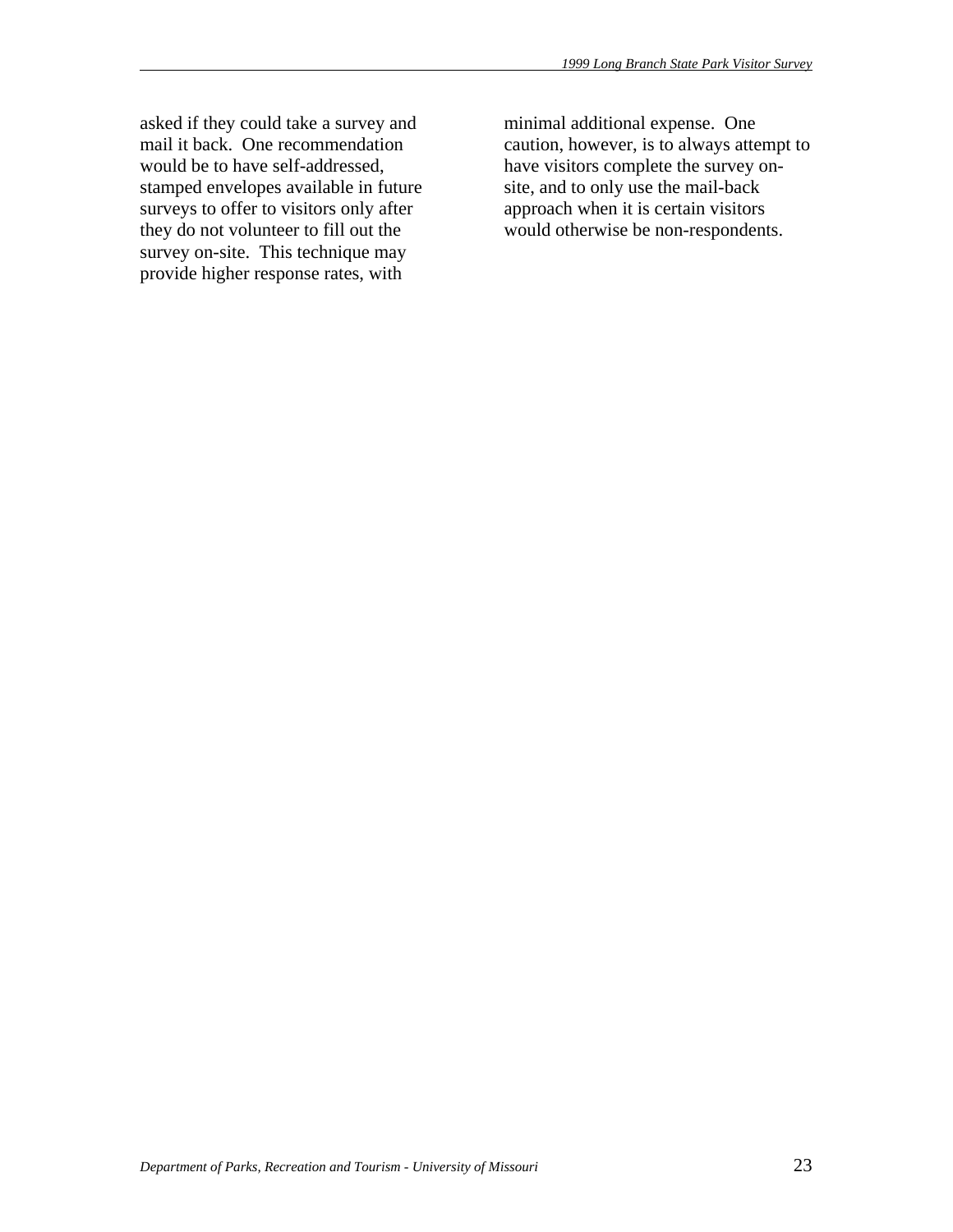asked if they could take a survey and mail it back. One recommendation would be to have self-addressed, stamped envelopes available in future surveys to offer to visitors only after they do not volunteer to fill out the survey on-site. This technique may provide higher response rates, with

minimal additional expense. One caution, however, is to always attempt to have visitors complete the survey onsite, and to only use the mail-back approach when it is certain visitors would otherwise be non-respondents.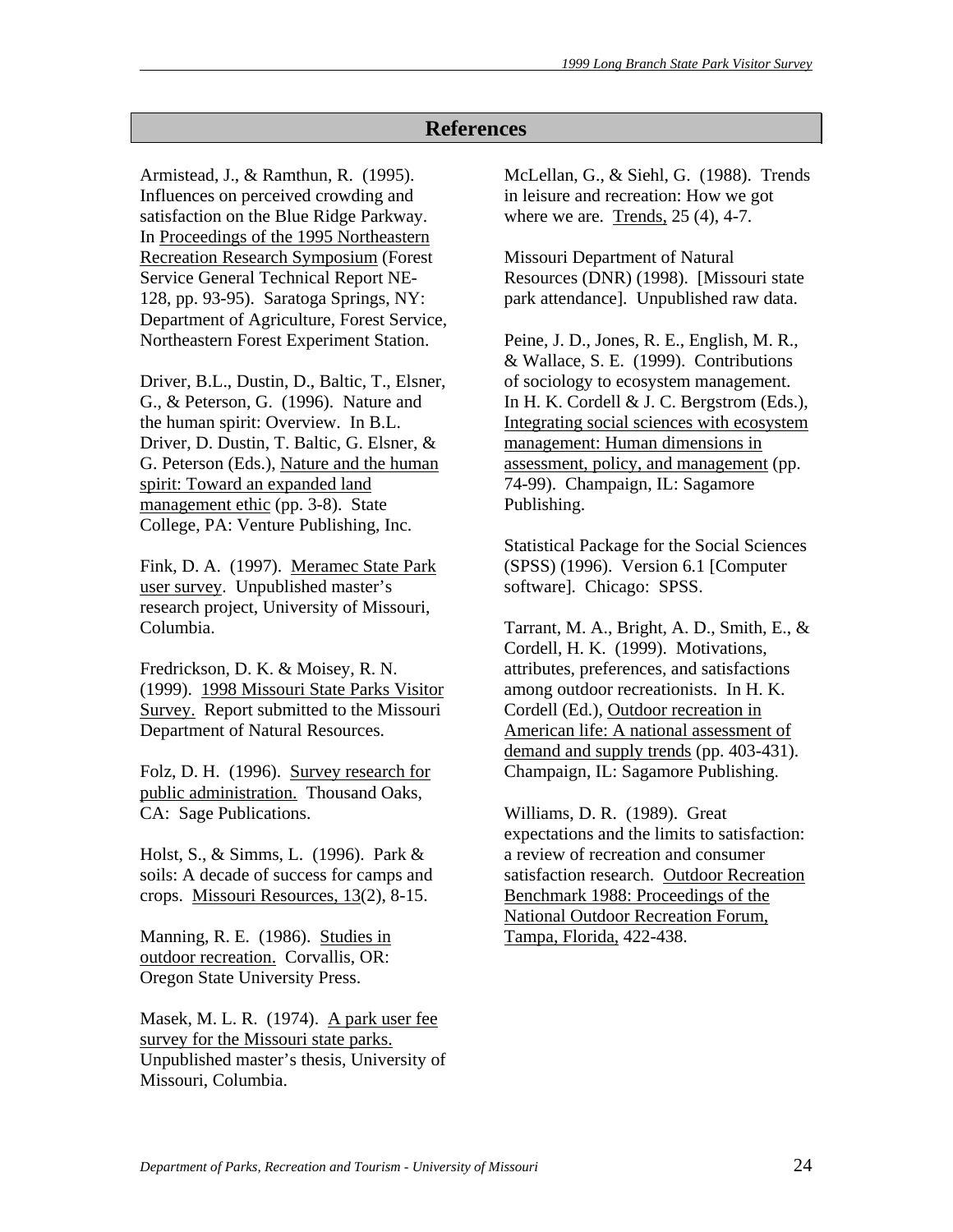# **References**

Armistead, J., & Ramthun, R. (1995). Influences on perceived crowding and satisfaction on the Blue Ridge Parkway. In Proceedings of the 1995 Northeastern Recreation Research Symposium (Forest Service General Technical Report NE-128, pp. 93-95). Saratoga Springs, NY: Department of Agriculture, Forest Service, Northeastern Forest Experiment Station.

Driver, B.L., Dustin, D., Baltic, T., Elsner, G., & Peterson, G. (1996). Nature and the human spirit: Overview. In B.L. Driver, D. Dustin, T. Baltic, G. Elsner, & G. Peterson (Eds.), Nature and the human spirit: Toward an expanded land management ethic (pp. 3-8). State College, PA: Venture Publishing, Inc.

Fink, D. A. (1997). Meramec State Park user survey. Unpublished master's research project, University of Missouri, Columbia.

Fredrickson, D. K. & Moisey, R. N. (1999). 1998 Missouri State Parks Visitor Survey. Report submitted to the Missouri Department of Natural Resources.

Folz, D. H. (1996). Survey research for public administration. Thousand Oaks, CA: Sage Publications.

Holst, S., & Simms, L. (1996). Park & soils: A decade of success for camps and crops. Missouri Resources, 13(2), 8-15.

Manning, R. E. (1986). Studies in outdoor recreation. Corvallis, OR: Oregon State University Press.

Masek, M. L. R. (1974). A park user fee survey for the Missouri state parks. Unpublished master's thesis, University of Missouri, Columbia.

McLellan, G., & Siehl, G. (1988). Trends in leisure and recreation: How we got where we are. Trends, 25 (4), 4-7.

Missouri Department of Natural Resources (DNR) (1998). [Missouri state park attendance]. Unpublished raw data.

Peine, J. D., Jones, R. E., English, M. R., & Wallace, S. E. (1999). Contributions of sociology to ecosystem management. In H. K. Cordell & J. C. Bergstrom (Eds.), Integrating social sciences with ecosystem management: Human dimensions in assessment, policy, and management (pp. 74-99). Champaign, IL: Sagamore Publishing.

Statistical Package for the Social Sciences (SPSS) (1996). Version 6.1 [Computer software]. Chicago: SPSS.

Tarrant, M. A., Bright, A. D., Smith, E., & Cordell, H. K. (1999). Motivations, attributes, preferences, and satisfactions among outdoor recreationists. In H. K. Cordell (Ed.), Outdoor recreation in American life: A national assessment of demand and supply trends (pp. 403-431). Champaign, IL: Sagamore Publishing.

Williams, D. R. (1989). Great expectations and the limits to satisfaction: a review of recreation and consumer satisfaction research. Outdoor Recreation Benchmark 1988: Proceedings of the National Outdoor Recreation Forum, Tampa, Florida, 422-438.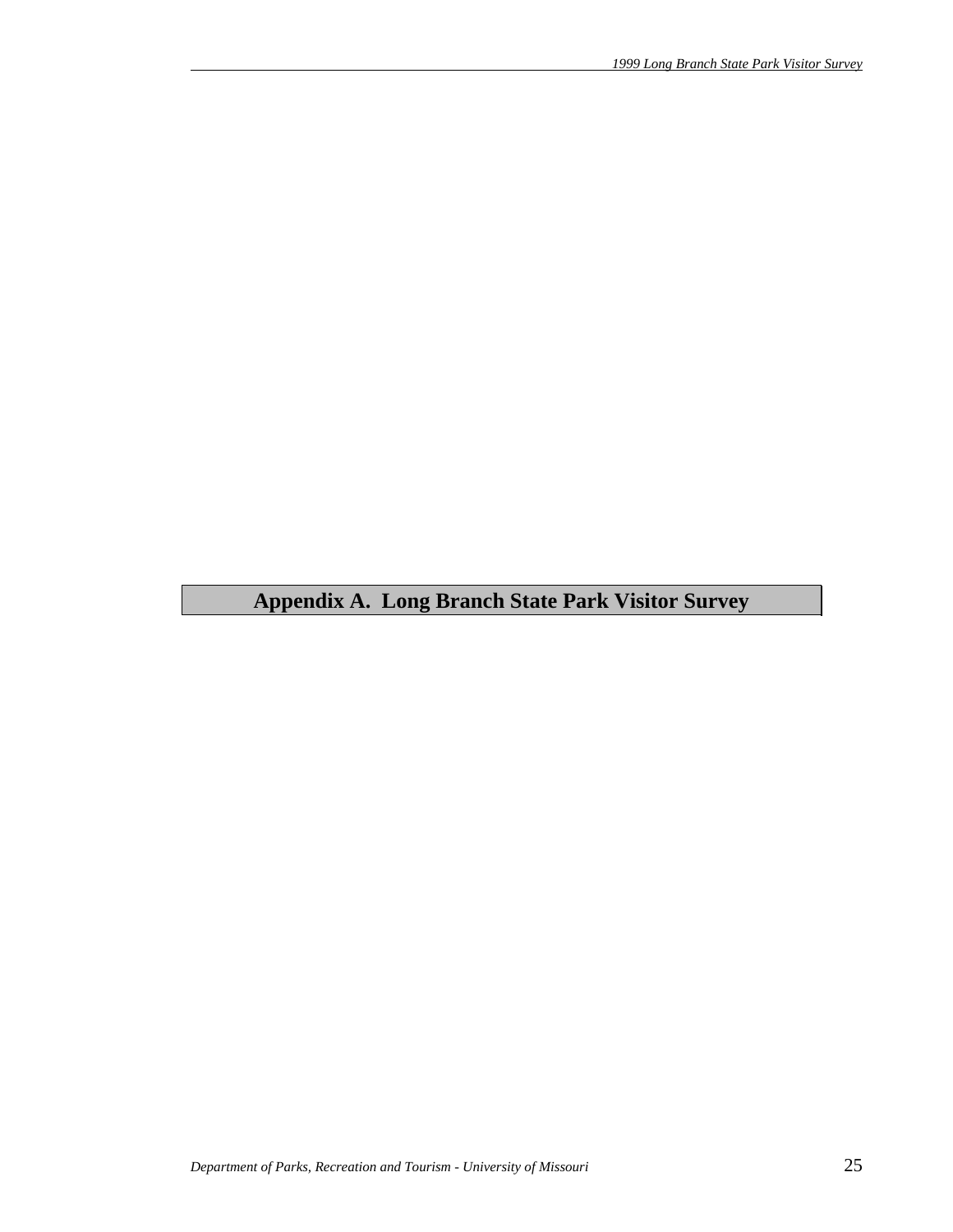# **Appendix A. Long Branch State Park Visitor Survey**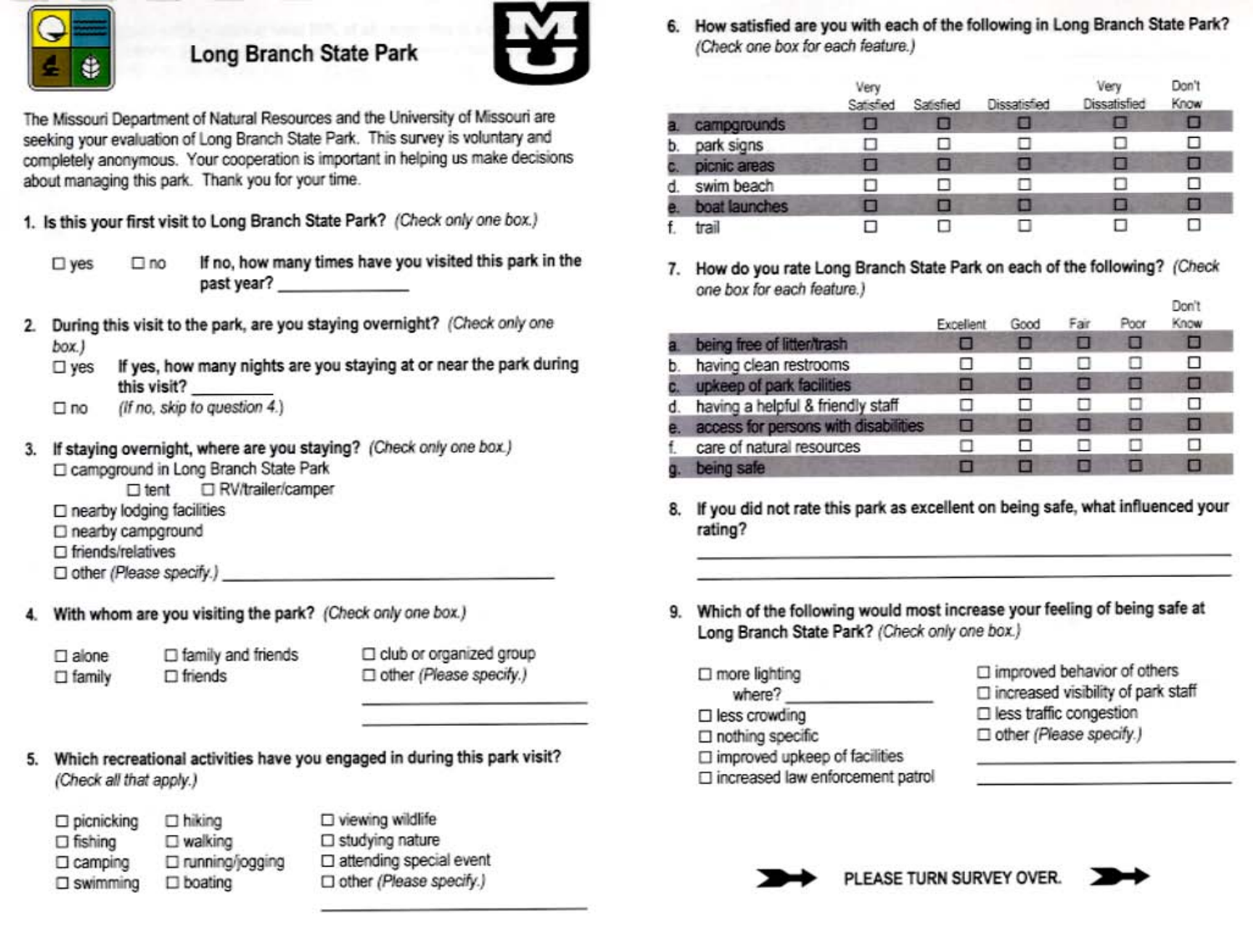

# **Long Branch State Park**



The Missouri Department of Natural Resources and the University of Missouri are seeking your evaluation of Long Branch State Park. This survey is voluntary and completely anonymous. Your cooperation is important in helping us make decisions about managing this park. Thank you for your time.

1. Is this your first visit to Long Branch State Park? (Check only one box.)

- If no, how many times have you visited this park in the  $\square$  yes  $\square$  no past year?
- During this visit to the park, are you staying overnight? (Check only one  $\overline{2}$ box.)
	- If yes, how many nights are you staying at or near the park during  $\square$  yes this visit?
	- (If no, skip to question 4.)  $\square$  no
- If staying overnight, where are you staying? (Check only one box.) 3. □ campground in Long Branch State Park
	- RV/trailer/camper  $\square$  tent
	- □ nearby lodging facilities
	- □ nearby campground
	- $\square$  friends/relatives

- 
- With whom are you visiting the park? (Check only one box.) 4.

| $\square$ alone | $\Box$ family and friends |
|-----------------|---------------------------|
| $\Box$ family   | $\Box$ friends            |

club or organized group □ other (Please specify.)

- Which recreational activities have you engaged in during this park visit? 5. (Check all that apply.)
	- $\square$  picnicking  $\Box$  hiking  $\square$  walking  $\Box$  fishing □ running/jogging  $\Box$  camping  $\square$  swimming  $\square$  boating

□ viewing wildlife  $\square$  studying nature □ attending special event □ other (Please specify.)

6. How satisfied are you with each of the following in Long Branch State Park? (Check one box for each feature.)

|    |               | Very<br>Satisfied | Satisfied | <b>Dissatisfied</b> | Ven<br><b>Dissatisfied</b> | Don't<br>Know |
|----|---------------|-------------------|-----------|---------------------|----------------------------|---------------|
|    | campgrounds   |                   |           |                     | I B                        |               |
| D. | park signs    |                   |           |                     |                            | н             |
|    | picnic areas  |                   |           |                     |                            | ٠             |
|    | swim beach    |                   |           |                     |                            |               |
|    | boat launches |                   |           |                     |                            |               |
|    | trail         |                   |           |                     |                            | п             |

7. How do you rate Long Branch State Park on each of the following? (Check one box for each feature.)

|    |                                      | Excellent | Good | Fair | Poor | nou r<br>Know |
|----|--------------------------------------|-----------|------|------|------|---------------|
|    | being free of litter/trash           |           |      |      | в    |               |
|    | having clean restrooms               |           |      |      |      | ◻             |
|    | upkeep of park facilities            |           |      |      |      | σ             |
| đ. | having a helpful & friendly staff    |           |      |      |      | ◻             |
|    | access for persons with disabilities |           |      | н    |      | Ξ             |
|    | care of natural resources            |           |      |      |      |               |
|    | being safe                           |           |      |      |      |               |

- 8. If you did not rate this park as excellent on being safe, what influenced your rating?
- 9. Which of the following would most increase your feeling of being safe at Long Branch State Park? (Check only one box.)
	- $\square$  more lighting where?
	- $\square$  less crowding
	- □ nothing specific
	- $\Box$  improved upkeep of facilities
	- □ increased law enforcement patrol

 $\Box$  improved behavior of others □ increased visibility of park staff  $\Box$  less traffic congestion □ other (Please specify.)



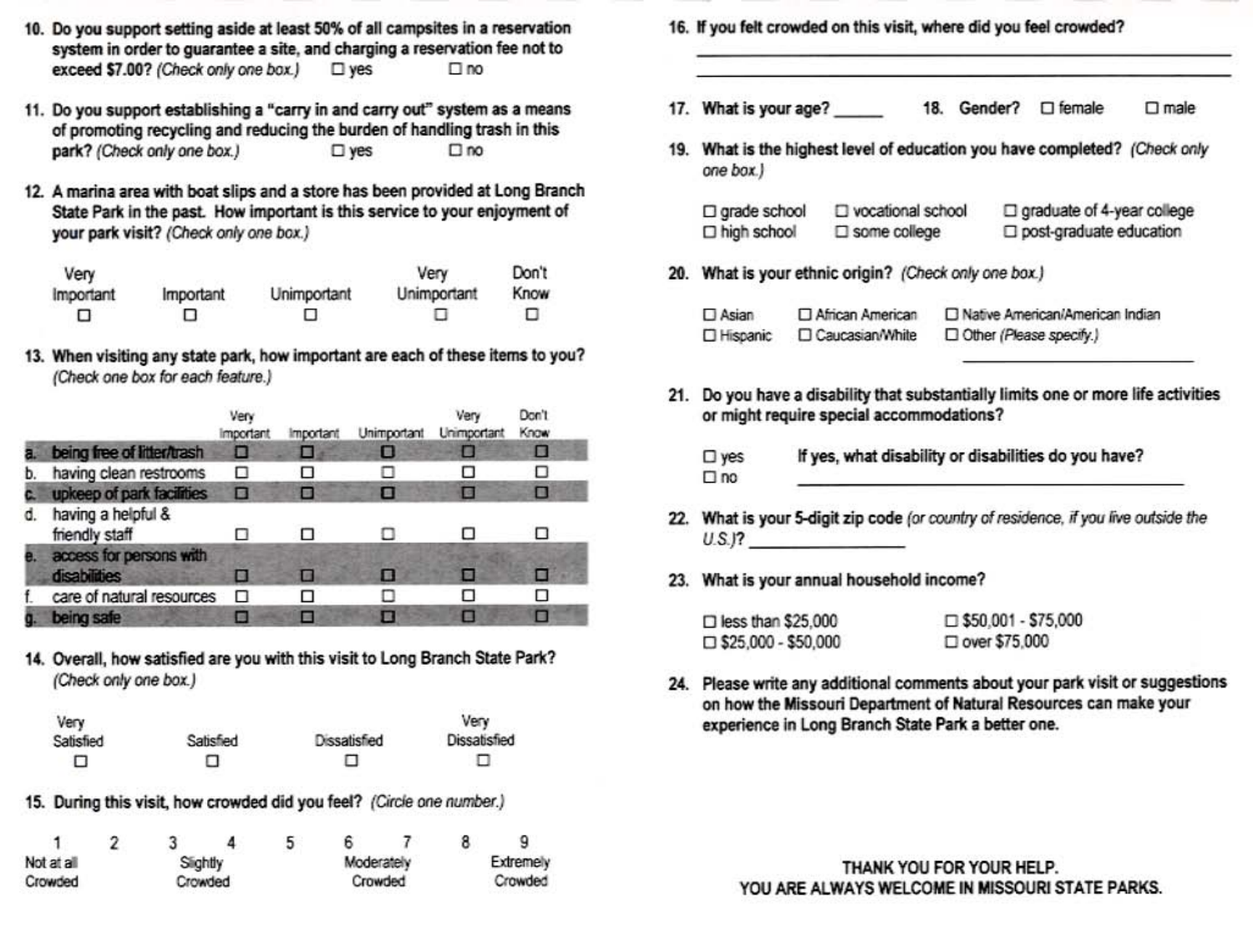- 10. Do you support setting aside at least 50% of all campsites in a reservation system in order to guarantee a site, and charging a reservation fee not to exceed \$7.00? (Check only one box.)  $\square$  ves  $\square$  no
- 11. Do you support establishing a "carry in and carry out" system as a means of promoting recycling and reducing the burden of handling trash in this park? (Check only one box.)  $\square$  yes  $\square$  no
- 12. A marina area with boat slips and a store has been provided at Long Branch State Park in the past. How important is this service to your enjoyment of your park visit? (Check only one box.)

| Very      |           |             | Very        | Don't |
|-----------|-----------|-------------|-------------|-------|
| Important | Important | Unimportant | Unimportant | Know  |
| п         | □         |             |             |       |

13. When visiting any state park, how important are each of these items to you? (Check one box for each feature.)

|    |                                                | Very<br><b>Important</b> | Important | Unimportant | Ven<br><b>Unimportant</b> | Don't<br>Know |
|----|------------------------------------------------|--------------------------|-----------|-------------|---------------------------|---------------|
|    | being free of litter/trash                     | □                        |           | О           |                           | □             |
| b. | having clean restrooms                         | □                        | O.        | П           |                           |               |
|    | upkeep of park facilities                      | П                        |           | ■           |                           | ٠             |
| d. | having a helpful &<br>friendly staff           |                          | п         |             |                           | п             |
|    | access for persons with<br><b>disabilities</b> |                          | ш         | п           |                           |               |
|    | care of natural resources                      |                          |           | п           |                           |               |
|    | being safe                                     |                          |           | п           |                           |               |

14. Overall, how satisfied are you with this visit to Long Branch State Park? (Check only one box.)

| Very      |           |              | Very         |
|-----------|-----------|--------------|--------------|
| Satisfied | Satisfied | Dissatisfied | Dissatisfied |
| □         | п         | п            | u            |

15. During this visit, how crowded did you feel? (Circle one number.)

| $\mathbf{1}$       |  |          |  | 5       | 6 |            | 8 |           |
|--------------------|--|----------|--|---------|---|------------|---|-----------|
| Not at all         |  | Slightly |  |         |   | Moderately |   | Extremely |
| Crowded<br>Crowded |  |          |  | Crowded |   | Crowded    |   |           |

16. If you felt crowded on this visit, where did you feel crowded? 17. What is your age?  $\Box$  male 19. What is the highest level of education you have completed? (Check only one box.) □ graduate of 4-year college  $\square$  grade school D vocational school  $\square$  some college post-graduate education  $\Box$  high school 20. What is your ethnic origin? (Check only one box.) □ Native American/American Indian  $\Box$  Asian □ African American Other (Please specify.) □ Hispanic □ Caucasian/White 21. Do you have a disability that substantially limits one or more life activities or might require special accommodations? If yes, what disability or disabilities do you have?  $\square$  yes  $\square$  no 22. What is your 5-digit zip code (or country of residence, if you live outside the  $U.S.P.$ 23. What is your annual household income? contented reduction consideration and

| $\Box$ less than \$25,000  | $\Box$ \$50.001 - \$75,000 |
|----------------------------|----------------------------|
| $\Box$ \$25,000 - \$50,000 | $\square$ over \$75,000    |
|                            |                            |

24. Please write any additional comments about your park visit or suggestions on how the Missouri Department of Natural Resources can make your experience in Long Branch State Park a better one.

> THANK YOU FOR YOUR HELP. YOU ARE ALWAYS WELCOME IN MISSOURI STATE PARKS.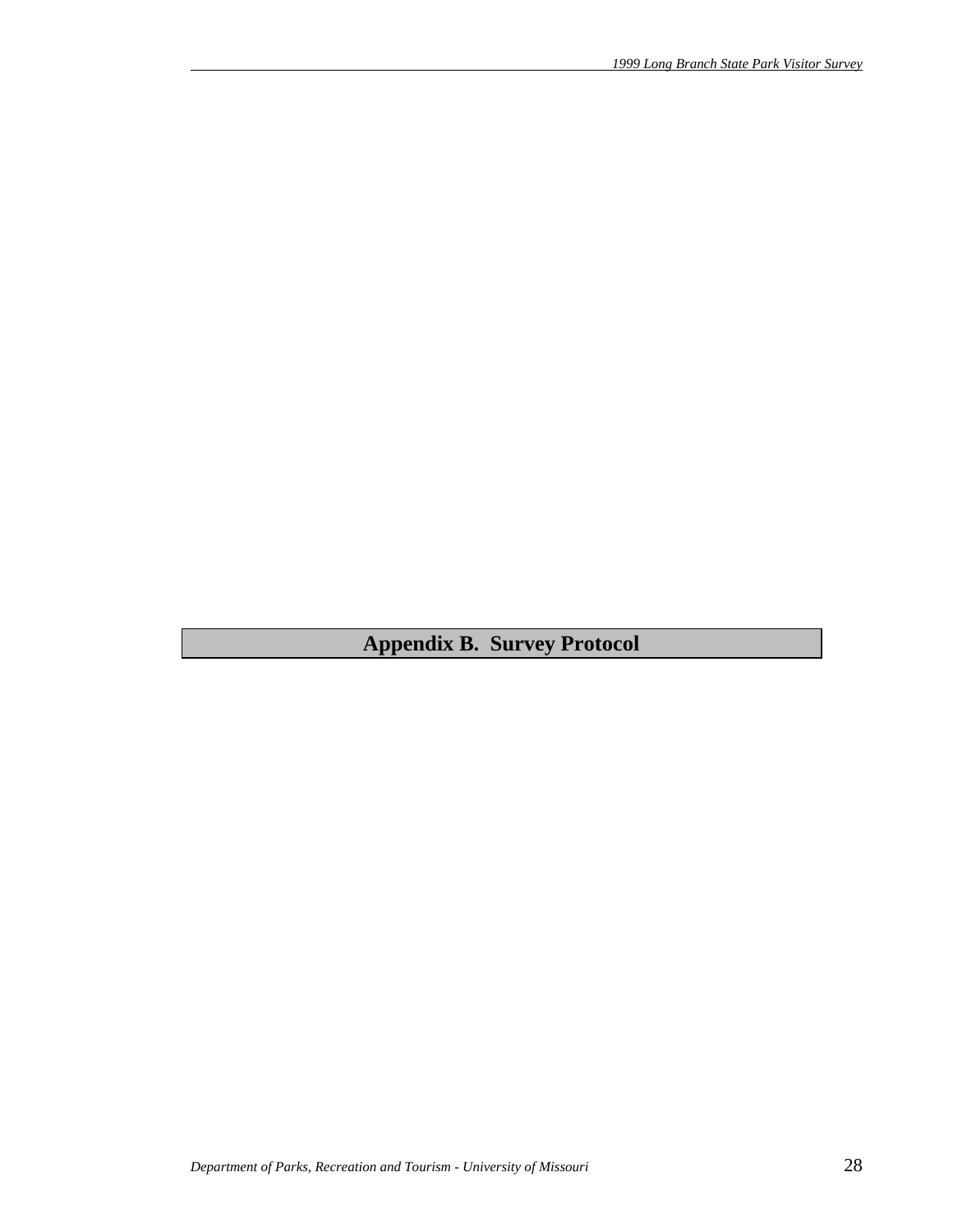**Appendix B. Survey Protocol**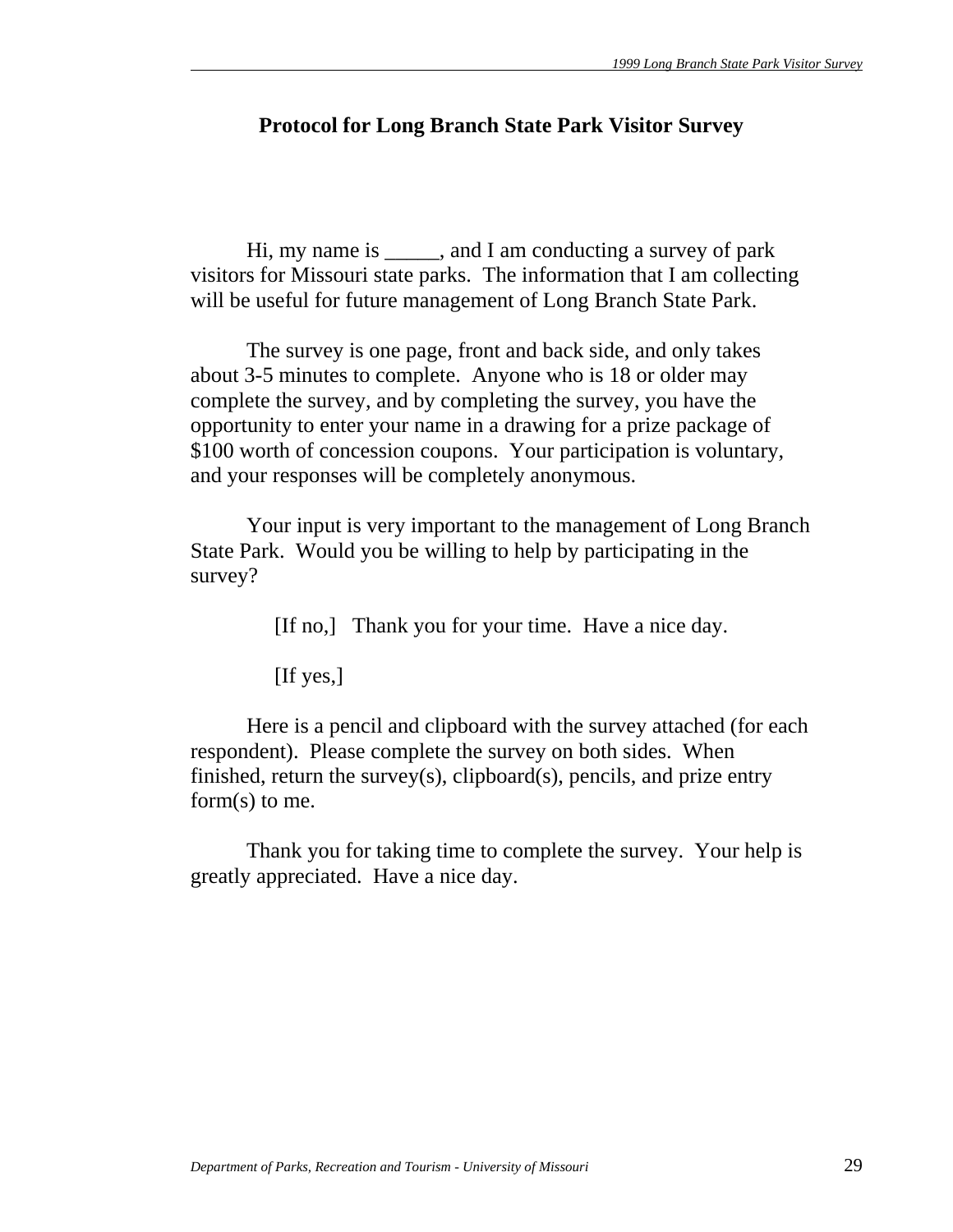# **Protocol for Long Branch State Park Visitor Survey**

 Hi, my name is \_\_\_\_\_, and I am conducting a survey of park visitors for Missouri state parks. The information that I am collecting will be useful for future management of Long Branch State Park.

 The survey is one page, front and back side, and only takes about 3-5 minutes to complete. Anyone who is 18 or older may complete the survey, and by completing the survey, you have the opportunity to enter your name in a drawing for a prize package of \$100 worth of concession coupons. Your participation is voluntary, and your responses will be completely anonymous.

 Your input is very important to the management of Long Branch State Park. Would you be willing to help by participating in the survey?

[If no,] Thank you for your time. Have a nice day.

[If yes,]

 Here is a pencil and clipboard with the survey attached (for each respondent). Please complete the survey on both sides. When finished, return the survey(s), clipboard(s), pencils, and prize entry form(s) to me.

 Thank you for taking time to complete the survey. Your help is greatly appreciated. Have a nice day.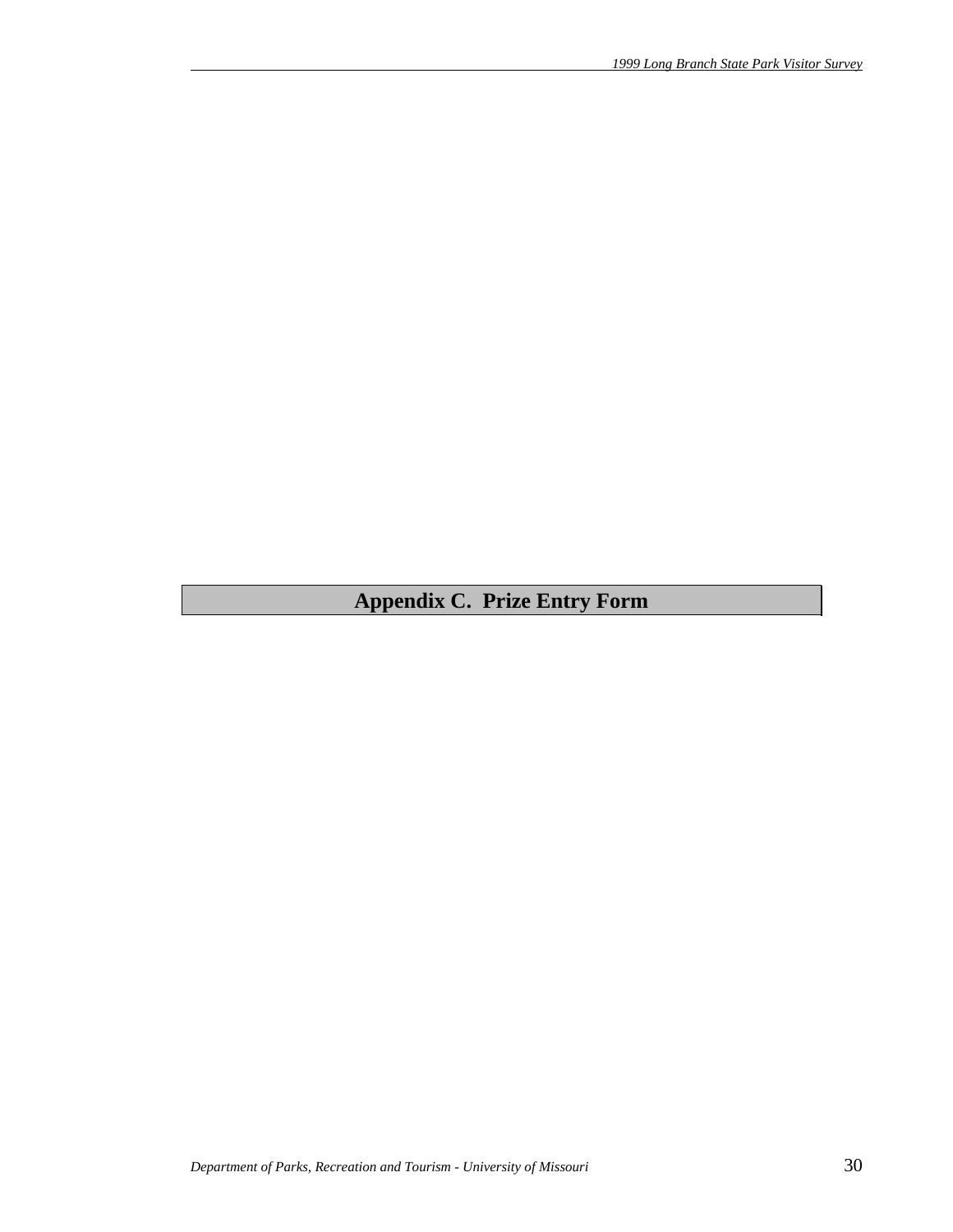# **Appendix C. Prize Entry Form**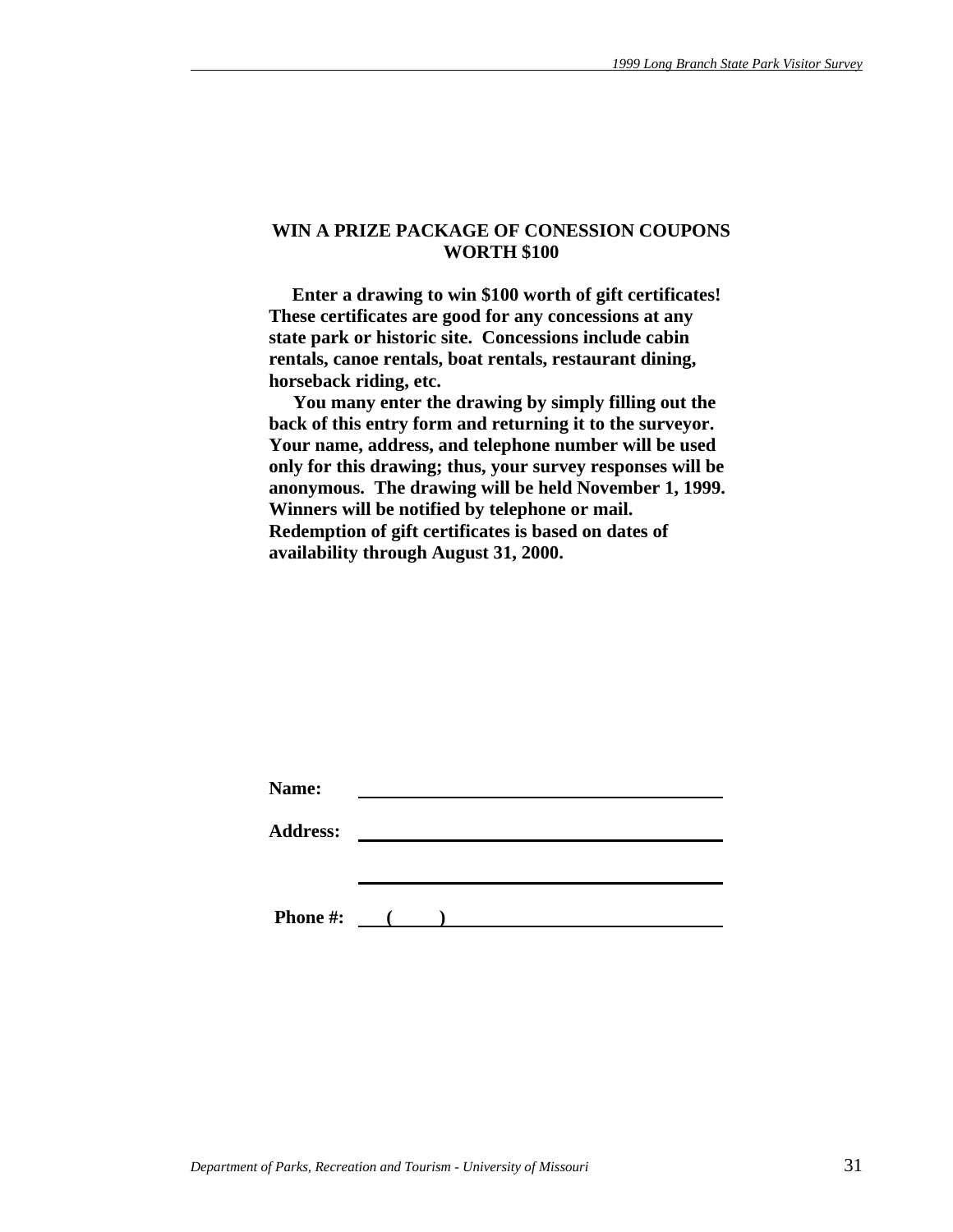#### **WIN A PRIZE PACKAGE OF CONESSION COUPONS WORTH \$100**

 **Enter a drawing to win \$100 worth of gift certificates! These certificates are good for any concessions at any state park or historic site. Concessions include cabin rentals, canoe rentals, boat rentals, restaurant dining, horseback riding, etc.** 

 **You many enter the drawing by simply filling out the back of this entry form and returning it to the surveyor. Your name, address, and telephone number will be used only for this drawing; thus, your survey responses will be anonymous. The drawing will be held November 1, 1999. Winners will be notified by telephone or mail. Redemption of gift certificates is based on dates of availability through August 31, 2000.** 

|  | $\sim$ 0.000 $\sim$ |  |  |
|--|---------------------|--|--|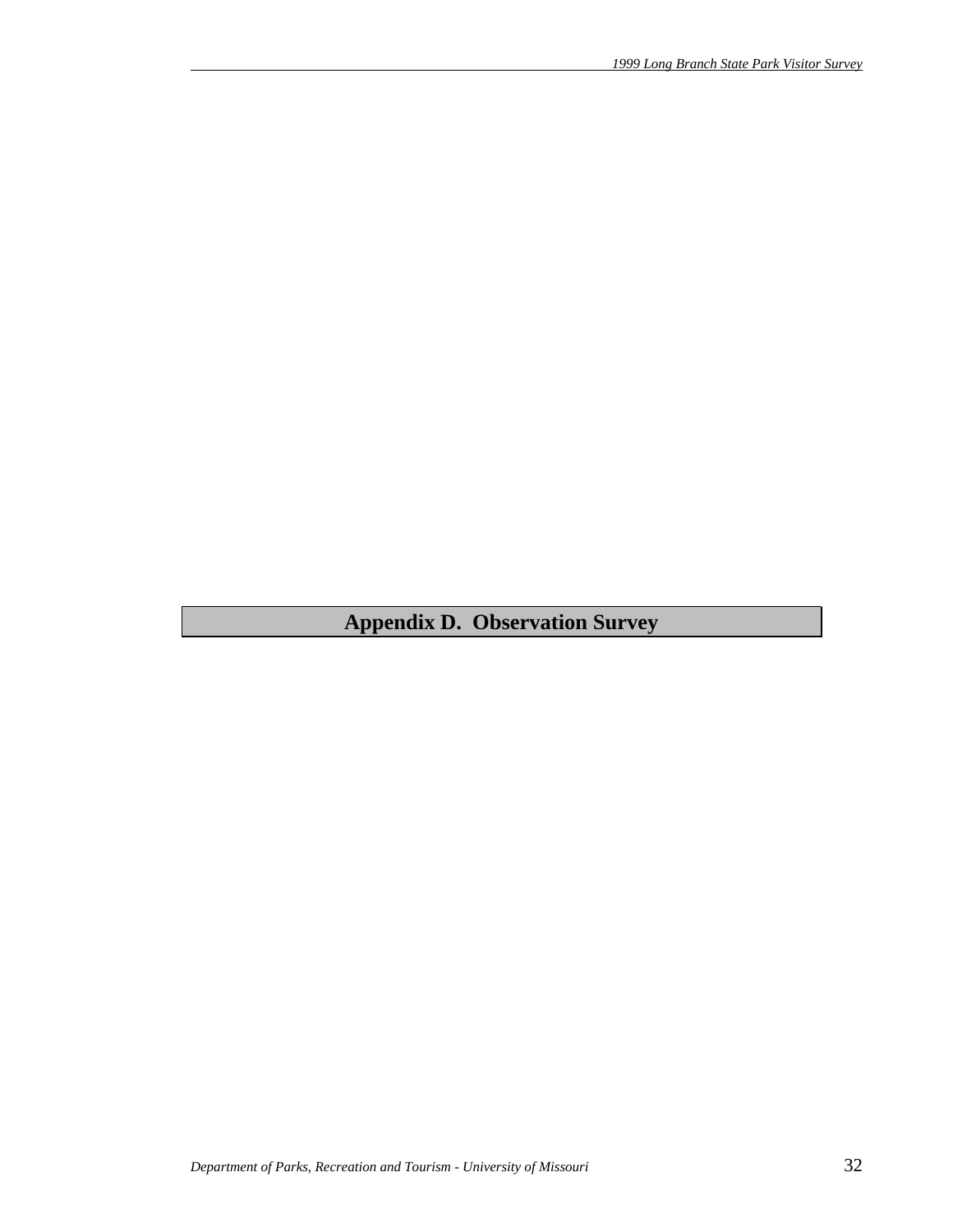**Appendix D. Observation Survey**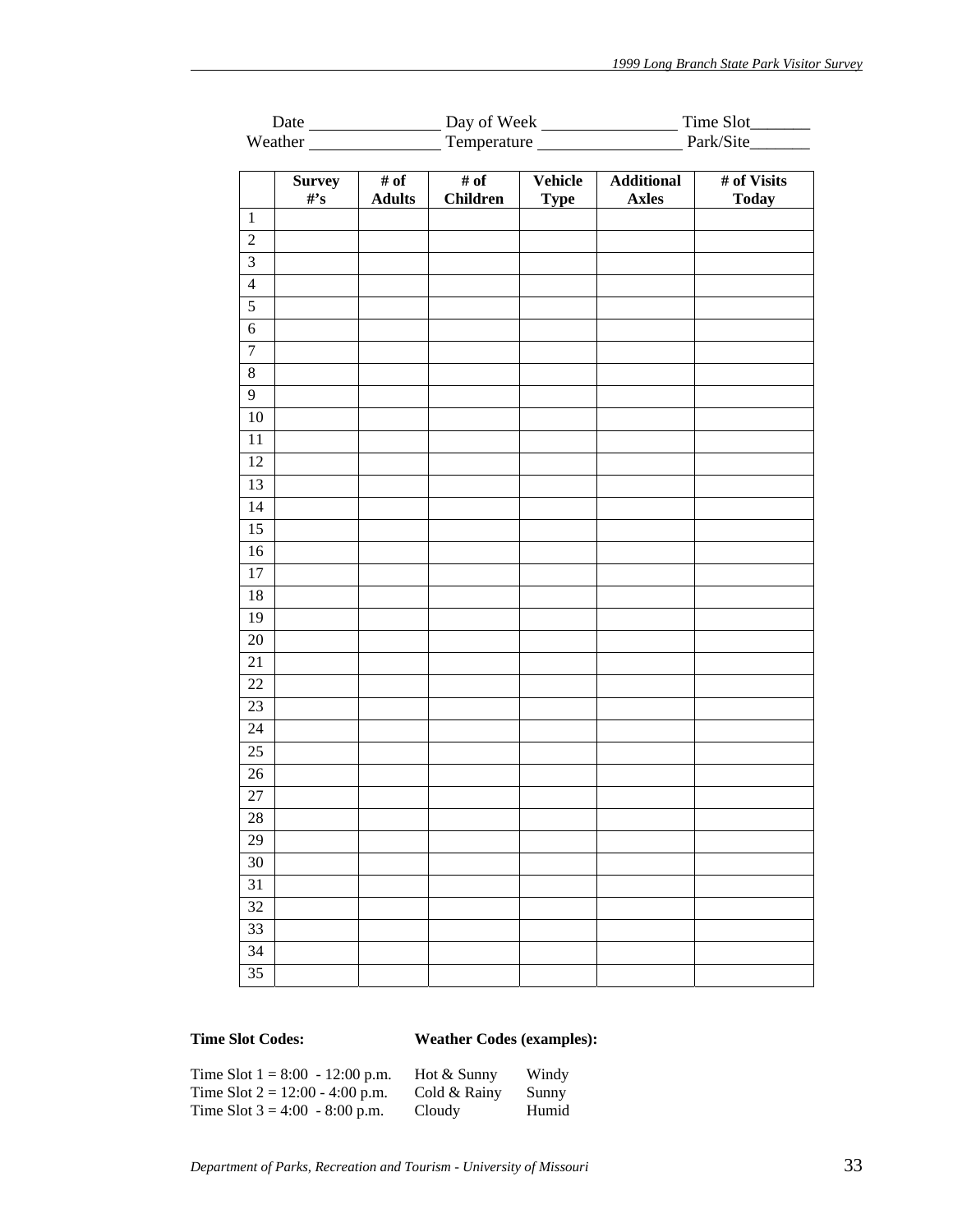|                  |                          |                                              |                         |                        | Weather Temperature Fernandezer Park/Site |                             |  |
|------------------|--------------------------|----------------------------------------------|-------------------------|------------------------|-------------------------------------------|-----------------------------|--|
|                  |                          |                                              |                         |                        |                                           |                             |  |
|                  | <b>Survey</b><br>$\#$ 's | $\overline{\# \text{ of }}$<br><b>Adults</b> | # of<br><b>Children</b> | Vehicle<br><b>Type</b> | <b>Additional</b><br><b>Axles</b>         | # of Visits<br><b>Today</b> |  |
| $\mathbf{1}$     |                          |                                              |                         |                        |                                           |                             |  |
| $\sqrt{2}$       |                          |                                              |                         |                        |                                           |                             |  |
| $\overline{3}$   |                          |                                              |                         |                        |                                           |                             |  |
| $\overline{4}$   |                          |                                              |                         |                        |                                           |                             |  |
| $\overline{5}$   |                          |                                              |                         |                        |                                           |                             |  |
| $\sqrt{6}$       |                          |                                              |                         |                        |                                           |                             |  |
| $\boldsymbol{7}$ |                          |                                              |                         |                        |                                           |                             |  |
| $\overline{8}$   |                          |                                              |                         |                        |                                           |                             |  |
| $\overline{9}$   |                          |                                              |                         |                        |                                           |                             |  |
| $10\,$           |                          |                                              |                         |                        |                                           |                             |  |
| $11\,$           |                          |                                              |                         |                        |                                           |                             |  |
| $\overline{12}$  |                          |                                              |                         |                        |                                           |                             |  |
| 13               |                          |                                              |                         |                        |                                           |                             |  |
| 14               |                          |                                              |                         |                        |                                           |                             |  |
| $\overline{15}$  |                          |                                              |                         |                        |                                           |                             |  |
| 16               |                          |                                              |                         |                        |                                           |                             |  |
| $17\,$           |                          |                                              |                         |                        |                                           |                             |  |
| $18\,$           |                          |                                              |                         |                        |                                           |                             |  |
| 19               |                          |                                              |                         |                        |                                           |                             |  |
| $20\,$           |                          |                                              |                         |                        |                                           |                             |  |
| 21               |                          |                                              |                         |                        |                                           |                             |  |
| $22\,$           |                          |                                              |                         |                        |                                           |                             |  |
| 23               |                          |                                              |                         |                        |                                           |                             |  |
| 24               |                          |                                              |                         |                        |                                           |                             |  |
| $\overline{25}$  |                          |                                              |                         |                        |                                           |                             |  |
| $26\,$           |                          |                                              |                         |                        |                                           |                             |  |
| $\overline{27}$  |                          |                                              |                         |                        |                                           |                             |  |
| 28               |                          |                                              |                         |                        |                                           |                             |  |
| 29               |                          |                                              |                         |                        |                                           |                             |  |
| 30               |                          |                                              |                         |                        |                                           |                             |  |
| 31               |                          |                                              |                         |                        |                                           |                             |  |
| 32               |                          |                                              |                         |                        |                                           |                             |  |
| 33               |                          |                                              |                         |                        |                                           |                             |  |
| 34               |                          |                                              |                         |                        |                                           |                             |  |
| 35               |                          |                                              |                         |                        |                                           |                             |  |

# **Time Slot Codes: Weather Codes (examples):**

| Time Slot $1 = 8:00 - 12:00$ p.m. | Hot & Sunny  | Windy |
|-----------------------------------|--------------|-------|
| Time Slot $2 = 12:00 - 4:00$ p.m. | Cold & Rainy | Sunny |
| Time Slot $3 = 4:00 - 8:00$ p.m.  | Cloudy       | Humid |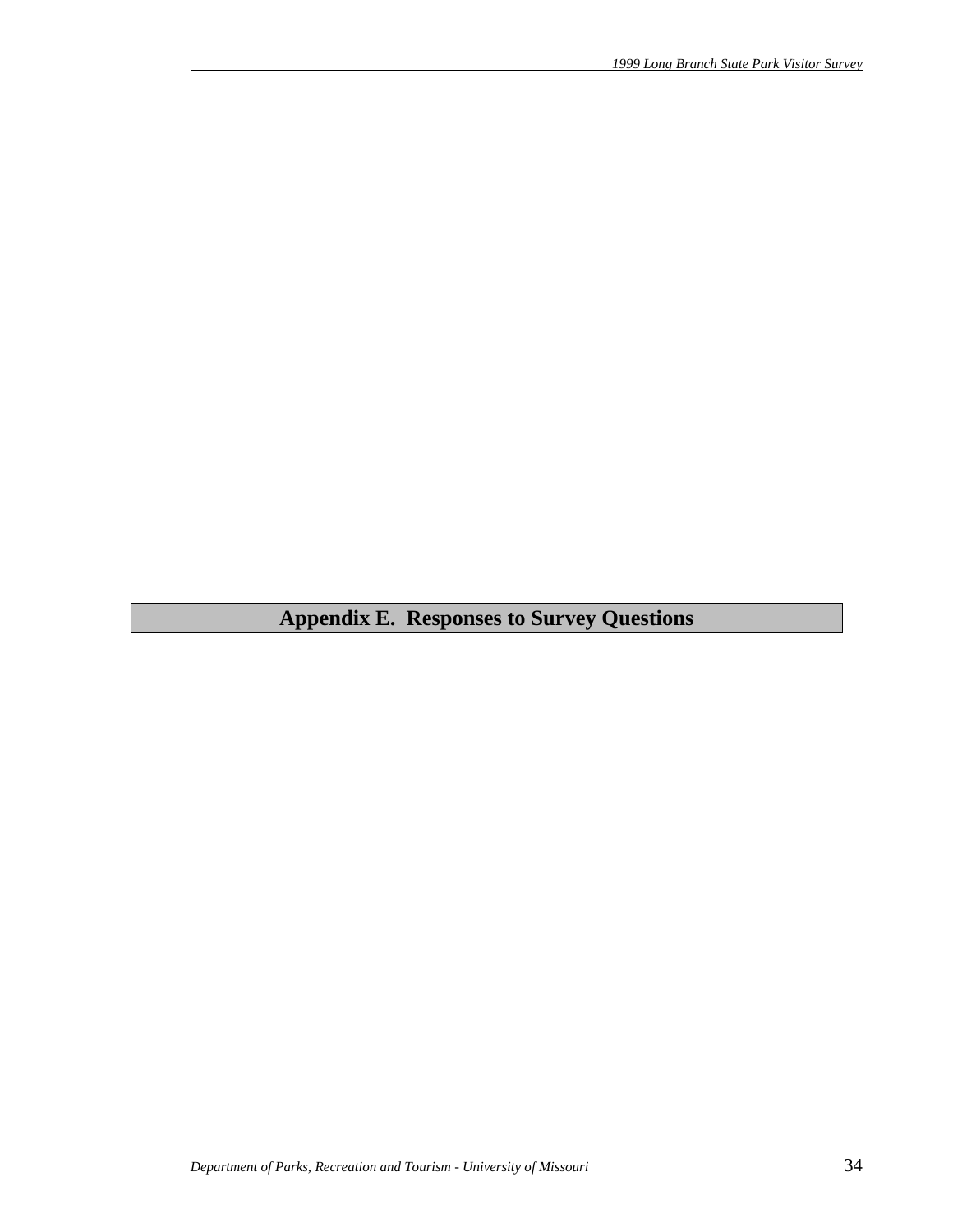# **Appendix E. Responses to Survey Questions**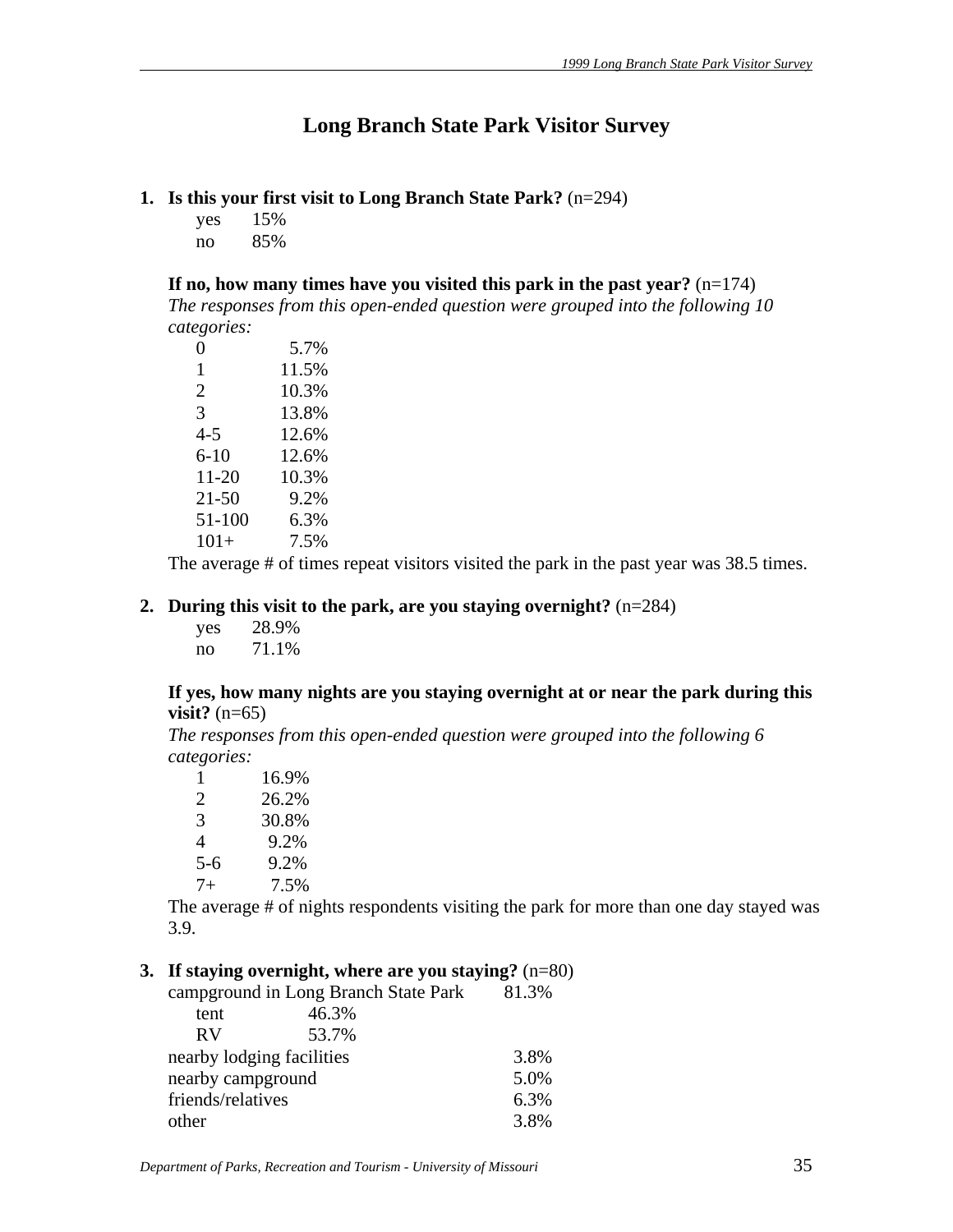# **Long Branch State Park Visitor Survey**

- **1. Is this your first visit to Long Branch State Park?** (n=294)
	- yes 15% no 85%

**If no, how many times have you visited this park in the past year?** (n=174)

*The responses from this open-ended question were grouped into the following 10 categories:*

| 0         | 5.7%  |
|-----------|-------|
| 1         | 11.5% |
| 2         | 10.3% |
| 3         | 13.8% |
| 4-5       | 12.6% |
| 6-10      | 12.6% |
| $11 - 20$ | 10.3% |
| $21 - 50$ | 9.2%  |
| 51-100    | 6.3%  |
| $101+$    | 7.5%  |

The average # of times repeat visitors visited the park in the past year was 38.5 times.

# **2. During this visit to the park, are you staying overnight?** (n=284)

 yes 28.9% no 71.1%

#### **If yes, how many nights are you staying overnight at or near the park during this visit?** (n=65)

*The responses from this open-ended question were grouped into the following 6 categories:*

| 1     | 16.9% |
|-------|-------|
| 2     | 26.2% |
| 3     | 30.8% |
| 4     | 9.2%  |
| $5-6$ | 9.2%  |
| $7+$  | 7.5%  |
|       |       |

The average # of nights respondents visiting the park for more than one day stayed was 3.9.

# **3. If staying overnight, where are you staying?** (n=80)

|                           | campground in Long Branch State Park | 81.3% |
|---------------------------|--------------------------------------|-------|
| tent                      | 46.3%                                |       |
| <b>RV</b>                 | 53.7%                                |       |
| nearby lodging facilities |                                      | 3.8%  |
| nearby campground         |                                      | 5.0%  |
| friends/relatives         |                                      | 6.3%  |
| other                     |                                      | 3.8%  |
|                           |                                      |       |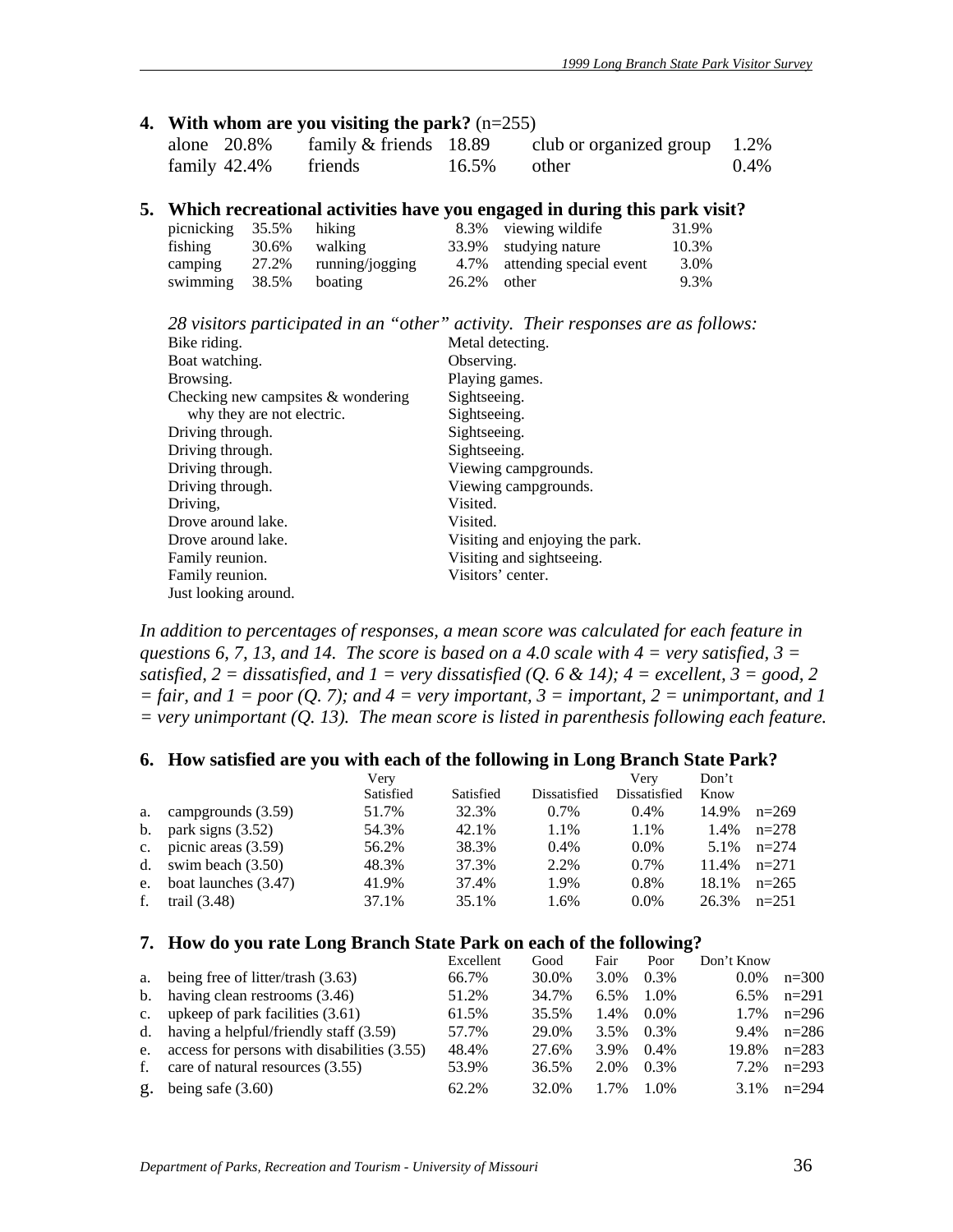#### **4. With whom are you visiting the park?** (n=255)

| alone $20.8\%$  | family $&$ friends 18.89 |       | club or organized group $1.2\%$ |         |
|-----------------|--------------------------|-------|---------------------------------|---------|
| family $42.4\%$ | friends                  | 16.5% | other                           | $0.4\%$ |

#### **5. Which recreational activities have you engaged in during this park visit?**

| picnicking 35.5% hiking |       |                       |                | 8.3% viewing wildife         | 31.9% |
|-------------------------|-------|-----------------------|----------------|------------------------------|-------|
| fishing                 | 30.6% | walking               |                | 33.9% studying nature        | 10.3% |
| camping                 |       | 27.2% running/jogging |                | 4.7% attending special event | 3.0%  |
| swimming $38.5\%$       |       | boating               | $26.2\%$ other |                              | 9.3%  |

|  | 28 visitors participated in an "other" activity. Their responses are as follows: |
|--|----------------------------------------------------------------------------------|
|--|----------------------------------------------------------------------------------|

| Bike riding.                          | Metal detecting.                |
|---------------------------------------|---------------------------------|
| Boat watching.                        | Observing.                      |
| Browsing.                             | Playing games.                  |
| Checking new campsites $\&$ wondering | Sightseeing.                    |
| why they are not electric.            | Sightseeing.                    |
| Driving through.                      | Sightseeing.                    |
| Driving through.                      | Sightseeing.                    |
| Driving through.                      | Viewing campgrounds.            |
| Driving through.                      | Viewing campgrounds.            |
| Driving,                              | Visited.                        |
| Drove around lake.                    | Visited.                        |
| Drove around lake.                    | Visiting and enjoying the park. |
| Family reunion.                       | Visiting and sight seeing.      |
| Family reunion.                       | Visitors' center.               |
| Just looking around.                  |                                 |

*In addition to percentages of responses, a mean score was calculated for each feature in questions 6, 7, 13, and 14. The score is based on a 4.0 scale with 4 = very satisfied, 3 = satisfied, 2 = dissatisfied, and 1 = very dissatisfied (Q. 6 & 14); 4 = excellent, 3 = good, 2*  $=$  fair, and  $1 =$  poor  $(Q, 7)$ ; and  $4 =$  very important,  $3 =$  important,  $2 =$  unimportant, and  $1$ *= very unimportant (Q. 13). The mean score is listed in parenthesis following each feature.* 

#### **6. How satisfied are you with each of the following in Long Branch State Park?**

|    |                           | Verv      |           |              | Very         | Don't |         |
|----|---------------------------|-----------|-----------|--------------|--------------|-------|---------|
|    |                           | Satisfied | Satisfied | Dissatisfied | Dissatisfied | Know  |         |
| a. | campgrounds (3.59)        | 51.7%     | 32.3%     | $0.7\%$      | $0.4\%$      | 14.9% | $n=269$ |
|    | b. park signs $(3.52)$    | 54.3%     | 42.1%     | 1.1%         | 1.1%         | 1.4%  | $n=278$ |
|    | c. picnic areas $(3.59)$  | 56.2%     | 38.3%     | $0.4\%$      | $0.0\%$      | 5.1%  | $n=274$ |
|    | d. swim beach $(3.50)$    | 48.3%     | 37.3%     | 2.2%         | 0.7%         | 11.4% | $n=271$ |
|    | e. boat launches $(3.47)$ | 41.9%     | 37.4%     | 1.9%         | 0.8%         | 18.1% | $n=265$ |
| f. | trail $(3.48)$            | 37.1%     | 35.1%     | 1.6%         | $0.0\%$      | 26.3% | $n=251$ |

#### **7. How do you rate Long Branch State Park on each of the following?**

|             |                                                | Excellent | Good  | Fair    | Poor    | Don't Know |         |
|-------------|------------------------------------------------|-----------|-------|---------|---------|------------|---------|
|             | a. being free of litter/trash (3.63)           | 66.7%     | 30.0% | 3.0%    | $0.3\%$ | $0.0\%$    | $n=300$ |
|             | b. having clean restrooms $(3.46)$             | 51.2%     | 34.7% | $6.5\%$ | 1.0%    | $6.5\%$    | $n=291$ |
| $c_{\cdot}$ | upkeep of park facilities $(3.61)$             | 61.5%     | 35.5% | 1.4%    | $0.0\%$ | 1.7%       | $n=296$ |
|             | d. having a helpful/friendly staff $(3.59)$    | 57.7%     | 29.0% | 3.5%    | $0.3\%$ | 9.4%       | $n=286$ |
|             | e. access for persons with disabilities (3.55) | 48.4%     | 27.6% | 3.9%    | $0.4\%$ | 19.8%      | $n=283$ |
| f.          | care of natural resources (3.55)               | 53.9%     | 36.5% | 2.0%    | $0.3\%$ | 7.2%       | $n=293$ |
|             | g. being safe $(3.60)$                         | 62.2%     | 32.0% | 1.7%    | $1.0\%$ | 3.1%       | $n=294$ |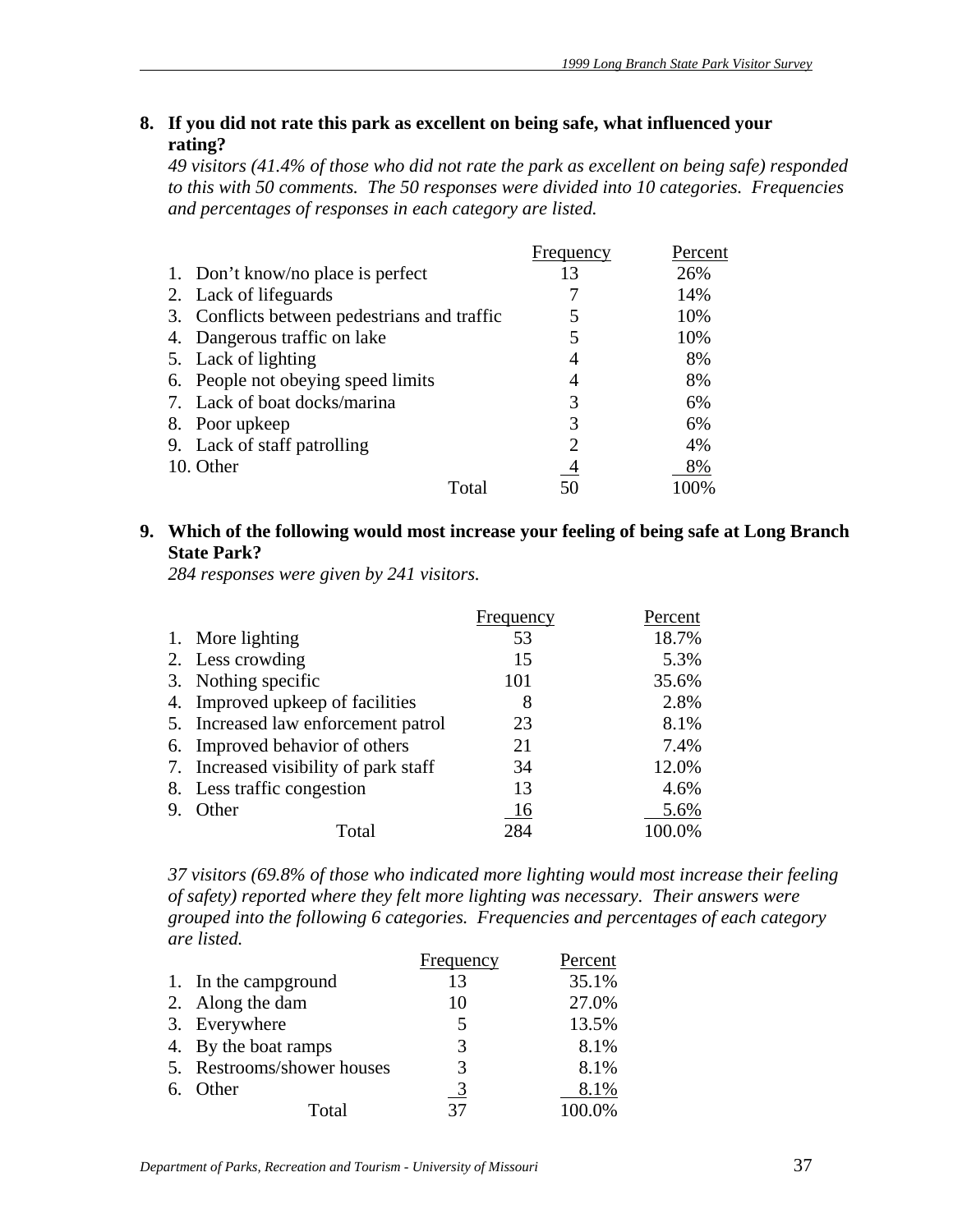# **8. If you did not rate this park as excellent on being safe, what influenced your rating?**

*49 visitors (41.4% of those who did not rate the park as excellent on being safe) responded to this with 50 comments. The 50 responses were divided into 10 categories. Frequencies and percentages of responses in each category are listed.* 

|    |                                              | Frequency      | Percent |
|----|----------------------------------------------|----------------|---------|
|    | 1. Don't know/no place is perfect            | 13             | 26%     |
|    | 2. Lack of lifeguards                        |                | 14%     |
|    | 3. Conflicts between pedestrians and traffic |                | 10%     |
| 4. | Dangerous traffic on lake                    |                | 10%     |
|    | 5. Lack of lighting                          | 4              | 8%      |
|    | 6. People not obeying speed limits           | 4              | 8%      |
|    | 7. Lack of boat docks/marina                 | 3              | 6%      |
|    | 8. Poor upkeep                               | 3              | 6%      |
|    | 9. Lack of staff patrolling                  | 2              | 4%      |
|    | 10. Other                                    | $\overline{4}$ | 8%      |
|    | Total                                        |                |         |

# **9. Which of the following would most increase your feeling of being safe at Long Branch State Park?**

*284 responses were given by 241 visitors.*

|    |                                       | Frequency | Percent |
|----|---------------------------------------|-----------|---------|
|    | 1. More lighting                      | 53        | 18.7%   |
|    | 2. Less crowding                      | 15        | 5.3%    |
|    | 3. Nothing specific                   | 101       | 35.6%   |
|    | 4. Improved upkeep of facilities      | 8         | 2.8%    |
|    | 5. Increased law enforcement patrol   | 23        | 8.1%    |
|    | 6. Improved behavior of others        | 21        | 7.4%    |
|    | 7. Increased visibility of park staff | 34        | 12.0%   |
|    | 8. Less traffic congestion            | 13        | 4.6%    |
| 9. | Other                                 | 16        | 5.6%    |
|    | Total                                 | 284       | 100.0%  |

*37 visitors (69.8% of those who indicated more lighting would most increase their feeling of safety) reported where they felt more lighting was necessary. Their answers were grouped into the following 6 categories. Frequencies and percentages of each category are listed.*

|                            | Frequency     | Percent |
|----------------------------|---------------|---------|
| 1. In the campground       | 13            | 35.1%   |
| 2. Along the dam           | 10            | 27.0%   |
| 3. Everywhere              | 5             | 13.5%   |
| 4. By the boat ramps       | 3             | 8.1%    |
| 5. Restrooms/shower houses | 3             | 8.1%    |
| 6. Other                   | $\frac{3}{2}$ | 8.1%    |
| Total                      | 37            | 100.0%  |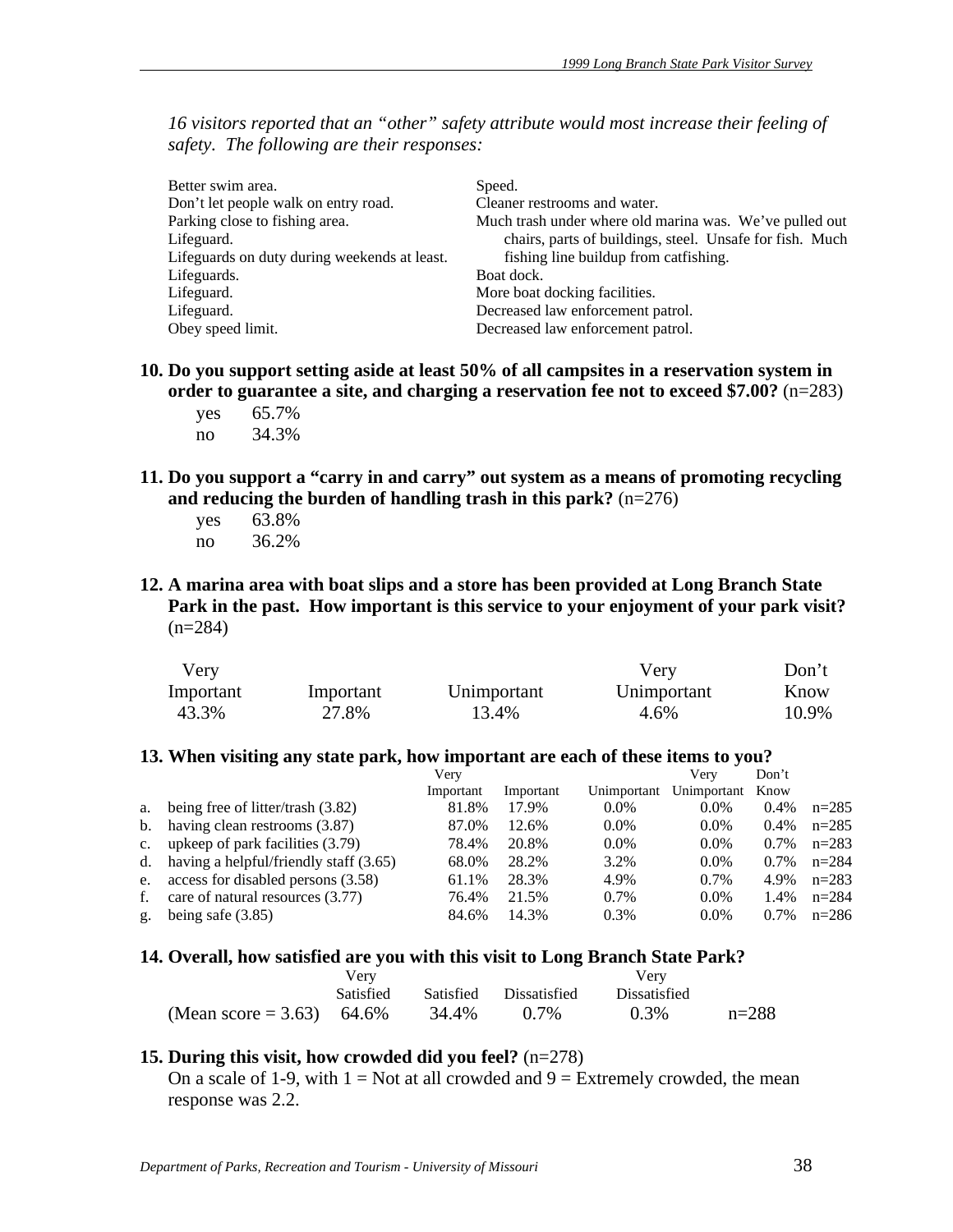*16 visitors reported that an "other" safety attribute would most increase their feeling of safety. The following are their responses:* 

| Better swim area.<br>Don't let people walk on entry road. | Speed.<br>Cleaner restrooms and water.                   |
|-----------------------------------------------------------|----------------------------------------------------------|
| Parking close to fishing area.                            | Much trash under where old marina was. We've pulled out  |
| Lifeguard.                                                | chairs, parts of buildings, steel. Unsafe for fish. Much |
| Lifeguards on duty during weekends at least.              | fishing line buildup from catfishing.                    |
| Lifeguards.                                               | Boat dock.                                               |
| Lifeguard.                                                | More boat docking facilities.                            |
| Lifeguard.                                                | Decreased law enforcement patrol.                        |
| Obey speed limit.                                         | Decreased law enforcement patrol.                        |

- **10. Do you support setting aside at least 50% of all campsites in a reservation system in order to guarantee a site, and charging a reservation fee not to exceed \$7.00?** (n=283)
	- yes 65.7% no 34.3%
- **11. Do you support a "carry in and carry" out system as a means of promoting recycling and reducing the burden of handling trash in this park?** (n=276)
	- yes 63.8% no 36.2%
- **12. A marina area with boat slips and a store has been provided at Long Branch State Park in the past. How important is this service to your enjoyment of your park visit?**  $(n=284)$

| Very      |           |             | Verv        | Don't |
|-----------|-----------|-------------|-------------|-------|
| Important | Important | Unimportant | Unimportant | Know  |
| 43.3%     | 27.8%     | 13.4%       | 4.6%        | 10.9% |

#### **13. When visiting any state park, how important are each of these items to you?**

|    |                                             | Verv      |           |             | Verv        | Don't   |         |
|----|---------------------------------------------|-----------|-----------|-------------|-------------|---------|---------|
|    |                                             | Important | Important | Unimportant | Unimportant | Know    |         |
|    | a. being free of litter/trash (3.82)        | 81.8%     | 17.9%     | $0.0\%$     | $0.0\%$     | $0.4\%$ | $n=285$ |
|    | b. having clean restrooms (3.87)            | 87.0%     | 12.6%     | $0.0\%$     | $0.0\%$     | $0.4\%$ | $n=285$ |
|    | c. upkeep of park facilities (3.79)         | 78.4%     | 20.8%     | $0.0\%$     | $0.0\%$     | $0.7\%$ | $n=283$ |
|    | d. having a helpful/friendly staff $(3.65)$ | 68.0%     | 28.2%     | 3.2%        | $0.0\%$     | $0.7\%$ | $n=284$ |
|    | e. access for disabled persons $(3.58)$     | 61.1%     | 28.3%     | 4.9%        | 0.7%        | 4.9%    | $n=283$ |
| f. | care of natural resources (3.77)            | 76.4%     | 21.5%     | 0.7%        | $0.0\%$     | 1.4%    | $n=284$ |
| g. | being safe $(3.85)$                         | 84.6%     | 14.3%     | 0.3%        | $0.0\%$     | $0.7\%$ | $n=286$ |

#### **14. Overall, how satisfied are you with this visit to Long Branch State Park?**

|                           | Verv             |       | Verv                   |                     |           |
|---------------------------|------------------|-------|------------------------|---------------------|-----------|
|                           | <b>Satisfied</b> |       | Satisfied Dissatisfied | <b>Dissatisfied</b> |           |
| (Mean score = 3.63) 64.6% |                  | 34.4% | 0.7%                   | 0.3%                | $n = 288$ |

#### **15. During this visit, how crowded did you feel?** (n=278)

On a scale of 1-9, with  $1 = Not$  at all crowded and  $9 = Extremely$  crowded, the mean response was 2.2.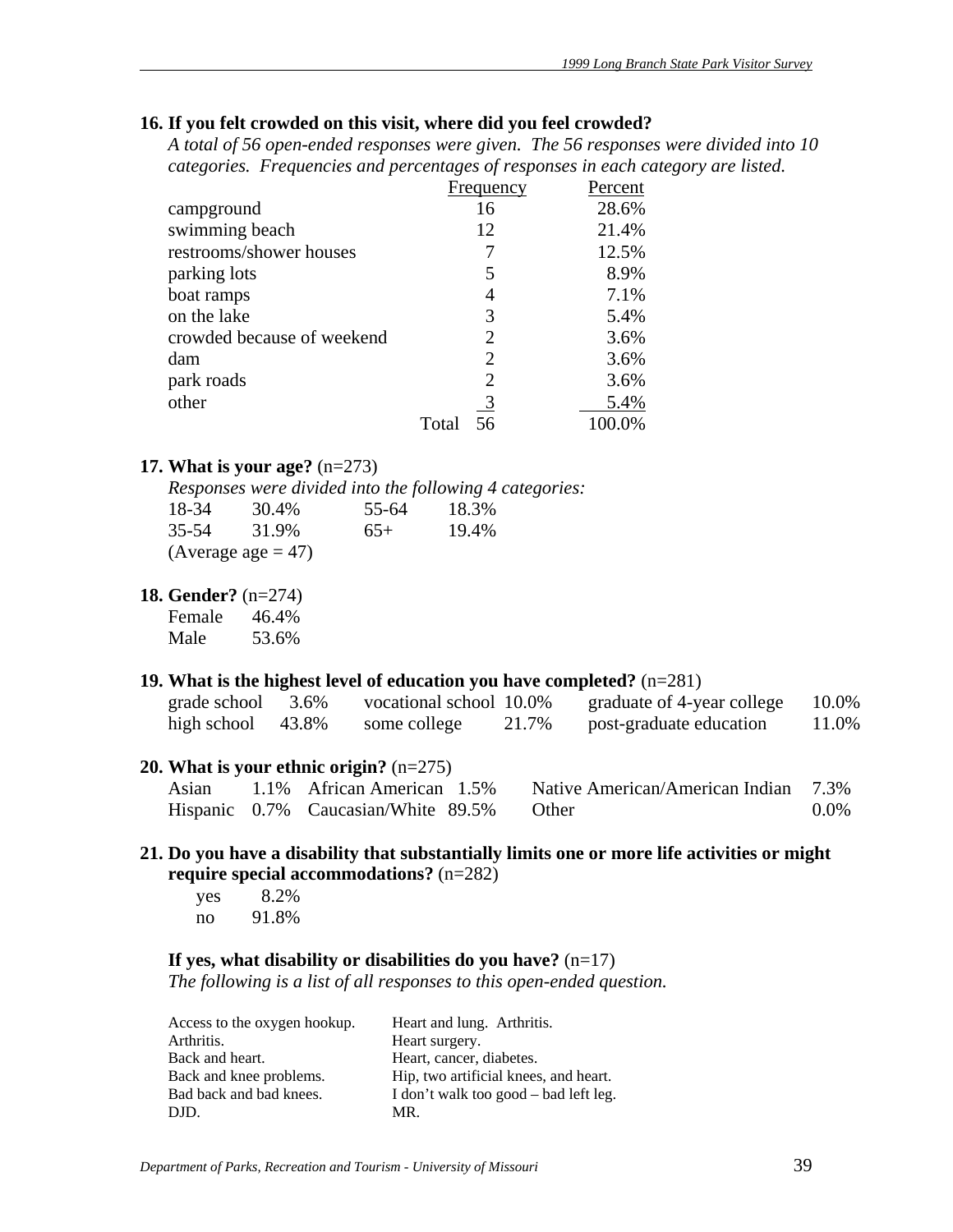#### **16. If you felt crowded on this visit, where did you feel crowded?**

*A total of 56 open-ended responses were given. The 56 responses were divided into 10 categories. Frequencies and percentages of responses in each category are listed.* 

|                            | Frequency      | Percent |
|----------------------------|----------------|---------|
| campground                 | 16             | 28.6%   |
| swimming beach             | 12             | 21.4%   |
| restrooms/shower houses    | 7              | 12.5%   |
| parking lots               | 5              | 8.9%    |
| boat ramps                 | 4              | 7.1%    |
| on the lake                | 3              | 5.4%    |
| crowded because of weekend | 2              | 3.6%    |
| dam                        | $\overline{2}$ | 3.6%    |
| park roads                 | 2              | 3.6%    |
| other                      | -3             | 5.4%    |
|                            | Total<br>56    | 100.0%  |

# **17. What is your age?** (n=273)

*Responses were divided into the following 4 categories:*

| 18-34 | 30.4%                | 55-64 | 18.3% |
|-------|----------------------|-------|-------|
| 35-54 | 31.9%                | $65+$ | 19.4% |
|       | (Average age $=$ 47) |       |       |

**18. Gender?** (n=274)

| Female | 46.4% |
|--------|-------|
| Male   | 53.6% |

#### **19. What is the highest level of education you have completed?** (n=281)

| grade school | 3.6%  | vocational school 10.0% |       | graduate of 4-year college | 10.0% |
|--------------|-------|-------------------------|-------|----------------------------|-------|
| high school  | 43.8% | some college            | 21.7% | post-graduate education    | 11.0% |

#### **20. What is your ethnic origin?** (n=275)

|  | Asian 1.1% African American 1.5%          | Native American/American Indian 7.3% |      |
|--|-------------------------------------------|--------------------------------------|------|
|  | Hispanic 0.7% Caucasian/White 89.5% Other |                                      | 0.0% |

# **21. Do you have a disability that substantially limits one or more life activities or might require special accommodations?** (n=282)

 yes 8.2% no 91.8%

#### **If yes, what disability or disabilities do you have?** (n=17)

*The following is a list of all responses to this open-ended question.* 

| Access to the oxygen hookup. | Heart and lung. Arthritis.            |
|------------------------------|---------------------------------------|
| Arthritis.                   | Heart surgery.                        |
| Back and heart.              | Heart, cancer, diabetes.              |
| Back and knee problems.      | Hip, two artificial knees, and heart. |
| Bad back and bad knees.      | I don't walk too good – bad left leg. |
| DJD.                         | MR.                                   |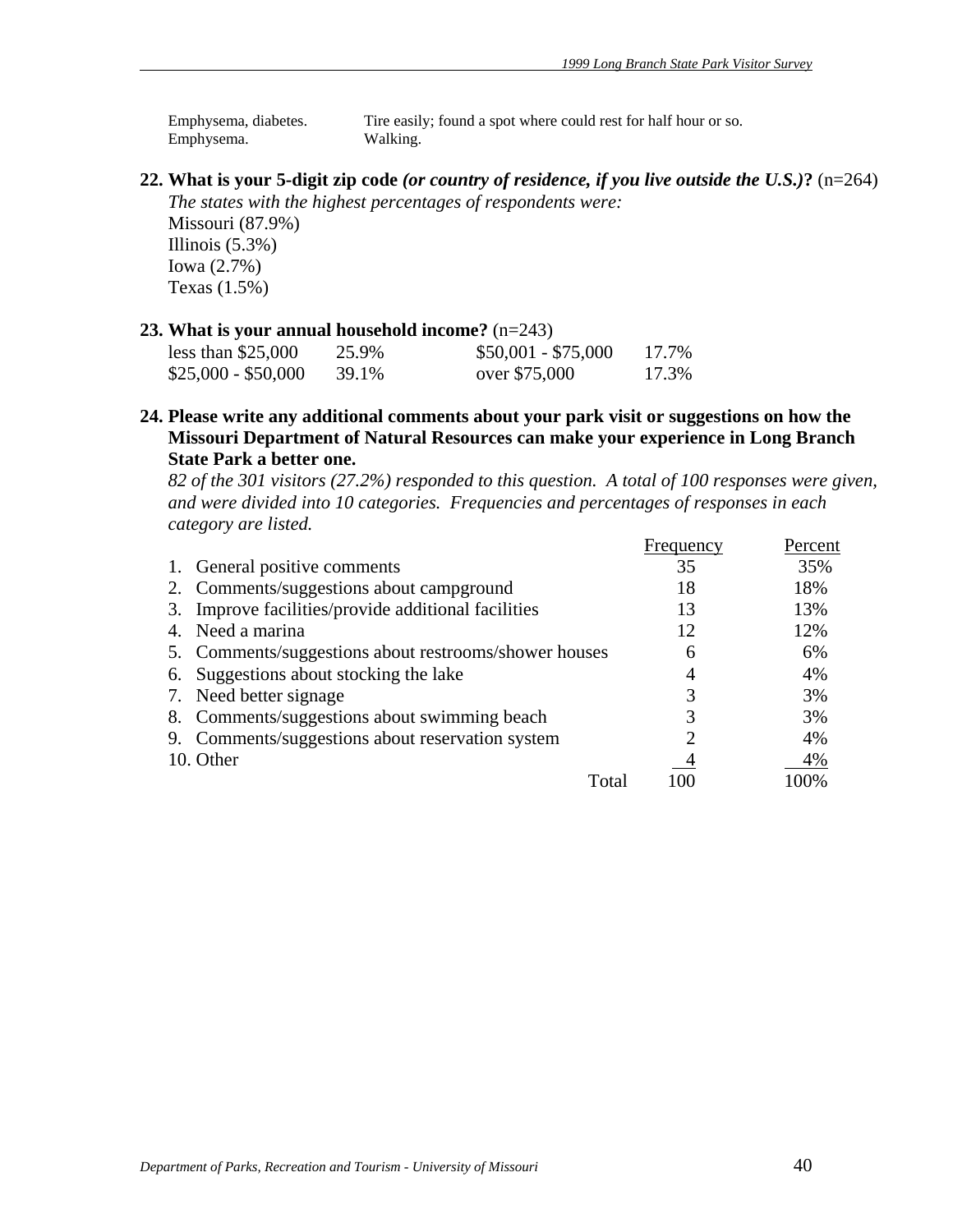Emphysema, diabetes. Tire easily; found a spot where could rest for half hour or so. Emphysema. Walking.

**22. What is your 5-digit zip code** *(or country of residence, if you live outside the U.S.)***?** (n=264) *The states with the highest percentages of respondents were:* 

Missouri (87.9%) Illinois  $(5.3\%)$ Iowa (2.7%) Texas (1.5%)

#### **23. What is your annual household income?** (n=243)

| less than $$25,000$ | 25.9% | $$50,001 - $75,000$ | 17.7% |
|---------------------|-------|---------------------|-------|
| $$25,000 - $50,000$ | 39.1% | over \$75,000       | 17.3% |

**24. Please write any additional comments about your park visit or suggestions on how the Missouri Department of Natural Resources can make your experience in Long Branch State Park a better one.** 

*82 of the 301 visitors (27.2%) responded to this question. A total of 100 responses were given, and were divided into 10 categories. Frequencies and percentages of responses in each category are listed.*

|                                                       | Frequency      | Percent |
|-------------------------------------------------------|----------------|---------|
| 1. General positive comments                          | 35             | 35%     |
| 2. Comments/suggestions about campground              | 18             | 18%     |
| 3. Improve facilities/provide additional facilities   | 13             | 13%     |
| 4. Need a marina                                      | 12             | 12%     |
| 5. Comments/suggestions about restrooms/shower houses | 6              | 6%      |
| 6. Suggestions about stocking the lake                | $\overline{4}$ | 4%      |
| 7. Need better signage                                | 3              | 3%      |
| 8. Comments/suggestions about swimming beach          |                | 3%      |
| 9. Comments/suggestions about reservation system      | റ              | 4%      |
| 10. Other                                             | 4              | 4%      |
| Total                                                 |                | 100%    |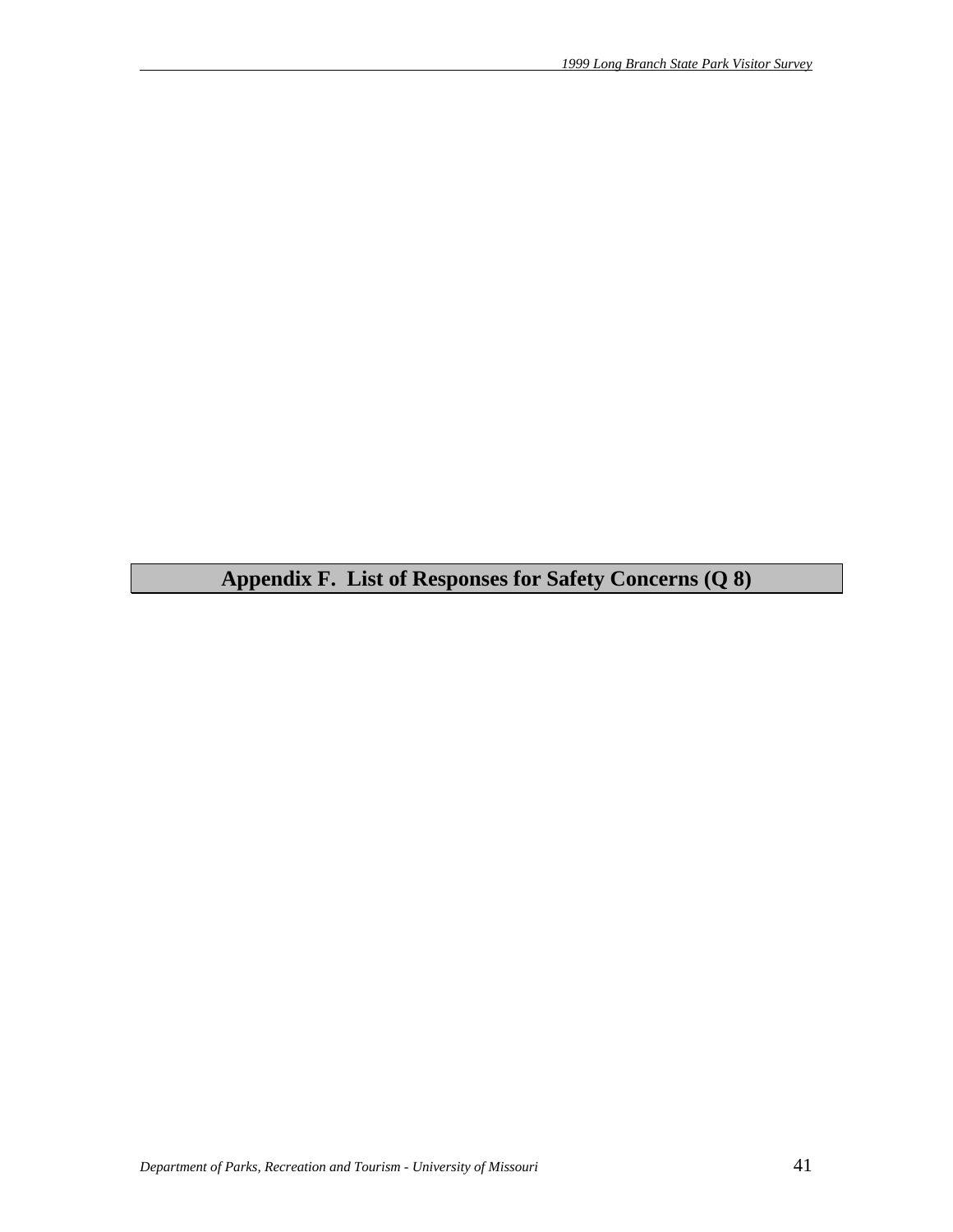**Appendix F. List of Responses for Safety Concerns (Q 8)**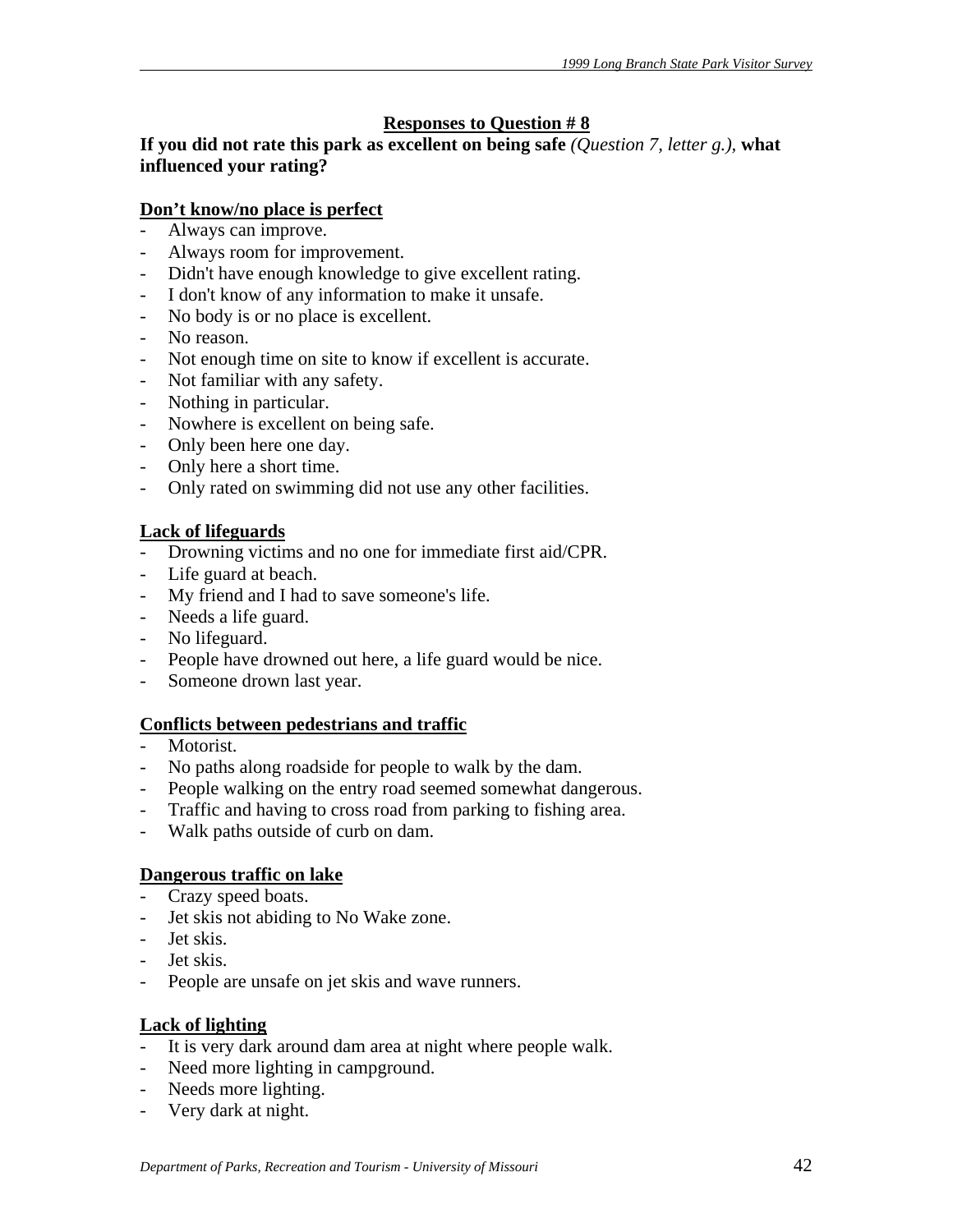# **Responses to Question # 8**

**If you did not rate this park as excellent on being safe** *(Question 7, letter g.),* **what influenced your rating?** 

# **Don't know/no place is perfect**

- Always can improve.
- Always room for improvement.
- Didn't have enough knowledge to give excellent rating.
- I don't know of any information to make it unsafe.
- No body is or no place is excellent.
- No reason.
- Not enough time on site to know if excellent is accurate.
- Not familiar with any safety.
- Nothing in particular.
- Nowhere is excellent on being safe.
- Only been here one day.
- Only here a short time.
- Only rated on swimming did not use any other facilities.

# **Lack of lifeguards**

- Drowning victims and no one for immediate first aid/CPR.
- Life guard at beach.
- My friend and I had to save someone's life.
- Needs a life guard.
- No lifeguard.
- People have drowned out here, a life guard would be nice.
- Someone drown last year.

# **Conflicts between pedestrians and traffic**

- Motorist.
- No paths along roadside for people to walk by the dam.
- People walking on the entry road seemed somewhat dangerous.
- Traffic and having to cross road from parking to fishing area.
- Walk paths outside of curb on dam.

# **Dangerous traffic on lake**

- Crazy speed boats.
- Jet skis not abiding to No Wake zone.
- Jet skis.
- Jet skis.
- People are unsafe on jet skis and wave runners.

# **Lack of lighting**

- It is very dark around dam area at night where people walk.
- Need more lighting in campground.
- Needs more lighting.
- Very dark at night.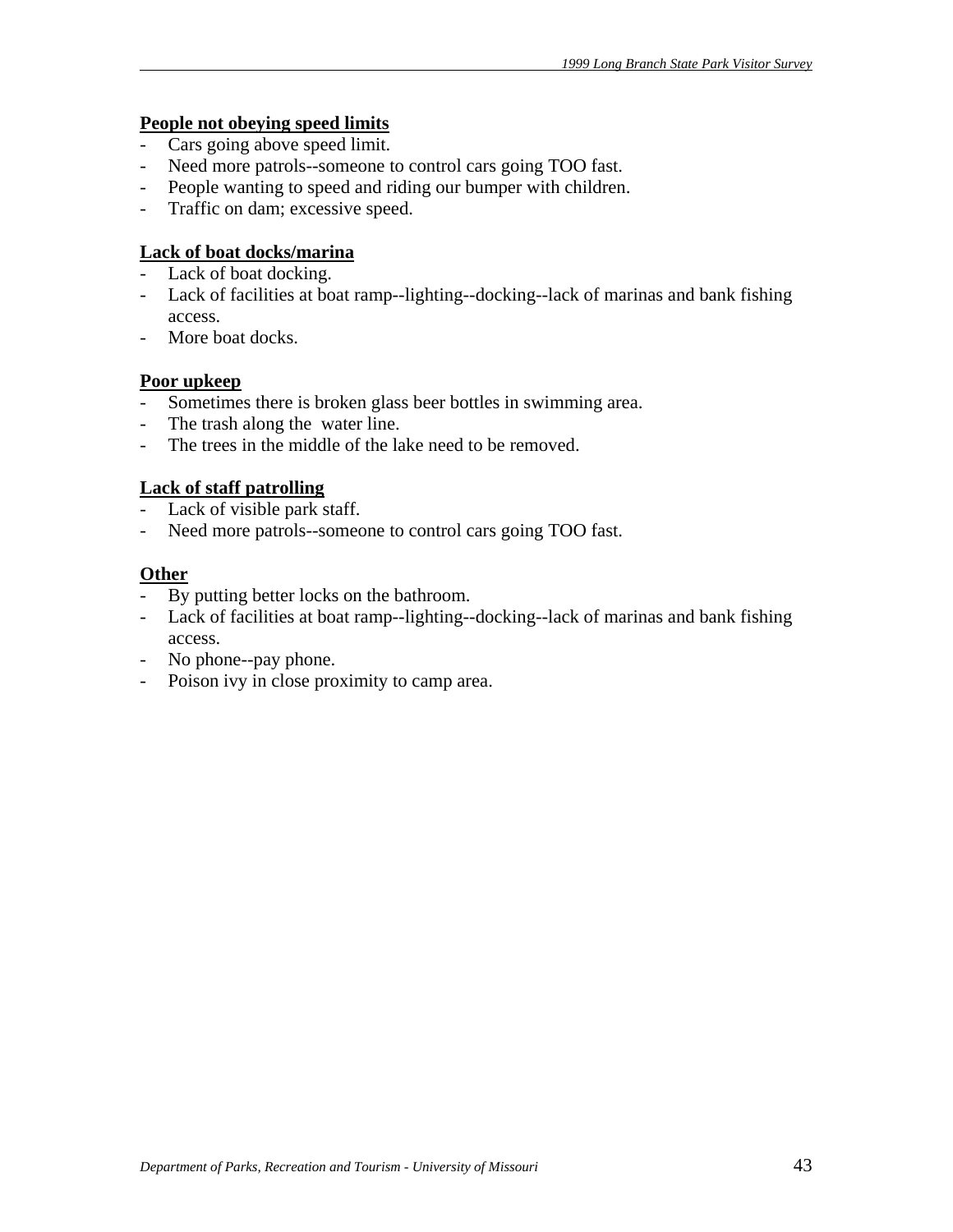# **People not obeying speed limits**

- Cars going above speed limit.
- Need more patrols--someone to control cars going TOO fast.
- People wanting to speed and riding our bumper with children.
- Traffic on dam; excessive speed.

# **Lack of boat docks/marina**

- Lack of boat docking.
- Lack of facilities at boat ramp--lighting--docking--lack of marinas and bank fishing access.
- More boat docks.

# **Poor upkeep**

- Sometimes there is broken glass beer bottles in swimming area.
- The trash along the water line.
- The trees in the middle of the lake need to be removed.

# **Lack of staff patrolling**

- Lack of visible park staff.
- Need more patrols--someone to control cars going TOO fast.

# **Other**

- By putting better locks on the bathroom.
- Lack of facilities at boat ramp--lighting--docking--lack of marinas and bank fishing access.
- No phone--pay phone.
- Poison ivy in close proximity to camp area.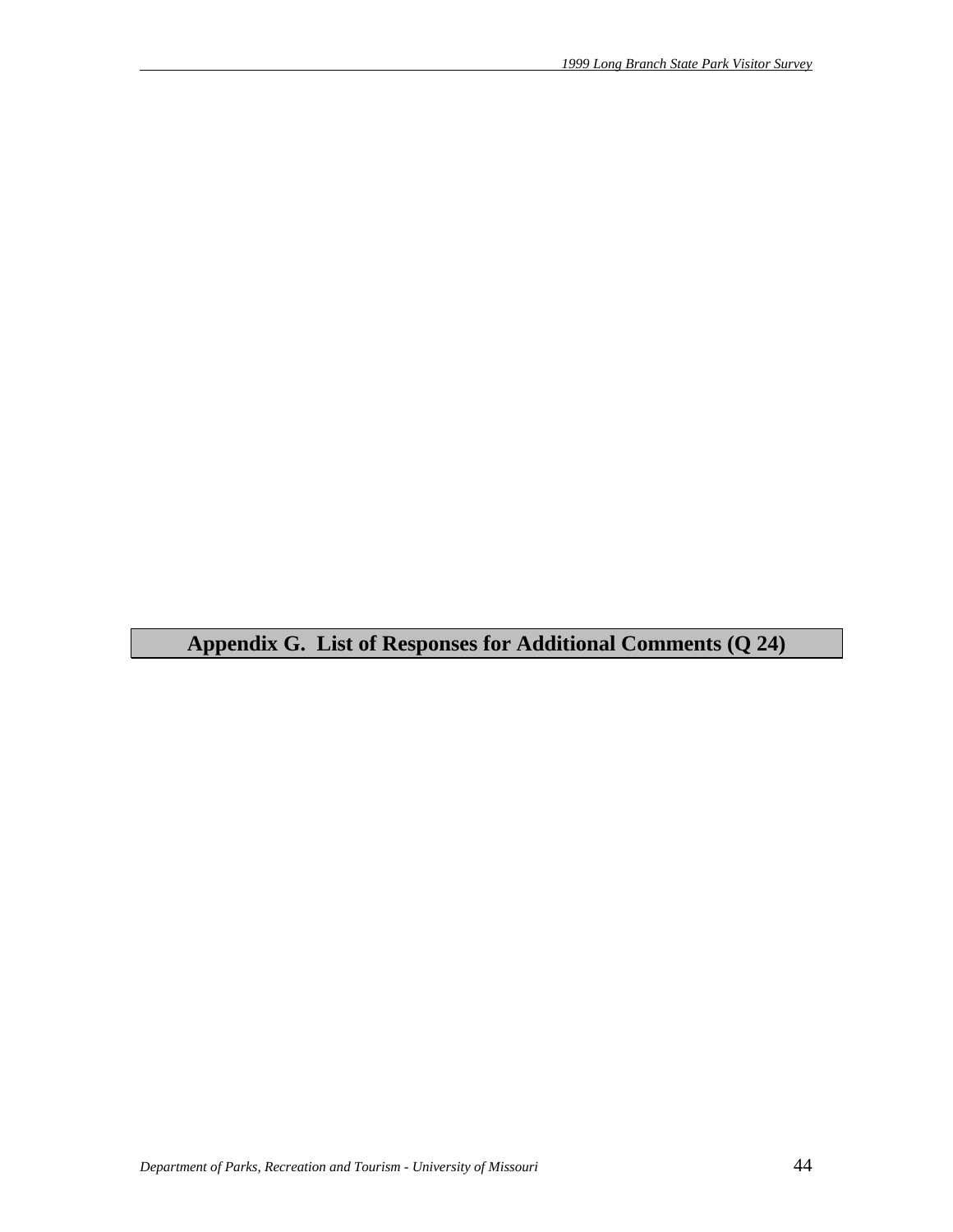**Appendix G. List of Responses for Additional Comments (Q 24)**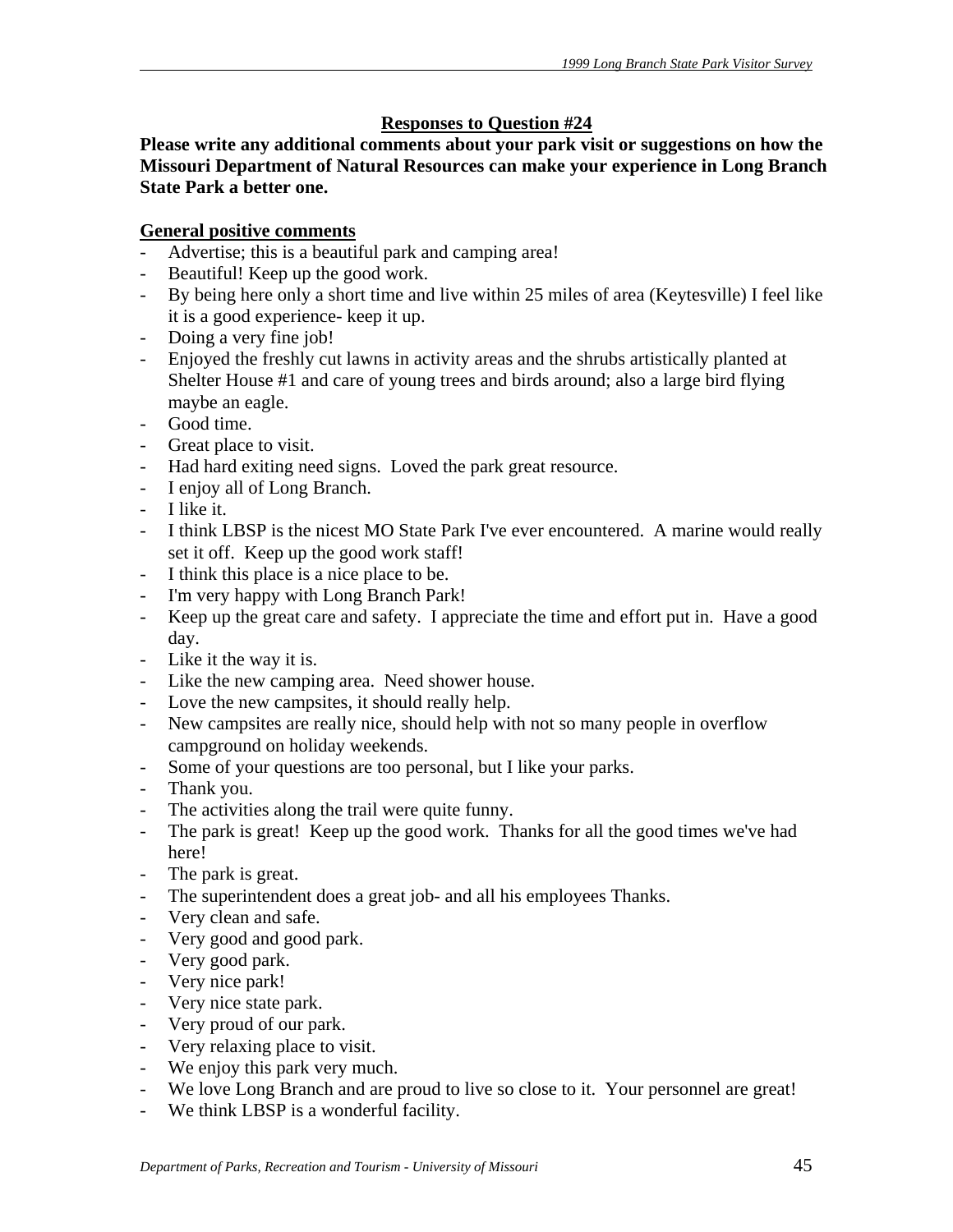# **Responses to Question #24**

**Please write any additional comments about your park visit or suggestions on how the Missouri Department of Natural Resources can make your experience in Long Branch State Park a better one.** 

# **General positive comments**

- Advertise; this is a beautiful park and camping area!
- Beautiful! Keep up the good work.
- By being here only a short time and live within 25 miles of area (Keytesville) I feel like it is a good experience- keep it up.
- Doing a very fine job!
- Enjoyed the freshly cut lawns in activity areas and the shrubs artistically planted at Shelter House #1 and care of young trees and birds around; also a large bird flying maybe an eagle.
- Good time.
- Great place to visit.
- Had hard exiting need signs. Loved the park great resource.
- I enjoy all of Long Branch.
- I like it.
- I think LBSP is the nicest MO State Park I've ever encountered. A marine would really set it off. Keep up the good work staff!
- I think this place is a nice place to be.
- I'm very happy with Long Branch Park!
- Keep up the great care and safety. I appreciate the time and effort put in. Have a good day.
- Like it the way it is.
- Like the new camping area. Need shower house.
- Love the new campsites, it should really help.
- New campsites are really nice, should help with not so many people in overflow campground on holiday weekends.
- Some of your questions are too personal, but I like your parks.
- Thank you.
- The activities along the trail were quite funny.
- The park is great! Keep up the good work. Thanks for all the good times we've had here!
- The park is great.<br>- The superintender
- The superintendent does a great job- and all his employees Thanks.
- Very clean and safe.
- Very good and good park.
- Very good park.
- Very nice park!
- Very nice state park.
- Very proud of our park.
- Very relaxing place to visit.
- We enjoy this park very much.
- We love Long Branch and are proud to live so close to it. Your personnel are great!
- We think LBSP is a wonderful facility.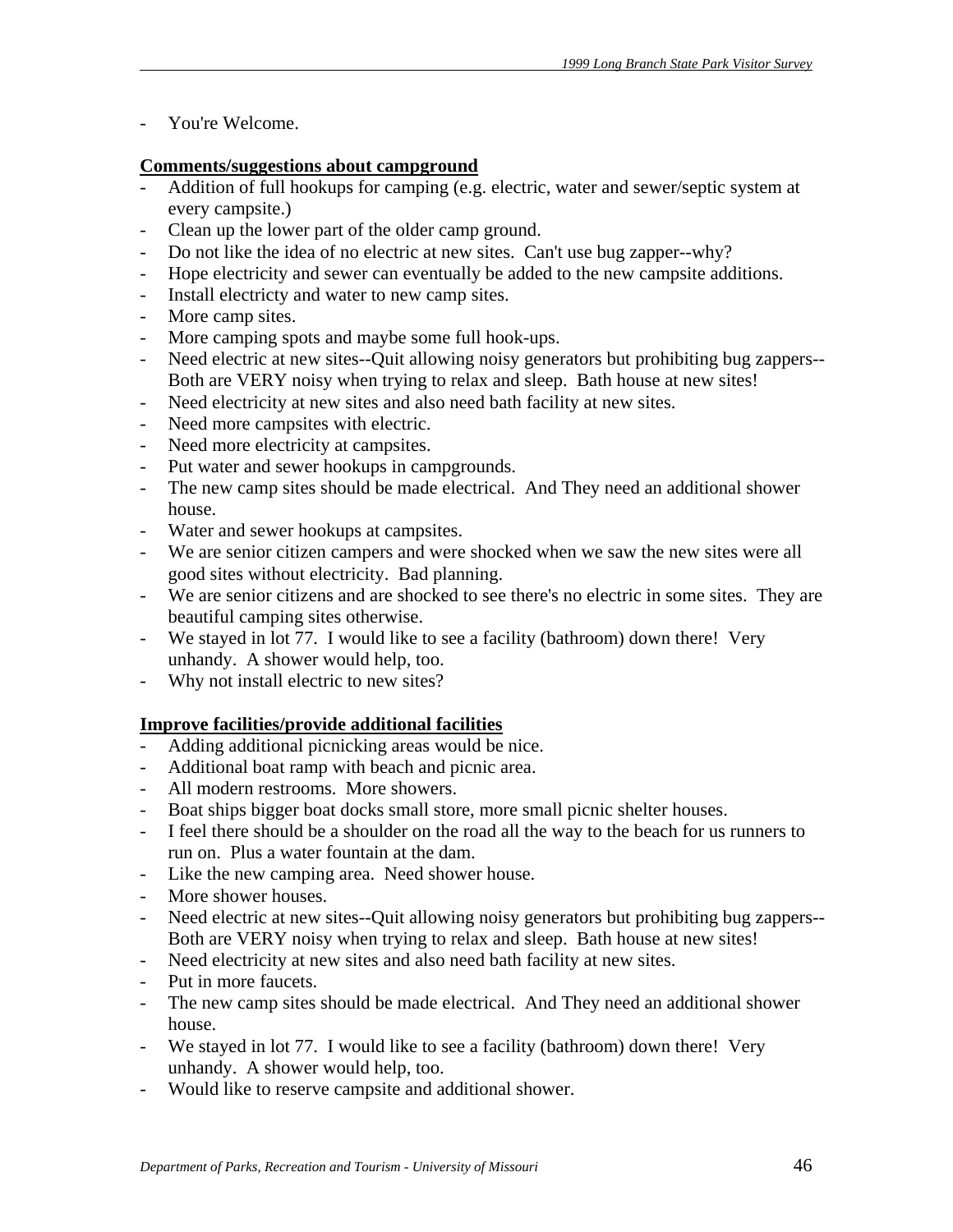- You're Welcome.

# **Comments/suggestions about campground**

- Addition of full hookups for camping (e.g. electric, water and sewer/septic system at every campsite.)
- Clean up the lower part of the older camp ground.
- Do not like the idea of no electric at new sites. Can't use bug zapper--why?
- Hope electricity and sewer can eventually be added to the new campsite additions.
- Install electricty and water to new camp sites.
- More camp sites.
- More camping spots and maybe some full hook-ups.
- Need electric at new sites--Quit allowing noisy generators but prohibiting bug zappers-- Both are VERY noisy when trying to relax and sleep. Bath house at new sites!
- Need electricity at new sites and also need bath facility at new sites.
- Need more campsites with electric.
- Need more electricity at campsites.
- Put water and sewer hookups in campgrounds.
- The new camp sites should be made electrical. And They need an additional shower house.
- Water and sewer hookups at campsites.
- We are senior citizen campers and were shocked when we saw the new sites were all good sites without electricity. Bad planning.
- We are senior citizens and are shocked to see there's no electric in some sites. They are beautiful camping sites otherwise.
- We stayed in lot 77. I would like to see a facility (bathroom) down there! Very unhandy. A shower would help, too.
- Why not install electric to new sites?

# **Improve facilities/provide additional facilities**

- Adding additional picnicking areas would be nice.
- Additional boat ramp with beach and picnic area.
- All modern restrooms. More showers.
- Boat ships bigger boat docks small store, more small picnic shelter houses.
- I feel there should be a shoulder on the road all the way to the beach for us runners to run on. Plus a water fountain at the dam.
- Like the new camping area. Need shower house.
- More shower houses.
- Need electric at new sites--Quit allowing noisy generators but prohibiting bug zappers-- Both are VERY noisy when trying to relax and sleep. Bath house at new sites!
- Need electricity at new sites and also need bath facility at new sites.
- Put in more faucets.
- The new camp sites should be made electrical. And They need an additional shower house.
- We stayed in lot 77. I would like to see a facility (bathroom) down there! Very unhandy. A shower would help, too.
- Would like to reserve campsite and additional shower.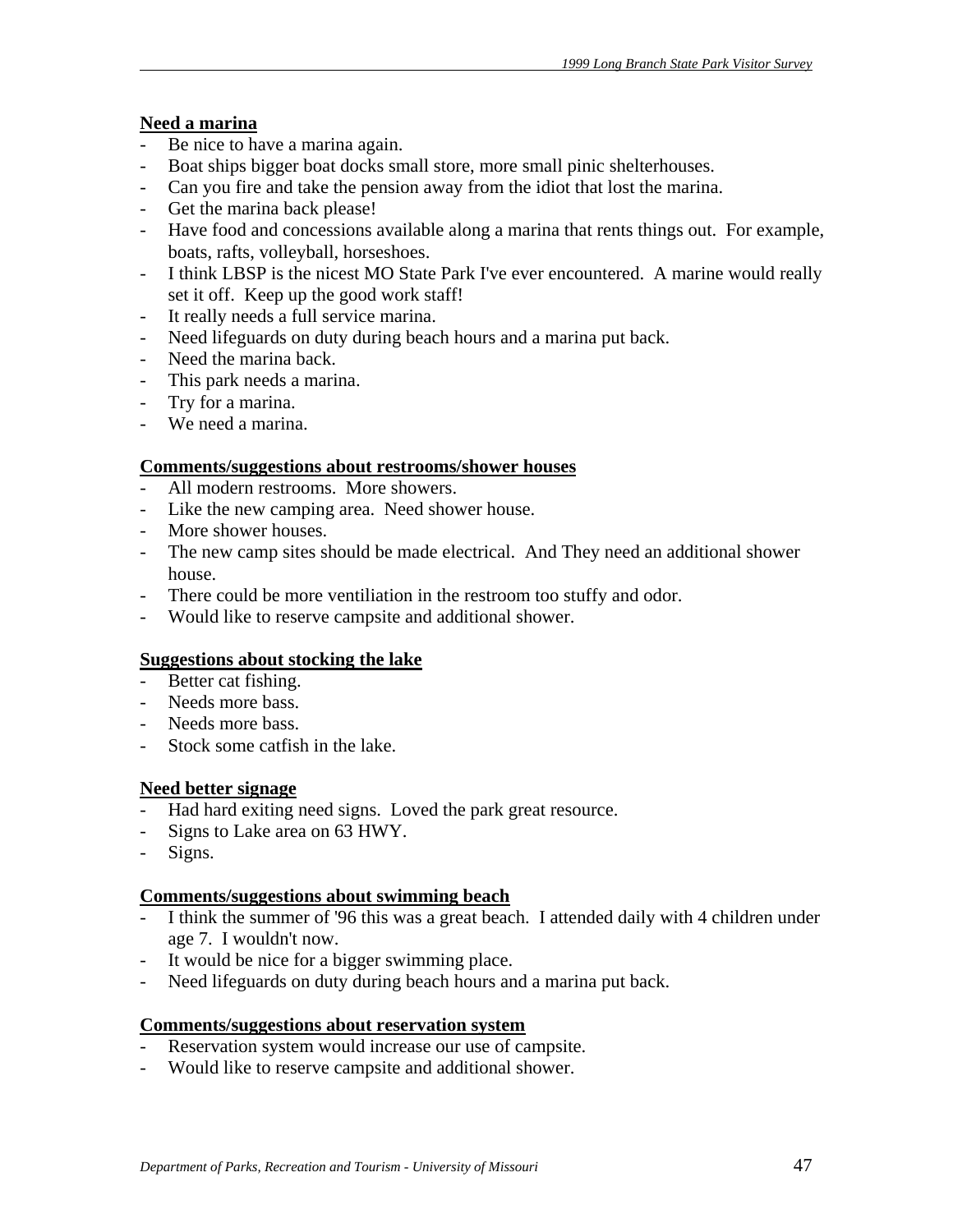# **Need a marina**

- Be nice to have a marina again.
- Boat ships bigger boat docks small store, more small pinic shelterhouses.
- Can you fire and take the pension away from the idiot that lost the marina.
- Get the marina back please!
- Have food and concessions available along a marina that rents things out. For example, boats, rafts, volleyball, horseshoes.
- I think LBSP is the nicest MO State Park I've ever encountered. A marine would really set it off. Keep up the good work staff!
- It really needs a full service marina.
- Need lifeguards on duty during beach hours and a marina put back.
- Need the marina back.
- This park needs a marina.
- Try for a marina.
- We need a marina.

# **Comments/suggestions about restrooms/shower houses**

- All modern restrooms. More showers.
- Like the new camping area. Need shower house.
- More shower houses.
- The new camp sites should be made electrical. And They need an additional shower house.
- There could be more ventiliation in the restroom too stuffy and odor.
- Would like to reserve campsite and additional shower.

# **Suggestions about stocking the lake**

- Better cat fishing.
- Needs more bass.
- Needs more bass.
- Stock some catfish in the lake.

# **Need better signage**

- Had hard exiting need signs. Loved the park great resource.
- Signs to Lake area on 63 HWY.
- Signs.

# **Comments/suggestions about swimming beach**

- I think the summer of '96 this was a great beach. I attended daily with 4 children under age 7. I wouldn't now.
- It would be nice for a bigger swimming place.
- Need lifeguards on duty during beach hours and a marina put back.

# **Comments/suggestions about reservation system**

- Reservation system would increase our use of campsite.
- Would like to reserve campsite and additional shower.